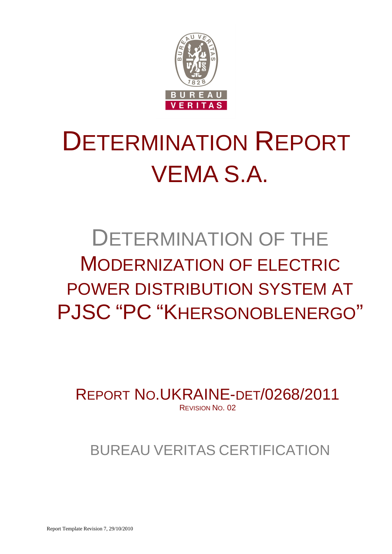

# DETERMINATION REPORT VEMA S.A.

## DETERMINATION OF THE MODERNIZATION OF ELECTRIC POWER DISTRIBUTION SYSTEM AT PJSC "PC "KHERSONOBLENERGO"

REPORT NO.UKRAINE-DET/0268/2011 REVISION NO. 02

## BUREAU VERITAS CERTIFICATION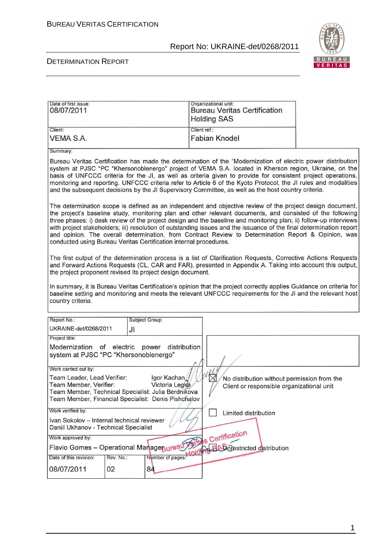

#### DETERMINATION REPORT

| Date of first issue:<br>08/07/2011                                                                                                                                                                                                                                                                                                                                                                                                                                                                                                                                                                                                              |                                                                                                                                                                                                                                                                                           |                | Organizational unit:<br><b>Holding SAS</b> | <b>Bureau Veritas Certification</b> |  |                                                                                                                                                                                                                                     |
|-------------------------------------------------------------------------------------------------------------------------------------------------------------------------------------------------------------------------------------------------------------------------------------------------------------------------------------------------------------------------------------------------------------------------------------------------------------------------------------------------------------------------------------------------------------------------------------------------------------------------------------------------|-------------------------------------------------------------------------------------------------------------------------------------------------------------------------------------------------------------------------------------------------------------------------------------------|----------------|--------------------------------------------|-------------------------------------|--|-------------------------------------------------------------------------------------------------------------------------------------------------------------------------------------------------------------------------------------|
| Client:                                                                                                                                                                                                                                                                                                                                                                                                                                                                                                                                                                                                                                         |                                                                                                                                                                                                                                                                                           |                | Client ref.:                               |                                     |  |                                                                                                                                                                                                                                     |
| <b>VEMA S.A.</b>                                                                                                                                                                                                                                                                                                                                                                                                                                                                                                                                                                                                                                |                                                                                                                                                                                                                                                                                           |                | <b>Fabian Knodel</b>                       |                                     |  |                                                                                                                                                                                                                                     |
| Summary:                                                                                                                                                                                                                                                                                                                                                                                                                                                                                                                                                                                                                                        |                                                                                                                                                                                                                                                                                           |                |                                            |                                     |  |                                                                                                                                                                                                                                     |
| Bureau Veritas Certification has made the determination of the "Modernization of electric power distribution<br>system at PJSC "PC "Khersonoblenergo" project of VEMA S.A. located in Kherson region, Ukraine, on the<br>basis of UNFCCC criteria for the JI, as well as criteria given to provide for consistent project operations,<br>monitoring and reporting. UNFCCC criteria refer to Article 6 of the Kyoto Protocol, the JI rules and modalities<br>and the subsequent decisions by the JI Supervisory Committee, as well as the host country criteria.                                                                                 |                                                                                                                                                                                                                                                                                           |                |                                            |                                     |  |                                                                                                                                                                                                                                     |
| The determination scope is defined as an independent and objective review of the project design document,<br>the project's baseline study, monitoring plan and other relevant documents, and consisted of the following<br>three phases: i) desk review of the project design and the baseline and monitoring plan; ii) follow-up interviews<br>with project stakeholders; iii) resolution of outstanding issues and the issuance of the final determination report<br>and opinion. The overall determination, from Contract Review to Determination Report & Opinion, was<br>conducted using Bureau Veritas Certification internal procedures. |                                                                                                                                                                                                                                                                                           |                |                                            |                                     |  |                                                                                                                                                                                                                                     |
|                                                                                                                                                                                                                                                                                                                                                                                                                                                                                                                                                                                                                                                 | The first output of the determination process is a list of Clarification Requests, Corrective Actions Requests<br>and Forward Actions Requests (CL, CAR and FAR), presented in Appendix A. Taking into account this output,<br>the project proponent revised its project design document. |                |                                            |                                     |  |                                                                                                                                                                                                                                     |
| country criteria.                                                                                                                                                                                                                                                                                                                                                                                                                                                                                                                                                                                                                               |                                                                                                                                                                                                                                                                                           |                |                                            |                                     |  | In summary, it is Bureau Veritas Certification's opinion that the project correctly applies Guidance on criteria for<br>baseline setting and monitoring and meets the relevant UNFCCC requirements for the JI and the relevant host |
| Report No.:                                                                                                                                                                                                                                                                                                                                                                                                                                                                                                                                                                                                                                     |                                                                                                                                                                                                                                                                                           | Subject Group: |                                            |                                     |  |                                                                                                                                                                                                                                     |
| UKRAINE-det/0268/2011                                                                                                                                                                                                                                                                                                                                                                                                                                                                                                                                                                                                                           | JI                                                                                                                                                                                                                                                                                        |                |                                            |                                     |  |                                                                                                                                                                                                                                     |
| Project title:                                                                                                                                                                                                                                                                                                                                                                                                                                                                                                                                                                                                                                  |                                                                                                                                                                                                                                                                                           |                |                                            |                                     |  |                                                                                                                                                                                                                                     |
| Modernization of electric power<br>distribution<br>system at PJSC "PC "Khersonoblenergo"                                                                                                                                                                                                                                                                                                                                                                                                                                                                                                                                                        |                                                                                                                                                                                                                                                                                           |                |                                            |                                     |  |                                                                                                                                                                                                                                     |
| Work carried out by:                                                                                                                                                                                                                                                                                                                                                                                                                                                                                                                                                                                                                            |                                                                                                                                                                                                                                                                                           |                |                                            |                                     |  |                                                                                                                                                                                                                                     |
| <b>Vefty</b><br>Team Leader, Lead Verifier:<br>Igor Kachan<br>No distribution without permission from the<br>Team Member, Verifier:<br>Victoria Legka<br>Client or responsible organizational unit<br>Team Member, Technical Specialist: Julia Berdnikova<br>¥<br>Team Member, Financial Specialist: Denis Pishchalov                                                                                                                                                                                                                                                                                                                           |                                                                                                                                                                                                                                                                                           |                |                                            |                                     |  |                                                                                                                                                                                                                                     |
| Work verified by:<br>Limited distribution                                                                                                                                                                                                                                                                                                                                                                                                                                                                                                                                                                                                       |                                                                                                                                                                                                                                                                                           |                |                                            |                                     |  |                                                                                                                                                                                                                                     |
| Ivan Sokolov - Internal technical reviewer<br>Daniil Ukhanov - Technical Specialist                                                                                                                                                                                                                                                                                                                                                                                                                                                                                                                                                             |                                                                                                                                                                                                                                                                                           |                |                                            |                                     |  |                                                                                                                                                                                                                                     |
| Work approved by:                                                                                                                                                                                                                                                                                                                                                                                                                                                                                                                                                                                                                               |                                                                                                                                                                                                                                                                                           |                |                                            |                                     |  |                                                                                                                                                                                                                                     |
| anagepureau Articles Certification<br>Flavio Gomes - Operational Managepureau                                                                                                                                                                                                                                                                                                                                                                                                                                                                                                                                                                   |                                                                                                                                                                                                                                                                                           |                |                                            |                                     |  |                                                                                                                                                                                                                                     |
| Date of this revision:                                                                                                                                                                                                                                                                                                                                                                                                                                                                                                                                                                                                                          | Rev. No.:                                                                                                                                                                                                                                                                                 |                |                                            |                                     |  |                                                                                                                                                                                                                                     |
| 08/07/2011                                                                                                                                                                                                                                                                                                                                                                                                                                                                                                                                                                                                                                      | 02                                                                                                                                                                                                                                                                                        | 84             |                                            |                                     |  |                                                                                                                                                                                                                                     |

1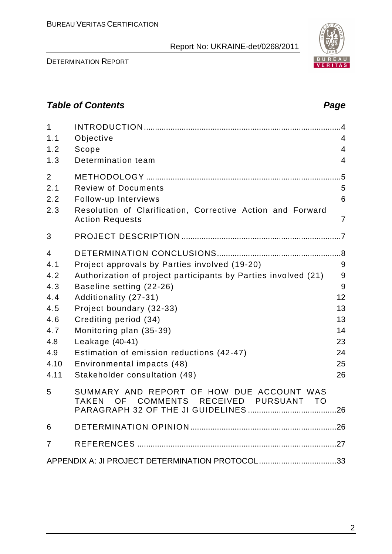DETERMINATION REPORT

## **Table of Contents Page 2014**

| $\mathbf{1}$<br>1.1<br>1.2<br>1.3                                                | Objective<br>Scope<br>Determination team                                                                                                                                                                                                                                                                                                                                            | $\overline{4}$<br>$\overline{4}$<br>$\overline{4}$          |
|----------------------------------------------------------------------------------|-------------------------------------------------------------------------------------------------------------------------------------------------------------------------------------------------------------------------------------------------------------------------------------------------------------------------------------------------------------------------------------|-------------------------------------------------------------|
| $\overline{2}$<br>2.1<br>2.2<br>2.3                                              | <b>Review of Documents</b><br>Follow-up Interviews<br>Resolution of Clarification, Corrective Action and Forward<br><b>Action Requests</b>                                                                                                                                                                                                                                          | $.5\,$<br>5<br>6<br>$\overline{7}$                          |
| 3                                                                                |                                                                                                                                                                                                                                                                                                                                                                                     |                                                             |
| 4<br>4.1<br>4.2<br>4.3<br>4.4<br>4.5<br>4.6<br>4.7<br>4.8<br>4.9<br>4.10<br>4.11 | Project approvals by Parties involved (19-20)<br>Authorization of project participants by Parties involved (21)<br>Baseline setting (22-26)<br>Additionality (27-31)<br>Project boundary (32-33)<br>Crediting period (34)<br>Monitoring plan (35-39)<br>Leakage (40-41)<br>Estimation of emission reductions (42-47)<br>Environmental impacts (48)<br>Stakeholder consultation (49) | 9<br>9<br>9<br>12<br>13<br>13<br>14<br>23<br>24<br>25<br>26 |
| 5                                                                                | SUMMARY AND REPORT OF HOW DUE ACCOUNT WAS<br>OF COMMENTS RECEIVED PURSUANT TO<br><b>TAKEN</b>                                                                                                                                                                                                                                                                                       |                                                             |
| 6                                                                                |                                                                                                                                                                                                                                                                                                                                                                                     |                                                             |
| 7                                                                                |                                                                                                                                                                                                                                                                                                                                                                                     |                                                             |
|                                                                                  | APPENDIX A: JI PROJECT DETERMINATION PROTOCOL33                                                                                                                                                                                                                                                                                                                                     |                                                             |

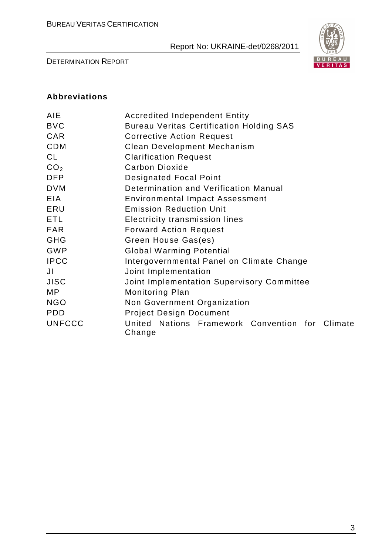

DETERMINATION REPORT

#### **Abbreviations**

| <b>AIE</b>      | <b>Accredited Independent Entity</b>                      |  |  |  |
|-----------------|-----------------------------------------------------------|--|--|--|
| <b>BVC</b>      | <b>Bureau Veritas Certification Holding SAS</b>           |  |  |  |
| CAR             | <b>Corrective Action Request</b>                          |  |  |  |
| <b>CDM</b>      | <b>Clean Development Mechanism</b>                        |  |  |  |
| CL              | <b>Clarification Request</b>                              |  |  |  |
| CO <sub>2</sub> | <b>Carbon Dioxide</b>                                     |  |  |  |
| <b>DFP</b>      | <b>Designated Focal Point</b>                             |  |  |  |
| <b>DVM</b>      | Determination and Verification Manual                     |  |  |  |
| <b>EIA</b>      | <b>Environmental Impact Assessment</b>                    |  |  |  |
| ERU             | <b>Emission Reduction Unit</b>                            |  |  |  |
| ETL             | <b>Electricity transmission lines</b>                     |  |  |  |
| <b>FAR</b>      | <b>Forward Action Request</b>                             |  |  |  |
| <b>GHG</b>      | Green House Gas(es)                                       |  |  |  |
| <b>GWP</b>      | <b>Global Warming Potential</b>                           |  |  |  |
| <b>IPCC</b>     | Intergovernmental Panel on Climate Change                 |  |  |  |
| JI              | Joint Implementation                                      |  |  |  |
| <b>JISC</b>     | Joint Implementation Supervisory Committee                |  |  |  |
| MP              | <b>Monitoring Plan</b>                                    |  |  |  |
| <b>NGO</b>      | Non Government Organization                               |  |  |  |
| <b>PDD</b>      | <b>Project Design Document</b>                            |  |  |  |
| <b>UNFCCC</b>   | United Nations Framework Convention for Climate<br>Change |  |  |  |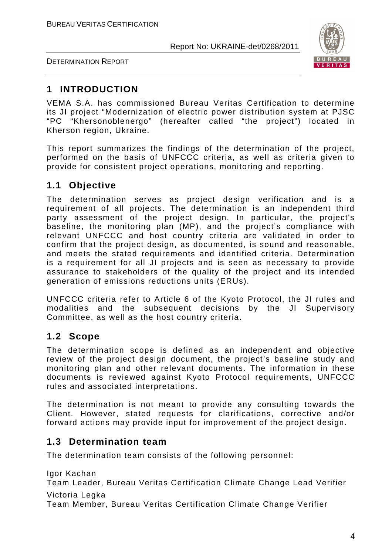DETERMINATION REPORT



## **1 INTRODUCTION**

VEMA S.A. has commissioned Bureau Veritas Certification to determine its JI project "Modernization of electric power distribution system at PJSC "PC "Khersonoblenergo" (hereafter called "the project") located in Kherson region, Ukraine.

This report summarizes the findings of the determination of the project, performed on the basis of UNFCCC criteria, as well as criteria given to provide for consistent project operations, monitoring and reporting.

## **1.1 Objective**

The determination serves as project design verification and is a requirement of all projects. The determination is an independent third party assessment of the project design. In particular, the project's baseline, the monitoring plan (MP), and the project's compliance with relevant UNFCCC and host country criteria are validated in order to confirm that the project design, as documented, is sound and reasonable, and meets the stated requirements and identified criteria. Determination is a requirement for all JI projects and is seen as necessary to provide assurance to stakeholders of the quality of the project and its intended generation of emissions reductions units (ERUs).

UNFCCC criteria refer to Article 6 of the Kyoto Protocol, the JI rules and modalities and the subsequent decisions by the JI Supervisory Committee, as well as the host country criteria.

## **1.2 Scope**

The determination scope is defined as an independent and objective review of the project design document, the project's baseline study and monitoring plan and other relevant documents. The information in these documents is reviewed against Kyoto Protocol requirements, UNFCCC rules and associated interpretations.

The determination is not meant to provide any consulting towards the Client. However, stated requests for clarifications, corrective and/or forward actions may provide input for improvement of the project design.

## **1.3 Determination team**

The determination team consists of the following personnel:

Igor Kachan

Team Leader, Bureau Veritas Certification Climate Change Lead Verifier Victoria Legka

Team Member, Bureau Veritas Certification Climate Change Verifier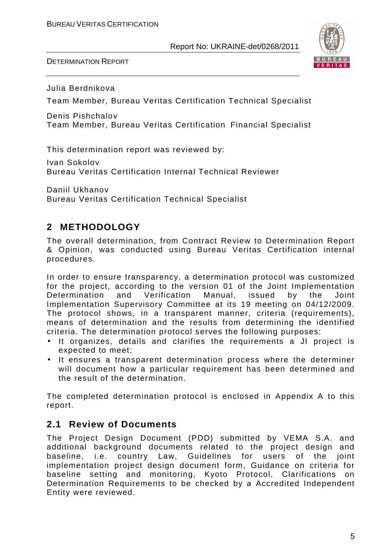DETERMINATION REPORT



Julia Berdnikova

Team Member, Bureau Veritas Certification Technical Specialist

Denis Pishchalov Team Member, Bureau Veritas Certification Financial Specialist

This determination report was reviewed by:

Ivan Sokolov Bureau Veritas Certification Internal Technical Reviewer

Daniil Ukhanov Bureau Veritas Certification Technical Specialist

## **2 METHODOLOGY**

The overall determination, from Contract Review to Determination Report & Opinion, was conducted using Bureau Veritas Certification internal procedures.

In order to ensure transparency, a determination protocol was customized for the project, according to the version 01 of the Joint Implementation Determination and Verification Manual, issued by the Joint Implementation Supervisory Committee at its 19 meeting on 04/12/2009. The protocol shows, in a transparent manner, criteria (requirements), means of determination and the results from determining the identified criteria. The determination protocol serves the following purposes:

- It organizes, details and clarifies the requirements a JI project is expected to meet;
- It ensures a transparent determination process where the determiner will document how a particular requirement has been determined and the result of the determination.

The completed determination protocol is enclosed in Appendix A to this report.

## **2.1 Review of Documents**

The Project Design Document (PDD) submitted by VEMA S.A. and additional background documents related to the project design and baseline, i.e. country Law, Guidelines for users of the joint implementation project design document form, Guidance on criteria for baseline setting and monitoring, Kyoto Protocol, Clarifications on Determination Requirements to be checked by a Accredited Independent Entity were reviewed.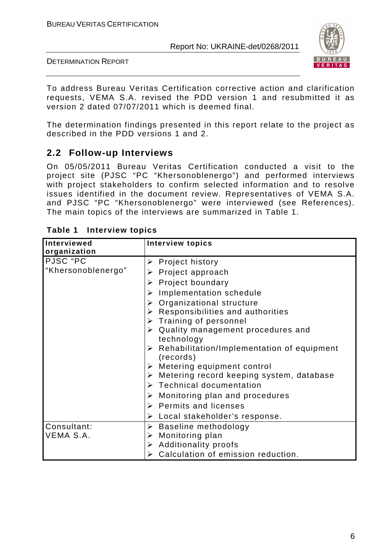

DETERMINATION REPORT

To address Bureau Veritas Certification corrective action and clarification requests, VEMA S.A. revised the PDD version 1 and resubmitted it as version 2 dated 07/07/2011 which is deemed final.

The determination findings presented in this report relate to the project as described in the PDD versions 1 and 2.

## **2.2 Follow-up Interviews**

On 05/05/2011 Bureau Veritas Certification conducted a visit to the project site (PJSC "PC "Khersonoblenergo") and performed interviews with project stakeholders to confirm selected information and to resolve issues identified in the document review. Representatives of VEMA S.A. and PJSC "PC "Khersonoblenergo" were interviewed (see References). The main topics of the interviews are summarized in Table 1.

| Interviewed        | <b>Interview topics</b>                                                  |
|--------------------|--------------------------------------------------------------------------|
| organization       |                                                                          |
| PJSC "PC           | $\triangleright$ Project history                                         |
| "Khersonoblenergo" | $\triangleright$ Project approach                                        |
|                    | $\triangleright$ Project boundary                                        |
|                    | $\triangleright$ Implementation schedule                                 |
|                    | > Organizational structure                                               |
|                    | $\triangleright$ Responsibilities and authorities                        |
|                    | $\triangleright$ Training of personnel                                   |
|                    | $\triangleright$ Quality management procedures and                       |
|                    | technology                                                               |
|                    | $\triangleright$ Rehabilitation/Implementation of equipment<br>(records) |
|                    | $\triangleright$ Metering equipment control                              |
|                    | $\triangleright$ Metering record keeping system, database                |
|                    | $\triangleright$ Technical documentation                                 |
|                    | $\triangleright$ Monitoring plan and procedures                          |
|                    | $\triangleright$ Permits and licenses                                    |
|                    | $\triangleright$ Local stakeholder's response.                           |
| Consultant:        | $\triangleright$ Baseline methodology                                    |
| VEMA S.A.          | $\triangleright$ Monitoring plan                                         |
|                    | $\triangleright$ Additionality proofs                                    |
|                    | > Calculation of emission reduction.                                     |

| Table 1 | <b>Interview topics</b> |  |
|---------|-------------------------|--|
|---------|-------------------------|--|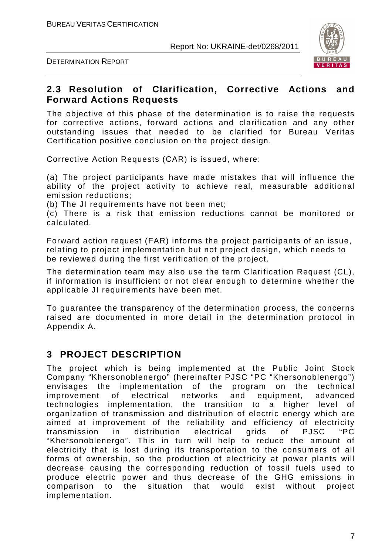DETERMINATION REPORT



### **2.3 Resolution of Clarification, Corrective Actions and Forward Actions Requests**

The objective of this phase of the determination is to raise the requests for corrective actions, forward actions and clarification and any other outstanding issues that needed to be clarified for Bureau Veritas Certification positive conclusion on the project design.

Corrective Action Requests (CAR) is issued, where:

(a) The project participants have made mistakes that will influence the ability of the project activity to achieve real, measurable additional emission reductions;

(b) The JI requirements have not been met;

(c) There is a risk that emission reductions cannot be monitored or calculated.

Forward action request (FAR) informs the project participants of an issue, relating to project implementation but not project design, which needs to be reviewed during the first verification of the project.

The determination team may also use the term Clarification Request (CL), if information is insufficient or not clear enough to determine whether the applicable JI requirements have been met.

To guarantee the transparency of the determination process, the concerns raised are documented in more detail in the determination protocol in Appendix A.

## **3 PROJECT DESCRIPTION**

The project which is being implemented at the Public Joint Stock Company "Khersonoblenergo" (hereinafter PJSC "PC "Khersonoblenergo") envisages the implementation of the program on the technical improvement of electrical networks and equipment, advanced technologies implementation, the transition to a higher level of organization of transmission and distribution of electric energy which are aimed at improvement of the reliability and efficiency of electricity transmission in distribution electrical grids of PJSC "PC "Khersonoblenergo". This in turn will help to reduce the amount of electricity that is lost during its transportation to the consumers of all forms of ownership, so the production of electricity at power plants will decrease causing the corresponding reduction of fossil fuels used to produce electric power and thus decrease of the GHG emissions in comparison to the situation that would exist without project implementation.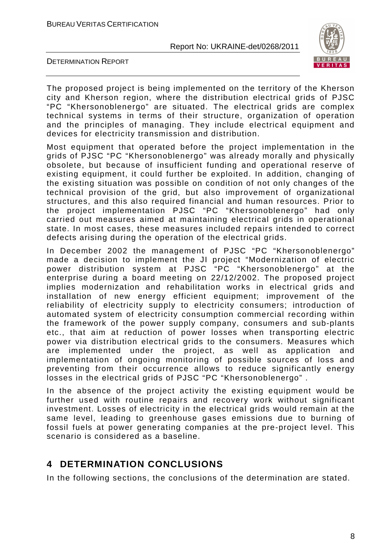



The proposed project is being implemented on the territory of the Kherson city and Kherson region, where the distribution electrical grids of PJSC "PC "Khersonoblenergo" are situated. The electrical grids are complex technical systems in terms of their structure, organization of operation and the principles of managing. They include electrical equipment and devices for electricity transmission and distribution.

Most equipment that operated before the project implementation in the grids of PJSC "PC "Khersonoblenergo" was already morally and physically obsolete, but because of insufficient funding and operational reserve of existing equipment, it could further be exploited. In addition, changing of the existing situation was possible on condition of not only changes of the technical provision of the grid, but also improvement of organizational structures, and this also required financial and human resources. Prior to the project implementation PJSC "PC "Khersonoblenergo" had only carried out measures aimed at maintaining electrical grids in operational state. In most cases, these measures included repairs intended to correct defects arising during the operation of the electrical grids.

In December 2002 the management of PJSC "PC "Khersonoblenergo" made a decision to implement the JI project "Modernization of electric power distribution system at PJSC "PC "Khersonoblenergo" at the enterprise during a board meeting on 22/12/2002. The proposed project implies modernization and rehabilitation works in electrical grids and installation of new energy efficient equipment; improvement of the reliability of electricity supply to electricity consumers; introduction of automated system of electricity consumption commercial recording within the framework of the power supply company, consumers and sub-plants etc., that aim at reduction of power losses when transporting electric power via distribution electrical grids to the consumers. Measures which are implemented under the project, as well as application and implementation of ongoing monitoring of possible sources of loss and preventing from their occurrence allows to reduce significantly energy losses in the electrical grids of PJSC "PC "Khersonoblenergo" .

In the absence of the project activity the existing equipment would be further used with routine repairs and recovery work without significant investment. Losses of electricity in the electrical grids would remain at the same level, leading to greenhouse gases emissions due to burning of fossil fuels at power generating companies at the pre-project level. This scenario is considered as a baseline.

## **4 DETERMINATION CONCLUSIONS**

In the following sections, the conclusions of the determination are stated.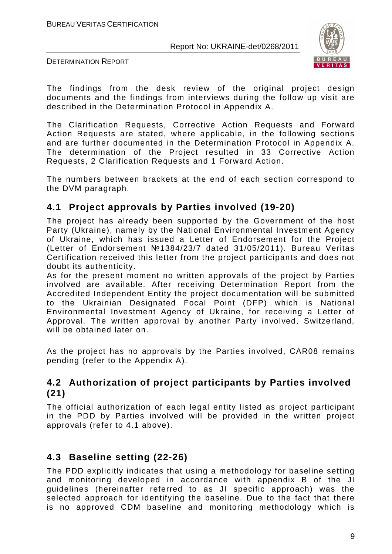

DETERMINATION REPORT

The findings from the desk review of the original project design documents and the findings from interviews during the follow up visit are described in the Determination Protocol in Appendix A.

The Clarification Requests, Corrective Action Requests and Forward Action Requests are stated, where applicable, in the following sections and are further documented in the Determination Protocol in Appendix A. The determination of the Project resulted in 33 Corrective Action Requests, 2 Clarification Requests and 1 Forward Action.

The numbers between brackets at the end of each section correspond to the DVM paragraph.

## **4.1 Project approvals by Parties involved (19-20)**

The project has already been supported by the Government of the host Party (Ukraine), namely by the National Environmental Investment Agency of Ukraine, which has issued a Letter of Endorsement for the Project (Letter of Endorsement №1384/23/7 dated 31/05/2011). Bureau Veritas Certification received this letter from the project participants and does not doubt its authenticity.

As for the present moment no written approvals of the project by Parties involved are available. After receiving Determination Report from the Accredited Independent Entity the project documentation will be submitted to the Ukrainian Designated Focal Point (DFP) which is National Environmental Investment Agency of Ukraine, for receiving a Letter of Approval. The written approval by another Party involved, Switzerland, will be obtained later on.

As the project has no approvals by the Parties involved, CAR08 remains pending (refer to the Appendix A).

## **4.2 Authorization of project participants by Parties involved (21)**

The official authorization of each legal entity listed as project participant in the PDD by Parties involved will be provided in the written project approvals (refer to 4.1 above).

## **4.3 Baseline setting (22-26)**

The PDD explicitly indicates that using a methodology for baseline setting and monitoring developed in accordance with appendix B of the JI guidelines (hereinafter referred to as JI specific approach) was the selected approach for identifying the baseline. Due to the fact that there is no approved CDM baseline and monitoring methodology which is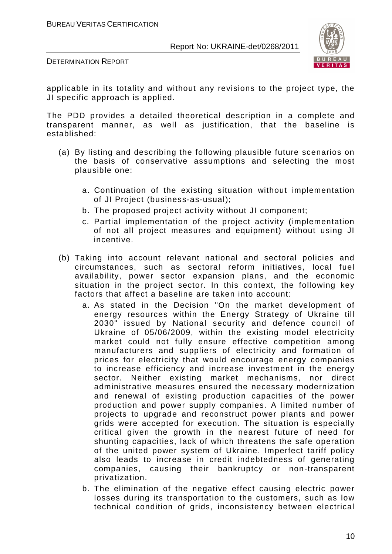



applicable in its totality and without any revisions to the project type, the JI specific approach is applied.

The PDD provides a detailed theoretical description in a complete and transparent manner, as well as justification, that the baseline is established:

- (a) By listing and describing the following plausible future scenarios on the basis of conservative assumptions and selecting the most plausible one:
	- a. Continuation of the existing situation without implementation of JI Project (business-as-usual);
	- b. The proposed project activity without JI component;
	- c. Partial implementation of the project activity (implementation of not all project measures and equipment) without using JI incentive.
- (b) Taking into account relevant national and sectoral policies and circumstances, such as sectoral reform initiatives, local fuel availability, power sector expansion plans, and the economic situation in the project sector. In this context, the following key factors that affect a baseline are taken into account:
	- a. As stated in the Decision "On the market development of energy resources within the Energy Strategy of Ukraine till 2030" issued by National security and defence council of Ukraine of 05/06/2009, within the existing model electricity market could not fully ensure effective competition among manufacturers and suppliers of electricity and formation of prices for electricity that would encourage energy companies to increase efficiency and increase investment in the energy sector. Neither existing market mechanisms, nor direct administrative measures ensured the necessary modernization and renewal of existing production capacities of the power production and power supply companies. A limited number of projects to upgrade and reconstruct power plants and power grids were accepted for execution. The situation is especially critical given the growth in the nearest future of need for shunting capacities, lack of which threatens the safe operation of the united power system of Ukraine. Imperfect tariff policy also leads to increase in credit indebtedness of generating companies, causing their bankruptcy or non-transparent privatization.
	- b. The elimination of the negative effect causing electric power losses during its transportation to the customers, such as low technical condition of grids, inconsistency between electrical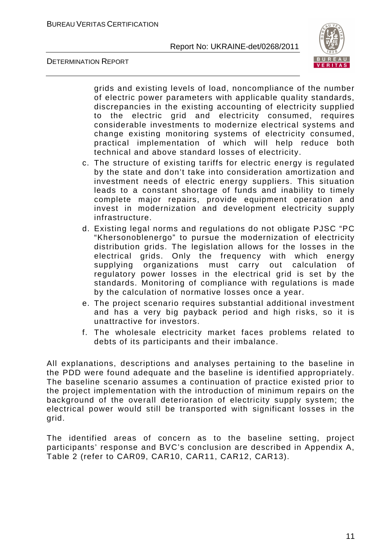

DETERMINATION REPORT

grids and existing levels of load, noncompliance of the number of electric power parameters with applicable quality standards, discrepancies in the existing accounting of electricity supplied to the electric grid and electricity consumed, requires considerable investments to modernize electrical systems and change existing monitoring systems of electricity consumed, practical implementation of which will help reduce both technical and above standard losses of electricity.

- c. The structure of existing tariffs for electric energy is regulated by the state and don't take into consideration amortization and investment needs of electric energy suppliers. This situation leads to a constant shortage of funds and inability to timely complete major repairs, provide equipment operation and invest in modernization and development electricity supply infrastructure.
- d. Existing legal norms and regulations do not obligate PJSC "PC "Khersonoblenergo" to pursue the modernization of electricity distribution grids. The legislation allows for the losses in the electrical grids. Only the frequency with which energy supplying organizations must carry out calculation of regulatory power losses in the electrical grid is set by the standards. Monitoring of compliance with regulations is made by the calculation of normative losses once a year.
- e. The project scenario requires substantial additional investment and has a very big payback period and high risks, so it is unattractive for investors.
- f. The wholesale electricity market faces problems related to debts of its participants and their imbalance.

All explanations, descriptions and analyses pertaining to the baseline in the PDD were found adequate and the baseline is identified appropriately. The baseline scenario assumes a continuation of practice existed prior to the project implementation with the introduction of minimum repairs on the background of the overall deterioration of electricity supply system; the electrical power would still be transported with significant losses in the grid.

The identified areas of concern as to the baseline setting, project participants' response and BVC's conclusion are described in Appendix A, Table 2 (refer to CAR09, CAR10, CAR11, CAR12, CAR13).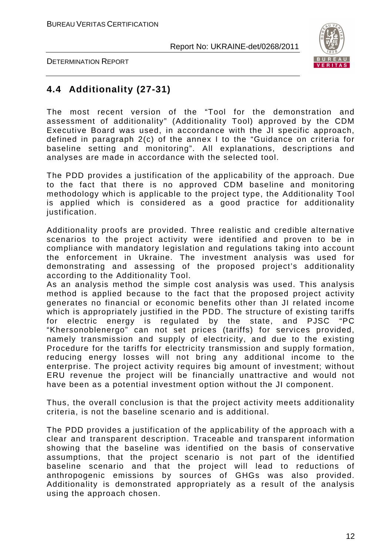

DETERMINATION REPORT

## **4.4 Additionality (27-31)**

The most recent version of the "Tool for the demonstration and assessment of additionality" (Additionality Tool) approved by the CDM Executive Board was used, in accordance with the JI specific approach, defined in paragraph 2(c) of the annex I to the "Guidance on criteria for baseline setting and monitoring". All explanations, descriptions and analyses are made in accordance with the selected tool.

The PDD provides a justification of the applicability of the approach. Due to the fact that there is no approved CDM baseline and monitoring methodology which is applicable to the project type, the Additionality Tool is applied which is considered as a good practice for additionality justification.

Additionality proofs are provided. Three realistic and credible alternative scenarios to the project activity were identified and proven to be in compliance with mandatory legislation and regulations taking into account the enforcement in Ukraine. The investment analysis was used for demonstrating and assessing of the proposed project's additionality according to the Additionality Tool.

As an analysis method the simple cost analysis was used. This analysis method is applied because to the fact that the proposed project activity generates no financial or economic benefits other than JI related income which is appropriately justified in the PDD. The structure of existing tariffs for electric energy is regulated by the state, and PJSC "PC "Khersonoblenergo" can not set prices (tariffs) for services provided, namely transmission and supply of electricity, and due to the existing Procedure for the tariffs for electricity transmission and supply formation, reducing energy losses will not bring any additional income to the enterprise. The project activity requires big amount of investment; without ERU revenue the project will be financially unattractive and would not have been as a potential investment option without the JI component.

Thus, the overall conclusion is that the project activity meets additionality criteria, is not the baseline scenario and is additional.

The PDD provides a justification of the applicability of the approach with a clear and transparent description. Traceable and transparent information showing that the baseline was identified on the basis of conservative assumptions, that the project scenario is not part of the identified baseline scenario and that the project will lead to reductions of anthropogenic emissions by sources of GHGs was also provided. Additionality is demonstrated appropriately as a result of the analysis using the approach chosen.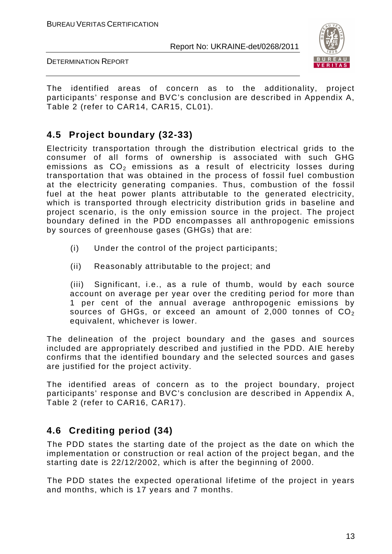

DETERMINATION REPORT

The identified areas of concern as to the additionality, project participants' response and BVC's conclusion are described in Appendix A, Table 2 (refer to CAR14, CAR15, CL01).

## **4.5 Project boundary (32-33)**

Electricity transportation through the distribution electrical grids to the consumer of all forms of ownership is associated with such GHG emissions as  $CO<sub>2</sub>$  emissions as a result of electricity losses during transportation that was obtained in the process of fossil fuel combustion at the electricity generating companies. Thus, combustion of the fossil fuel at the heat power plants attributable to the generated electricity, which is transported through electricity distribution grids in baseline and project scenario, is the only emission source in the project. The project boundary defined in the PDD encompasses all anthropogenic emissions by sources of greenhouse gases (GHGs) that are:

- (i) Under the control of the project participants;
- (ii) Reasonably attributable to the project; and

(iii) Significant, i.e., as a rule of thumb, would by each source account on average per year over the crediting period for more than 1 per cent of the annual average anthropogenic emissions by sources of GHGs, or exceed an amount of 2,000 tonnes of  $CO<sub>2</sub>$ equivalent, whichever is lower.

The delineation of the project boundary and the gases and sources included are appropriately described and justified in the PDD. AIE hereby confirms that the identified boundary and the selected sources and gases are justified for the project activity.

The identified areas of concern as to the project boundary, project participants' response and BVC's conclusion are described in Appendix A, Table 2 (refer to CAR16, CAR17).

## **4.6 Crediting period (34)**

The PDD states the starting date of the project as the date on which the implementation or construction or real action of the project began, and the starting date is 22/12/2002, which is after the beginning of 2000.

The PDD states the expected operational lifetime of the project in years and months, which is 17 years and 7 months.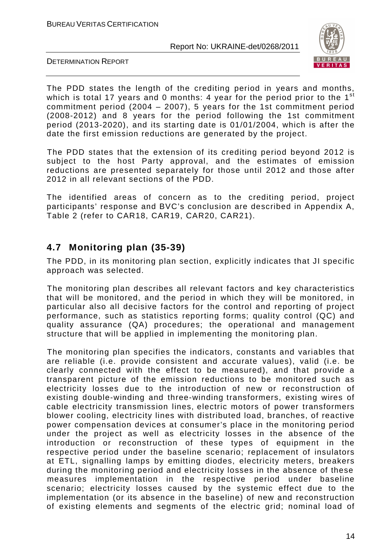

DETERMINATION REPORT

The PDD states the length of the crediting period in years and months, which is total 17 years and 0 months: 4 year for the period prior to the 1<sup>st</sup> commitment period (2004 – 2007), 5 years for the 1st commitment period (2008-2012) and 8 years for the period following the 1st commitment period (2013-2020), and its starting date is 01/01/2004, which is after the date the first emission reductions are generated by the project.

The PDD states that the extension of its crediting period beyond 2012 is subject to the host Party approval, and the estimates of emission reductions are presented separately for those until 2012 and those after 2012 in all relevant sections of the PDD.

The identified areas of concern as to the crediting period, project participants' response and BVC's conclusion are described in Appendix A, Table 2 (refer to CAR18, CAR19, CAR20, CAR21).

## **4.7 Monitoring plan (35-39)**

The PDD, in its monitoring plan section, explicitly indicates that JI specific approach was selected.

The monitoring plan describes all relevant factors and key characteristics that will be monitored, and the period in which they will be monitored, in particular also all decisive factors for the control and reporting of project performance, such as statistics reporting forms; quality control (QC) and quality assurance (QA) procedures; the operational and management structure that will be applied in implementing the monitoring plan.

The monitoring plan specifies the indicators, constants and variables that are reliable (i.e. provide consistent and accurate values), valid (i.e. be clearly connected with the effect to be measured), and that provide a transparent picture of the emission reductions to be monitored such as electricity losses due to the introduction of new or reconstruction of existing double-winding and three-winding transformers, existing wires of cable electricity transmission lines, electric motors of power transformers blower cooling, electricity lines with distributed load, branches, of reactive power compensation devices at consumer's place in the monitoring period under the project as well as electricity losses in the absence of the introduction or reconstruction of these types of equipment in the respective period under the baseline scenario; replacement of insulators at ETL, signalling lamps by emitting diodes, electricity meters, breakers during the monitoring period and electricity losses in the absence of these measures implementation in the respective period under baseline scenario; electricity losses caused by the systemic effect due to the implementation (or its absence in the baseline) of new and reconstruction of existing elements and segments of the electric grid; nominal load of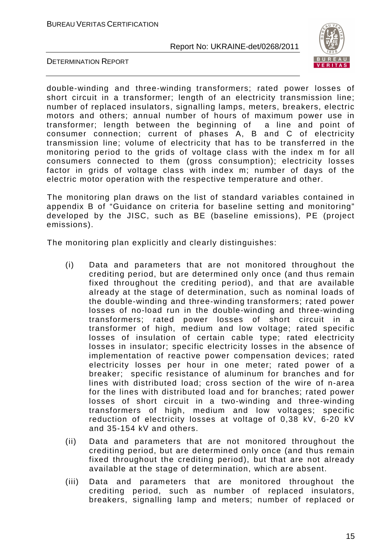

DETERMINATION REPORT

double-winding and three-winding transformers; rated power losses of short circuit in a transformer; length of an electricity transmission line; number of replaced insulators, signalling lamps, meters, breakers, electric motors and others; annual number of hours of maximum power use in transformer; length between the beginning of a line and point of consumer connection; current of phases A, B and C of electricity transmission line; volume of electricity that has to be transferred in the monitoring period to the grids of voltage class with the index m for all consumers connected to them (gross consumption); electricity losses factor in grids of voltage class with index m; number of days of the electric motor operation with the respective temperature and other.

The monitoring plan draws on the list of standard variables contained in appendix B of "Guidance on criteria for baseline setting and monitoring" developed by the JISC, such as BE (baseline emissions), PE (project emissions).

The monitoring plan explicitly and clearly distinguishes:

- (i) Data and parameters that are not monitored throughout the crediting period, but are determined only once (and thus remain fixed throughout the crediting period), and that are available already at the stage of determination, such as nominal loads of the double-winding and three-winding transformers; rated power losses of no-load run in the double-winding and three-winding transformers; rated power losses of short circuit in a transformer of high, medium and low voltage; rated specific losses of insulation of certain cable type; rated electricity losses in insulator; specific electricity losses in the absence of implementation of reactive power compensation devices; rated electricity losses per hour in one meter; rated power of a breaker; specific resistance of aluminum for branches and for lines with distributed load; cross section of the wire of n-area for the lines with distributed load and for branches; rated power losses of short circuit in a two-winding and three-winding transformers of high, medium and low voltages; specific reduction of electricity losses at voltage of 0,38 kV, 6-20 kV and 35-154 kV and others.
- (ii) Data and parameters that are not monitored throughout the crediting period, but are determined only once (and thus remain fixed throughout the crediting period), but that are not already available at the stage of determination, which are absent.
- (iii) Data and parameters that are monitored throughout the crediting period, such as number of replaced insulators, breakers, signalling lamp and meters; number of replaced or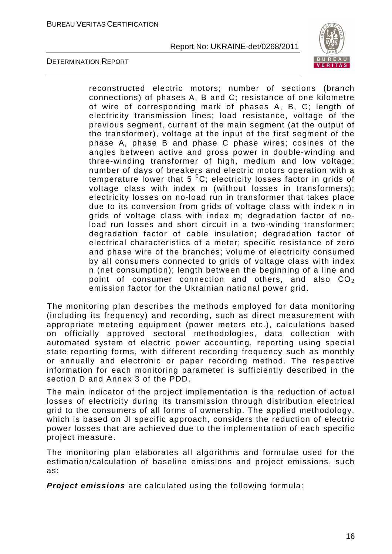

DETERMINATION REPORT

reconstructed electric motors; number of sections (branch connections) of phases A, B and C; resistance of one kilometre of wire of corresponding mark of phases A, B, C; length of electricity transmission lines; load resistance, voltage of the previous segment, current of the main segment (at the output of the transformer), voltage at the input of the first segment of the phase A, phase B and phase C phase wires; cosines of the angles between active and gross power in double-winding and three-winding transformer of high, medium and low voltage; number of days of breakers and electric motors operation with a temperature lower that 5  $^{0}C$ ; electricity losses factor in grids of voltage class with index m (without losses in transformers); electricity losses on no-load run in transformer that takes place due to its conversion from grids of voltage class with index n in grids of voltage class with index m; degradation factor of noload run losses and short circuit in a two-winding transformer; degradation factor of cable insulation; degradation factor of electrical characteristics of a meter; specific resistance of zero and phase wire of the branches; volume of electricity consumed by all consumers connected to grids of voltage class with index n (net consumption); length between the beginning of a line and point of consumer connection and others, and also  $CO<sub>2</sub>$ emission factor for the Ukrainian national power grid.

The monitoring plan describes the methods employed for data monitoring (including its frequency) and recording, such as direct measurement with appropriate metering equipment (power meters etc.), calculations based on officially approved sectoral methodologies, data collection with automated system of electric power accounting, reporting using special state reporting forms, with different recording frequency such as monthly or annually and electronic or paper recording method. The respective information for each monitoring parameter is sufficiently described in the section D and Annex 3 of the PDD.

The main indicator of the project implementation is the reduction of actual losses of electricity during its transmission through distribution electrical grid to the consumers of all forms of ownership. The applied methodology, which is based on JI specific approach, considers the reduction of electric power losses that are achieved due to the implementation of each specific project measure.

The monitoring plan elaborates all algorithms and formulae used for the estimation/calculation of baseline emissions and project emissions, such as:

**Project emissions** are calculated using the following formula: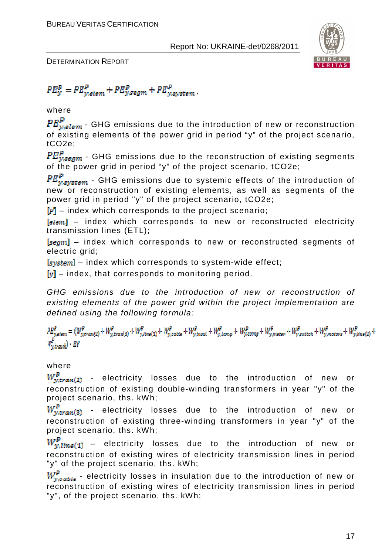

DETERMINATION REPORT

 $PE_{y}^{P} = PE_{y,elem}^{P} + PE_{y,segm}^{P} + PE_{y,system}^{P}$ 

where

 $PE_{y,elem}^P$  - GHG emissions due to the introduction of new or reconstruction of existing elements of the power grid in period "y" of the project scenario, tCO2e;

 ${PE}_{v,\text{seam}}^p$  - GHG emissions due to the reconstruction of existing segments of the power grid in period "y" of the project scenario, tCO2e;

 $PE_{ysystem}^P$  - GHG emissions due to systemic effects of the introduction of new or reconstruction of existing elements, as well as segments of the power grid in period "y" of the project scenario, tCO2e;

 $\left[P\right]$  – index which corresponds to the project scenario;

 $[elem]$  – index which corresponds to new or reconstructed electricity transmission lines (ETL);

[segm] - index which corresponds to new or reconstructed segments of electric grid;

 $[s<sub>system</sub>]$  – index which corresponds to system-wide effect;

 $[v]$  – index, that corresponds to monitoring period.

GHG emissions due to the introduction of new or reconstruction of existing elements of the power grid within the project implementation are defined using the following formula:

 $\label{eq:2} \begin{aligned} P E_{y,elem}^P = (W_{y,tran(2)}^P + W_{y,tran(3)}^P + W_{y,time(1)}^P + W_{y,calcle}^P + W_{y,insul}^P + W_{y,lang}^P + W_{y,comp}^P + W_{y,name}^P + W_{y,switch}^P + W_{y,matter}^P + W_{y,line(2)}^P + W_{y,time(3)}^P + W_{y,time(4)}^P + W_{y,time(5)}^P + W_{y,time(6)}^P + W_{y,time(7)}^P + W_{y,time(8)}^P + W_{y,time(9)}^P + W_{y,time(9)}^P +$  $\mathcal{C}'_{y,branch}$ ) • EF

#### where

 $W_{\text{wtran}(2)}^P$  - electricity losses due to the introduction of new or reconstruction of existing double-winding transformers in year "y" of the project scenario, ths. kWh;

 $W^p_{y,tran(3)}$  - electricity losses due to the introduction of new or reconstruction of existing three-winding transformers in year "y" of the project scenario, ths. kWh;

 $W_{y, line(1)}^P$  – electricity losses due to the introduction of new or reconstruction of existing wires of electricity transmission lines in period "y" of the project scenario, ths. kWh;

 $W_{v, c_0 h l_0}^P$  - electricity losses in insulation due to the introduction of new or reconstruction of existing wires of electricity transmission lines in period "y", of the project scenario, ths. kWh;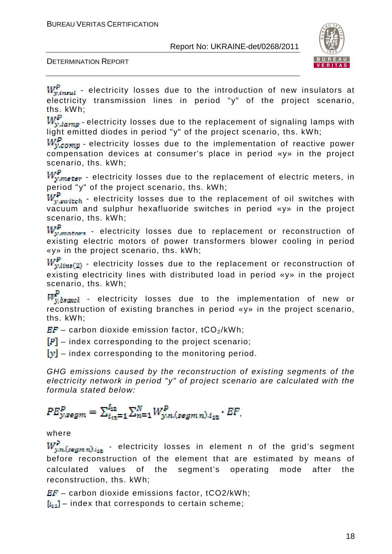

DETERMINATION REPORT

 $W_{y,inual}^{\mathbb{P}}$  - electricity losses due to the introduction of new insulators at electricity transmission lines in period "y" of the project scenario, ths. kWh;<br>*W.*P.

r $r_{y, lamp}$  - electricity losses due to the replacement of signaling lamps with light emitted diodes in period "y" of the project scenario, ths. kWh;

 $W_{v,comp}^P$  - electricity losses due to the implementation of reactive power compensation devices at consumer's place in period «y» in the project scenario, ths. kWh;

 $W_{y,meter}^{P}$  - electricity losses due to the replacement of electric meters, in period "y" of the project scenario, ths. kWh;

 $W_{v, switch}^{P}$  - electricity losses due to the replacement of oil switches with vacuum and sulphur hexafluoride switches in period «y» in the project

scenario, ths.  $kWh$ ;<br> $W_r^P$  $f_{w, matter}$  - electricity losses due to replacement or reconstruction of existing electric motors of power transformers blower cooling in period «y» in the project scenario, ths. kWh;

 $W_{y,lins(2)}^P$  - electricity losses due to the replacement or reconstruction of existing electricity lines with distributed load in period «y» in the project scenario, ths. kWh;

 $\frac{1}{v\, branch}$  - electricity losses due to the implementation of new or reconstruction of existing branches in period «y» in the project scenario, ths. kWh;

 $EF -$  carbon dioxide emission factor, tCO<sub>2</sub>/kWh;

 $[P]$  – index corresponding to the project scenario;

 $[y]$  – index corresponding to the monitoring period.

GHG emissions caused by the reconstruction of existing segments of the electricity network in period "y" of project scenario are calculated with the formula stated below:

## $PE_{y,segm}^{P} = \sum_{i_{m}=1}^{I_{12}} \sum_{n=1}^{N} W_{y,n,(segmn),i_{12}}^{P} \cdot EF_{n}$

#### where

 $\frac{dV}{d\mu m}(sggmn)_{d_{12}}$  - electricity losses in element n of the grid's segment before reconstruction of the element that are estimated by means of calculated values of the segment's operating mode after the reconstruction, ths. kWh;

 $EF -$  carbon dioxide emissions factor, tCO2/kWh;

 $[i_{12}]$  – index that corresponds to certain scheme;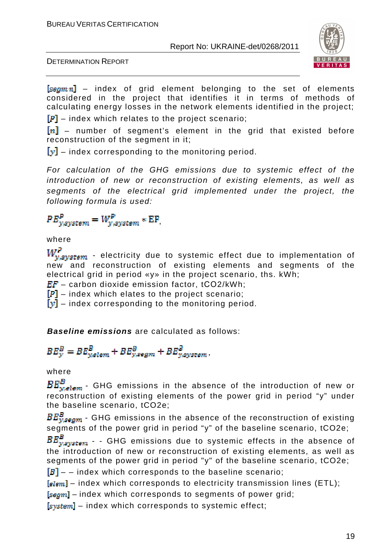

DETERMINATION REPORT

 $[segmn]$  – index of grid element belonging to the set of elements considered in the project that identifies it in terms of methods of calculating energy losses in the network elements identified in the project;

 $\mathbb{F}$  – index which relates to the project scenario;

 $[n]$  – number of segment's element in the grid that existed before reconstruction of the segment in it;

 $[y]$  – index corresponding to the monitoring period.

For calculation of the GHG emissions due to systemic effect of the introduction of new or reconstruction of existing elements, as well as segments of the electrical grid implemented under the project, the following formula is used:

 $PE_{vsvstem}^P = W_{v,svstem}^P * EF,$ 

where

 $W^p$  $\mathcal{L}_{\mathit{asystem}}$  - electricity due to systemic effect due to implementation of new and reconstruction of existing elements and segments of the electrical grid in period «y» in the project scenario, ths. kWh;

 $EF -$  carbon dioxide emission factor, tCO2/kWh;

 $[P]$  – index which elates to the project scenario;

 $[y]$  – index corresponding to the monitoring period.

**Baseline emissions** are calculated as follows:

 $BE_{y}^{B} = BE_{yellow}^{B} + BE_{y,segm}^{B} + BE_{y,system}^{B},$ 

where

 $\frac{1}{\omega_{\text{elem}}}$  – GHG emissions in the absence of the introduction of new or reconstruction of existing elements of the power grid in period "y" under the baseline scenario, tCO2e;

 $BE_{ysgam}^B$  - GHG emissions in the absence of the reconstruction of existing segments of the power grid in period "y" of the baseline scenario, tCO2e;<br> $BE_{vsystem}^B$  - GHG emissions due to systemic effects in the absence c

 $\frac{P}{V}$  - - GHG emissions due to systemic effects in the absence of the introduction of new or reconstruction of existing elements, as well as segments of the power grid in period "y" of the baseline scenario, tCO2e;

 $[B]$  – – index which corresponds to the baseline scenario;

 $[elem]$  – index which corresponds to electricity transmission lines (ETL);

 $[segm]$  – index which corresponds to segments of power grid;

 $[system]$  – index which corresponds to systemic effect;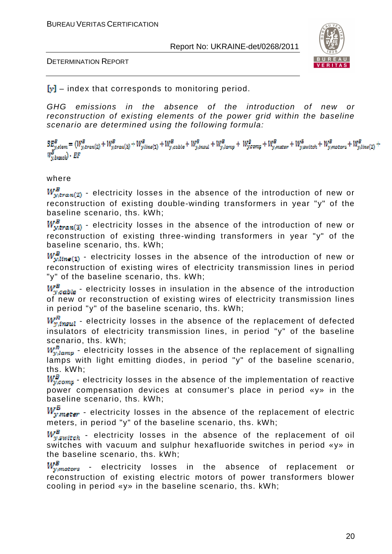



 $[y]$  – index that corresponds to monitoring period.

GHG emissions in the absence of the introduction of new or reconstruction of existing elements of the power grid within the baseline scenario are determined using the following formula:

 $B_{\underline{y},elem}^{B}=(W_{y,tran(2)}^{B}+W_{y,tran(3)}^{B}+W_{y,tran(1)}^{B}+W_{y,calb}^{B}+W_{y,insul}^{B}+W_{y,long}^{B}+W_{y,comp}^{B}+W_{y,inner}^{B}+W_{y,suitch}^{B}+W_{y,matter}^{B}+W_{y,mass}^{B}+W_{y,mincl}^{B})$  $W_{y,brank}^{B}$ . EF

#### where

 $W_{y,tran(2)}^B$  - electricity losses in the absence of the introduction of new or reconstruction of existing double-winding transformers in year "y" of the baseline scenario, ths. kWh;

 $W_{w,tran(3)}^B$  - electricity losses in the absence of the introduction of new or reconstruction of existing three-winding transformers in year "y" of the baseline scenario, ths. kWh;

 $W_{w, line(1)}^B$  - electricity losses in the absence of the introduction of new or reconstruction of existing wires of electricity transmission lines in period "y" of the baseline scenario, ths. kWh;

 $W_{\nu, cable}^B$  - electricity losses in insulation in the absence of the introduction of new or reconstruction of existing wires of electricity transmission lines in period "y" of the baseline scenario, ths. kWh;

 $W_{\text{w,insul}}^{\text{F}}$  - electricity losses in the absence of the replacement of defected insulators of electricity transmission lines, in period "y" of the baseline scenario, ths. kWh;

 $W_{v, lmm}^R$  - electricity losses in the absence of the replacement of signalling lamps with light emitting diodes, in period "y" of the baseline scenario, ths. kWh;

 $W_{v,com}^B$  - electricity losses in the absence of the implementation of reactive power compensation devices at consumer's place in period «y» in the baseline scenario, ths. kWh;

 $W_{y,meter}^B$  - electricity losses in the absence of the replacement of electric meters, in period "y" of the baseline scenario, ths. kWh;

 $W_{v, switch}^B$  - electricity losses in the absence of the replacement of oil switches with vacuum and sulphur hexafluoride switches in period «y» in the baseline scenario, ths. kWh;

 $W_{y, motors}^B$  - electricity losses in the absence of replacement or reconstruction of existing electric motors of power transformers blower cooling in period «y» in the baseline scenario, ths. kWh;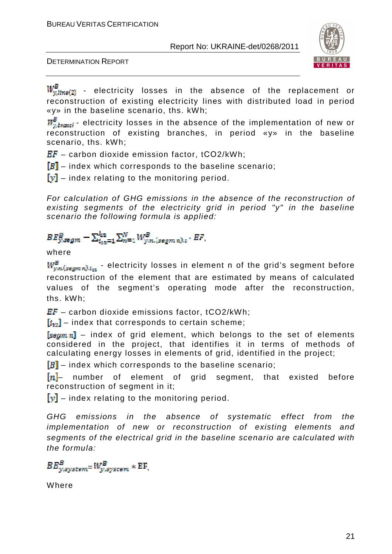



 $W^B_{y,line(2)}$  - electricity losses in the absence of the replacement or reconstruction of existing electricity lines with distributed load in period «y» in the baseline scenario, ths. kWh;

 $W_{v\,h\nu\,mol}^B$  - electricity losses in the absence of the implementation of new or reconstruction of existing branches, in period «y» in the baseline scenario, ths. kWh;

 $EF -$  carbon dioxide emission factor, tCO2/kWh;

 $[B]$  – index which corresponds to the baseline scenario;

 $[y]$  – index relating to the monitoring period.

For calculation of GHG emissions in the absence of the reconstruction of existing segments of the electricity grid in period "y" in the baseline scenario the following formula is applied:

$$
BE_{y,segm}^{B} - \sum_{i_{12}=1}^{i_{12}} \sum_{n=1}^{N} W_{y,n,(segm n),i}^{B} \cdot EF,
$$

#### where

 $W^B_{y,n, (segmn), i_{43}}$  - electricity losses in element n of the grid's segment before reconstruction of the element that are estimated by means of calculated values of the segment's operating mode after the reconstruction, ths. kWh;

 $EF -$  carbon dioxide emissions factor, tCO2/kWh;

 $[i_{12}]$  – index that corresponds to certain scheme;

 $\sqrt{\text{tau}}$  – index of grid element, which belongs to the set of elements considered in the project, that identifies it in terms of methods of calculating energy losses in elements of grid, identified in the project;

 $[B]$  – index which corresponds to the baseline scenario;

 $[n]$  number of element of grid segment, that existed before reconstruction of segment in it;

 $\|\mathbf{v}\|$  – index relating to the monitoring period.

GHG emissions in the absence of systematic effect from the implementation of new or reconstruction of existing elements and segments of the electrical grid in the baseline scenario are calculated with the formula:

 $BE_{w, system}^B = W_{w, system}^B * EF,$ 

Where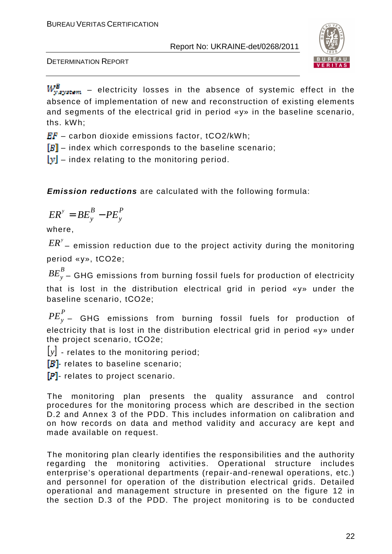

DETERMINATION REPORT

 $W_{y, system}^B$  – electricity losses in the absence of systemic effect in the absence of implementation of new and reconstruction of existing elements and segments of the electrical grid in period «y» in the baseline scenario, ths. kWh;

 $EF -$  carbon dioxide emissions factor, tCO2/kWh;

 $[B]$  – index which corresponds to the baseline scenario;

 $[y]$  – index relating to the monitoring period.

**Emission reductions** are calculated with the following formula:

$$
ER^y = BE_y^B - PE_y^P
$$

where,

 ${\it ER}^{\rm y}$  – emission reduction due to the project activity during the monitoring period «у», tCO2e;

*B BE<sup>y</sup>* – GHG emissions from burning fossil fuels for production of electricity that is lost in the distribution electrical grid in period «у» under the baseline scenario, tСO2e;

*P PE<sup>y</sup>* – GHG emissions from burning fossil fuels for production of electricity that is lost in the distribution electrical grid in period «y» under the project scenario, tСO2e;

 $|y|$  - relates to the monitoring period;

 $[B]$ - relates to baseline scenario;

 $[P]$ - relates to project scenario.

The monitoring plan presents the quality assurance and control procedures for the monitoring process which are described in the section D.2 and Annex 3 of the PDD. This includes information on calibration and on how records on data and method validity and accuracy are kept and made available on request.

The monitoring plan clearly identifies the responsibilities and the authority regarding the monitoring activities. Operational structure includes enterprise's operational departments (repair-and-renewal operations, etc.) and personnel for operation of the distribution electrical grids. Detailed operational and management structure in presented on the figure 12 in the section D.3 of the PDD. The project monitoring is to be conducted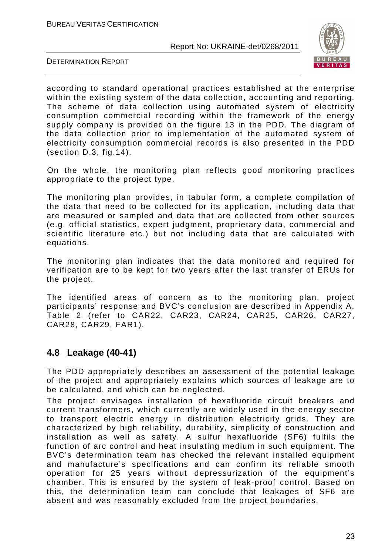

DETERMINATION REPORT

according to standard operational practices established at the enterprise within the existing system of the data collection, accounting and reporting. The scheme of data collection using automated system of electricity consumption commercial recording within the framework of the energy supply company is provided on the figure 13 in the PDD. The diagram of the data collection prior to implementation of the automated system of electricity consumption commercial records is also presented in the PDD (section D.3, fig.14).

On the whole, the monitoring plan reflects good monitoring practices appropriate to the project type.

The monitoring plan provides, in tabular form, a complete compilation of the data that need to be collected for its application, including data that are measured or sampled and data that are collected from other sources (e.g. official statistics, expert judgment, proprietary data, commercial and scientific literature etc.) but not including data that are calculated with equations.

The monitoring plan indicates that the data monitored and required for verification are to be kept for two years after the last transfer of ERUs for the project.

The identified areas of concern as to the monitoring plan, project participants' response and BVC's conclusion are described in Appendix A, Table 2 (refer to CAR22, CAR23, CAR24, CAR25, CAR26, CAR27, CAR28, CAR29, FAR1).

## **4.8 Leakage (40-41)**

The PDD appropriately describes an assessment of the potential leakage of the project and appropriately explains which sources of leakage are to be calculated, and which can be neglected.

The project envisages installation of hexafluoride circuit breakers and current transformers, which currently are widely used in the energy sector to transport electric energy in distribution electricity grids. They are characterized by high reliability, durability, simplicity of construction and installation as well as safety. A sulfur hexafluoride (SF6) fulfils the function of arc control and heat insulating medium in such equipment. The BVC's determination team has checked the relevant installed equipment and manufacture's specifications and can confirm its reliable smooth operation for 25 years without depressurization of the equipment's chamber. This is ensured by the system of leak-proof control. Based on this, the determination team can conclude that leakages of SF6 are absent and was reasonably excluded from the project boundaries.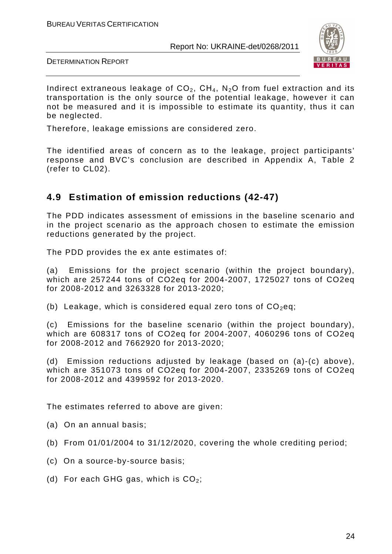

DETERMINATION REPORT

Indirect extraneous leakage of  $CO<sub>2</sub>$ ,  $CH<sub>4</sub>$ , N<sub>2</sub>O from fuel extraction and its transportation is the only source of the potential leakage, however it can not be measured and it is impossible to estimate its quantity, thus it can be neglected.

Therefore, leakage emissions are considered zero.

The identified areas of concern as to the leakage, project participants' response and BVC's conclusion are described in Appendix A, Table 2 (refer to CL02).

## **4.9 Estimation of emission reductions (42-47)**

The PDD indicates assessment of emissions in the baseline scenario and in the project scenario as the approach chosen to estimate the emission reductions generated by the project.

The PDD provides the ex ante estimates of:

(a) Emissions for the project scenario (within the project boundary), which are 257244 tons of CO2eq for 2004-2007, 1725027 tons of CO2eq for 2008-2012 and 3263328 for 2013-2020;

(b) Leakage, which is considered equal zero tons of  $CO<sub>2</sub>$ eq;

(c) Emissions for the baseline scenario (within the project boundary), which are 608317 tons of CO2eq for 2004-2007, 4060296 tons of CO2eq for 2008-2012 and 7662920 for 2013-2020;

(d) Emission reductions adjusted by leakage (based on (a)-(c) above), which are 351073 tons of CO2eq for 2004-2007, 2335269 tons of CO2eq for 2008-2012 and 4399592 for 2013-2020.

The estimates referred to above are given:

- (a) On an annual basis;
- (b) From 01/01/2004 to 31/12/2020, covering the whole crediting period;
- (c) On a source-by-source basis;
- (d) For each GHG gas, which is  $CO<sub>2</sub>$ ;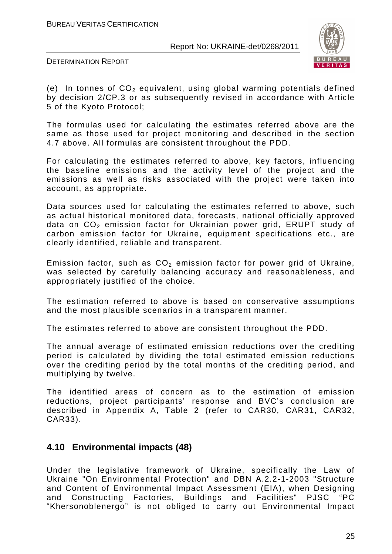

DETERMINATION REPORT

(e) In tonnes of  $CO<sub>2</sub>$  equivalent, using global warming potentials defined by decision 2/CP.3 or as subsequently revised in accordance with Article 5 of the Kyoto Protocol;

The formulas used for calculating the estimates referred above are the same as those used for project monitoring and described in the section 4.7 above. All formulas are consistent throughout the PDD.

For calculating the estimates referred to above, key factors, influencing the baseline emissions and the activity level of the project and the emissions as well as risks associated with the project were taken into account, as appropriate.

Data sources used for calculating the estimates referred to above, such as actual historical monitored data, forecasts, national officially approved data on  $CO<sub>2</sub>$  emission factor for Ukrainian power grid, ERUPT study of carbon emission factor for Ukraine, equipment specifications etc., are clearly identified, reliable and transparent.

Emission factor, such as  $CO<sub>2</sub>$  emission factor for power grid of Ukraine, was selected by carefully balancing accuracy and reasonableness, and appropriately justified of the choice.

The estimation referred to above is based on conservative assumptions and the most plausible scenarios in a transparent manner.

The estimates referred to above are consistent throughout the PDD.

The annual average of estimated emission reductions over the crediting period is calculated by dividing the total estimated emission reductions over the crediting period by the total months of the crediting period, and multiplying by twelve.

The identified areas of concern as to the estimation of emission reductions, project participants' response and BVC's conclusion are described in Appendix A, Table 2 (refer to CAR30, CAR31, CAR32, CAR33).

## **4.10 Environmental impacts (48)**

Under the legislative framework of Ukraine, specifically the Law of Ukraine "On Environmental Protection" and DBN А.2.2-1-2003 "Structure and Content of Environmental Impact Assessment (EIA), when Designing and Constructing Factories, Buildings and Facilities" PJSC "PC "Khersonoblenergo" is not obliged to carry out Environmental Impact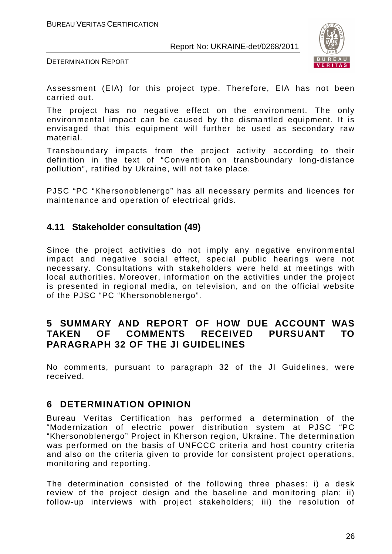



Assessment (EIA) for this project type. Therefore, EIA has not been carried out.

The project has no negative effect on the environment. The only environmental impact can be caused by the dismantled equipment. It is envisaged that this equipment will further be used as secondary raw material.

Transboundary impacts from the project activity according to their definition in the text of "Convention on transboundary long-distance pollution", ratified by Ukraine, will not take place.

PJSC "PC "Khersonoblenergo" has all necessary permits and licences for maintenance and operation of electrical grids.

### **4.11 Stakeholder consultation (49)**

Since the project activities do not imply any negative environmental impact and negative social effect, special public hearings were not necessary. Consultations with stakeholders were held at meetings with local authorities. Moreover, information on the activities under the project is presented in regional media, on television, and on the official website of the PJSC "PC "Khersonoblenergo".

### **5 SUMMARY AND REPORT OF HOW DUE ACCOUNT WAS TAKEN OF COMMENTS RECEIVED PURSUANT TO PARAGRAPH 32 OF THE JI GUIDELINES**

No comments, pursuant to paragraph 32 of the JI Guidelines, were received.

## **6 DETERMINATION OPINION**

Bureau Veritas Certification has performed a determination of the "Modernization of electric power distribution system at PJSC "PC "Khersonoblenergo" Project in Kherson region, Ukraine. The determination was performed on the basis of UNFCCC criteria and host country criteria and also on the criteria given to provide for consistent project operations, monitoring and reporting.

The determination consisted of the following three phases: i) a desk review of the project design and the baseline and monitoring plan; ii) follow-up interviews with project stakeholders; iii) the resolution of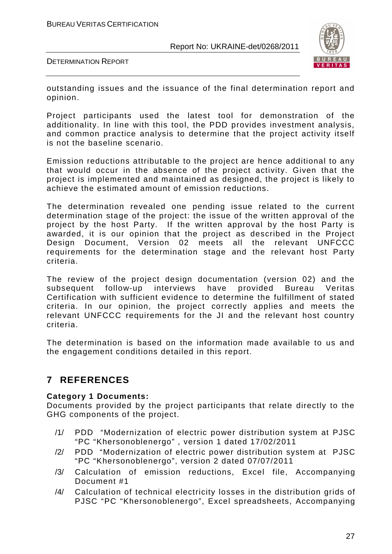

DETERMINATION REPORT

outstanding issues and the issuance of the final determination report and opinion.

Project participants used the latest tool for demonstration of the additionality. In line with this tool, the PDD provides investment analysis, and common practice analysis to determine that the project activity itself is not the baseline scenario.

Emission reductions attributable to the project are hence additional to any that would occur in the absence of the project activity. Given that the project is implemented and maintained as designed, the project is likely to achieve the estimated amount of emission reductions.

The determination revealed one pending issue related to the current determination stage of the project: the issue of the written approval of the project by the host Party. If the written approval by the host Party is awarded, it is our opinion that the project as described in the Project Design Document, Version 02 meets all the relevant UNFCCC requirements for the determination stage and the relevant host Party criteria.

The review of the project design documentation (version 02) and the subsequent follow-up interviews have provided Bureau Veritas Certification with sufficient evidence to determine the fulfillment of stated criteria. In our opinion, the project correctly applies and meets the relevant UNFCCC requirements for the JI and the relevant host country criteria.

The determination is based on the information made available to us and the engagement conditions detailed in this report.

## **7 REFERENCES**

#### **Category 1 Documents:**

Documents provided by the project participants that relate directly to the GHG components of the project.

- /1/ PDD "Modernization of electric power distribution system at PJSC "PC "Khersonoblenergo" , version 1 dated 17/02/2011
- /2/ PDD "Modernization of electric power distribution system at PJSC "PC "Khersonoblenergo", version 2 dated 07/07/2011
- /3/ Calculation of emission reductions, Excel file, Accompanying Document #1
- /4/ Calculation of technical electricity losses in the distribution grids of PJSC "PC "Khersonoblenergo", Excel spreadsheets, Accompanying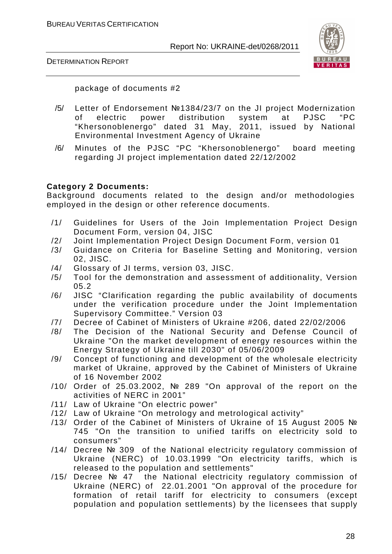



package of documents #2

- /5/ Letter of Endorsement №1384/23/7 on the JI project Modernization of electric power distribution system at PJSC "PC "Khersonoblenergo" dated 31 May, 2011, issued by National Environmental Investment Agency of Ukraine
- /6/ Minutes of the PJSC "PC "Khersonoblenergo" board meeting regarding JI project implementation dated 22/12/2002

#### **Category 2 Documents:**

Background documents related to the design and/or methodologies employed in the design or other reference documents.

- /1/ Guidelines for Users of the Join Implementation Project Design Document Form, version 04, JISC
- /2/ Joint Implementation Project Design Document Form, version 01
- /3/ Guidance on Criteria for Baseline Setting and Monitoring, version 02, JISC.
- /4/ Glossary of JI terms, version 03, JISC.
- /5/ Tool for the demonstration and assessment of additionality, Version 05.2
- /6/ JISC "Clarification regarding the public availability of documents under the verification procedure under the Joint Implementation Supervisory Committee." Version 03
- /7/ Decree of Cabinet of Ministers of Ukraine #206, dated 22/02/2006
- /8/ The Decision of the National Security and Defense Council of Ukraine "On the market development of energy resources within the Energy Strategy of Ukraine till 2030" of 05/06/2009
- /9/ Concept of functioning and development of the wholesale electricity market of Ukraine, approved by the Cabinet of Ministers of Ukraine of 16 November 2002
- /10/ Order of 25.03.2002, № 289 "On approval of the report on the activities of NERC in 2001"
- /11/ Law of Ukraine "On electric power"
- /12/ Law of Ukraine "On metrology and metrological activity"
- /13/ Order of the Cabinet of Ministers of Ukraine of 15 August 2005 № 745 "On the transition to unified tariffs on electricity sold to consumers"
- /14/ Decree № 309 of the National electricity regulatory commission of Ukraine (NERC) of 10.03.1999 "On electricity tariffs, which is released to the population and settlements"
- /15/ Decree № 47 the National electricity regulatory commission of Ukraine (NERC) of 22.01.2001 "On approval of the procedure for formation of retail tariff for electricity to consumers (except population and population settlements) by the licensees that supply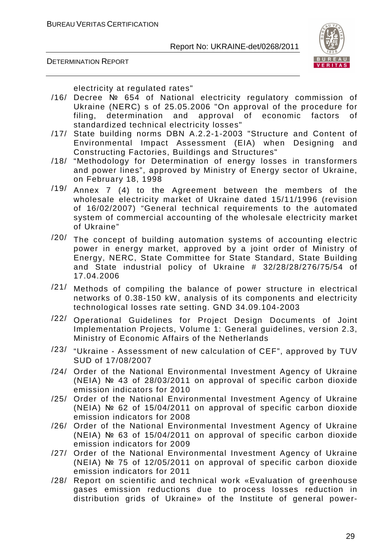

DETERMINATION REPORT

electricity at regulated rates"

- /16/ Decree № 654 of National electricity regulatory commission of Ukraine (NERC) s of 25.05.2006 "On approval of the procedure for filing, determination and approval of economic factors of standardized technical electricity losses"
- /17/ State building norms DBN A.2.2-1-2003 "Structure and Content of Environmental Impact Assessment (EIA) when Designing and Constructing Factories, Buildings and Structures"
- /18/ "Methodology for Determination of energy losses in transformers and power lines", approved by Ministry of Energy sector of Ukraine, on February 18, 1998
- /19/ Annex 7 (4) to the Agreement between the members of the wholesale electricity market of Ukraine dated 15/11/1996 (revision of 16/02/2007) "General technical requirements to the automated system of commercial accounting of the wholesale electricity market of Ukraine"
- /20/ The concept of building automation systems of accounting electric power in energy market, approved by a joint order of Ministry of Energy, NERC, State Committee for State Standard, State Building and State industrial policy of Ukraine # 32/28/28/276/75/54 of 17.04.2006
- /21/ Methods of compiling the balance of power structure in electrical networks of 0.38-150 kW, analysis of its components and electricity technological losses rate setting. GND 34.09.104-2003
- /22/ Operational Guidelines for Project Design Documents of Joint Implementation Projects, Volume 1: General guidelines, version 2.3, Ministry of Economic Affairs of the Netherlands
- /23/ "Ukraine Assessment of new calculation of CEF", approved by TUV SUD of 17/08/2007
- /24/ Order of the National Environmental Investment Agency of Ukraine (NEIA) № 43 of 28/03/2011 on approval of specific carbon dioxide emission indicators for 2010
- /25/ Order of the National Environmental Investment Agency of Ukraine (NEIA) № 62 of 15/04/2011 on approval of specific carbon dioxide emission indicators for 2008
- /26/ Order of the National Environmental Investment Agency of Ukraine (NEIA) № 63 of 15/04/2011 on approval of specific carbon dioxide emission indicators for 2009
- /27/ Order of the National Environmental Investment Agency of Ukraine (NEIA) № 75 of 12/05/2011 on approval of specific carbon dioxide emission indicators for 2011
- /28/ Report on scientific and technical work «Evaluation of greenhouse gases emission reductions due to process losses reduction in distribution grids of Ukraine» of the Institute of general power-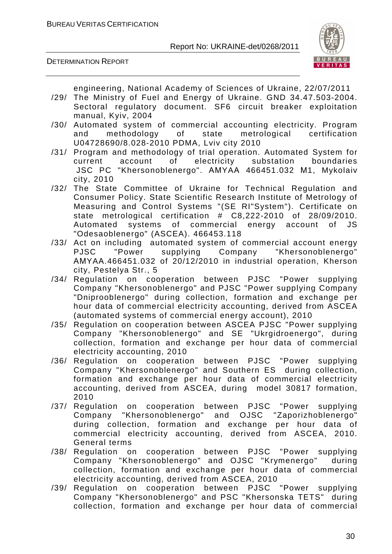



engineering, National Academy of Sciences of Ukraine, 22/07/2011

- /29/ The Ministry of Fuel and Energy of Ukraine. GND 34.47.503-2004. Sectoral regulatory document. SF6 circuit breaker exploitation manual, Kyiv, 2004
- /30/ Automated system of commercial accounting electricity. Program and methodology of state metrological certification U04728690/8.028-2010 PDMA, Lviv city 2010
- /31/ Program and methodology of trial operation. Automated System for current account of electricity substation boundaries JSC PC "Khersonoblenergo". АМYAА 466451.032 М1, Mykolaiv city, 2010
- /32/ The State Committee of Ukraine for Technical Regulation and Consumer Policy. State Scientific Research Institute of Metrology of Measuring and Control Systems "(SE RI"System"). Certificate on state metrological certification # C8,222-2010 of 28/09/2010. Automated systems of commercial energy account of JS "Odesaoblenergo" (ASCEA). 466453.118
- /33/ Act on including automated system of commercial account energy PJSC "Power supplying Company "Khersonoblenergo" АМYAА.466451.032 of 20/12/2010 in industrial operation, Kherson city, Pestelya Str., 5
- /34/ Regulation on cooperation between PJSC "Power supplying Company "Khersonoblenergo" and PJSC "Power supplying Company "Dniprooblenergo" during collection, formation and exchange per hour data of commercial electricity accounting, derived from ASCEA (automated systems of commercial energy account), 2010
- /35/ Regulation on cooperation between ASCEA PJSC "Power supplying Company "Khersonoblenergo" and SE "Ukrgidroenergo", during collection, formation and exchange per hour data of commercial electricity accounting, 2010
- /36/ Regulation on cooperation between PJSC "Power supplying Company "Khersonoblenergo" and Southern ES during collection, formation and exchange per hour data of commercial electricity accounting, derived from ASCEA, during model 30817 formation, 2010
- /37/ Regulation on cooperation between PJSC "Power supplying Company "Khersonoblenergo" and OJSC "Zaporizhoblenergo" during collection, formation and exchange per hour data of commercial electricity accounting, derived from ASCEA, 2010. General terms
- /38/ Regulation on cooperation between PJSC "Power supplying Company "Khersonoblenergo" and OJSC "Krymenergo" during collection, formation and exchange per hour data of commercial electricity accounting, derived from ASCEA, 2010
- /39/ Regulation on cooperation between PJSC "Power supplying Company "Khersonoblenergo" and PSC "Khersonska TETS" during collection, formation and exchange per hour data of commercial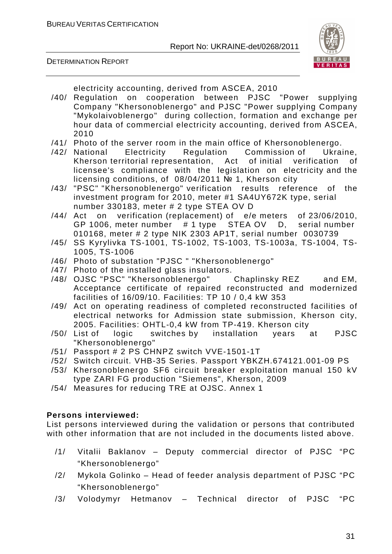



electricity accounting, derived from ASCEA, 2010

- /40/ Regulation on cooperation between PJSC "Power supplying Company "Khersonoblenergo" and PJSC "Power supplying Company "Mykolaivoblenergo" during collection, formation and exchange per hour data of commercial electricity accounting, derived from ASCEA, 2010
- /41/ Photo of the server room in the main office of Khersonoblenergo.
- /42/ National Electricity Regulation Commission of Ukraine, Kherson territorial representation, Act of initial verification of licensee's compliance with the legislation on electricity and the licensing conditions, of 08/04/2011 № 1, Kherson city
- /43/ "PSC" "Khersonoblenergo" verification results reference of the investment program for 2010, meter #1 SA4UY672K type, serial number 330183, meter # 2 type STEA OV D
- /44/ Act on verification (replacement) of e/e meters of 23/06/2010, GP 1006, meter number # 1 type STEA OV D, serial number 010168, meter # 2 type NIK 2303 AP1T, serial number 0030739
- /45/ SS Kyrylivka TS-1001, TS-1002, TS-1003, TS-1003a, TS-1004, TS-1005, TS-1006
- /46/ Photo of substation "PJSC " "Khersonoblenergo"
- /47/ Photo of the installed glass insulators.
- /48/ OJSC "PSC" "Khersonoblenergo" Chaplinsky REZ and EM, Acceptance certificate of repaired reconstructed and modernized facilities of 16/09/10. Facilities: TP 10 / 0,4 kW 353
- /49/ Act on operating readiness of completed reconstructed facilities of electrical networks for Admission state submission, Kherson city, 2005. Facilities: OHTL-0,4 kW from TP-419. Kherson city
- /50/ List of logic switches by installation years at PJSC "Khersonoblenergo"
- /51/ Passport # 2 PS CHNPZ switch VVE-1501-1T
- /52/ Switch circuit. VHB-35 Series. Passport YBKZH.674121.001-09 PS
- /53/ Khersonoblenergo SF6 circuit breaker exploitation manual 150 kV type ZARI FG production "Siemens", Kherson, 2009
- /54/ Measures for reducing TRE at OJSC. Annex 1

#### **Persons interviewed:**

List persons interviewed during the validation or persons that contributed with other information that are not included in the documents listed above.

- /1/ Vitalii Baklanov Deputy commercial director of PJSC "PC "Khersonoblenergo"
- /2/ Mykola Golinko Head of feeder analysis department of PJSC "PC "Khersonoblenergo"
- /3/ Volodymyr Hetmanov Technical director of PJSC "PC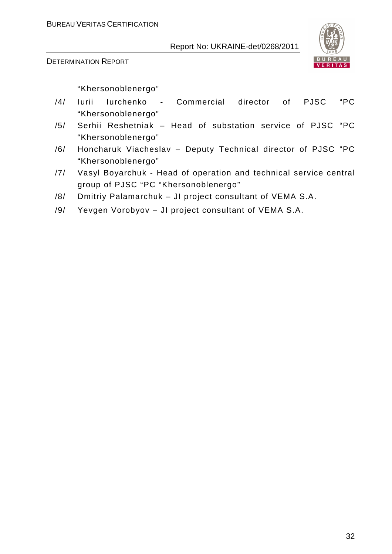



"Khersonoblenergo"

- /4/ Iurii Iurchenko Commercial director of PJSC "PC "Khersonoblenergo"
- /5/ Serhii Reshetniak Head of substation service of PJSC "PC "Khersonoblenergo"
- /6/ Honcharuk Viacheslav Deputy Technical director of PJSC "PC "Khersonoblenergo"
- /7/ Vasyl Boyarchuk Head of operation and technical service central group of PJSC "PC "Khersonoblenergo"
- /8/ Dmitriy Palamarchuk JI project consultant of VEMA S.A.
- /9/ Yevgen Vorobyov JI project consultant of VEMA S.A.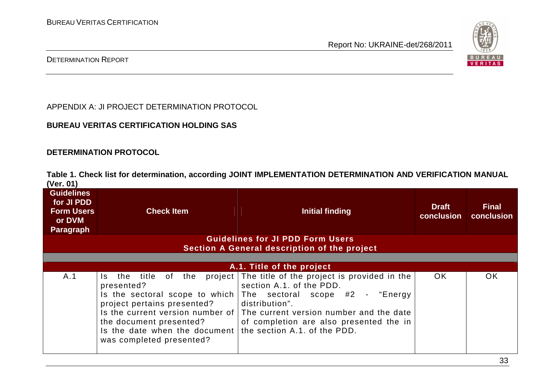

#### DETERMINATION REPORT

APPENDIX A: JI PROJECT DETERMINATION PROTOCOL

#### **BUREAU VERITAS CERTIFICATION HOLDING SAS**

#### **DETERMINATION PROTOCOL**

**Table 1. Check list for determination, according JOINT IMPLEMENTATION DETERMINATION AND VERIFICATION MANUAL (Ver. 01)** 

| <b>Guidelines</b><br>for JI PDD<br><b>Form Users</b><br>or DVM<br><b>Paragraph</b> | <b>Check Item</b>                                                                                                                                                                                                                        | Initial finding                                                                                                                                                                                                                                              | <b>Draft</b><br>conclusion | <b>Final</b><br>conclusion |
|------------------------------------------------------------------------------------|------------------------------------------------------------------------------------------------------------------------------------------------------------------------------------------------------------------------------------------|--------------------------------------------------------------------------------------------------------------------------------------------------------------------------------------------------------------------------------------------------------------|----------------------------|----------------------------|
|                                                                                    |                                                                                                                                                                                                                                          | <b>Guidelines for JI PDD Form Users</b><br>Section A General description of the project                                                                                                                                                                      |                            |                            |
|                                                                                    |                                                                                                                                                                                                                                          |                                                                                                                                                                                                                                                              |                            |                            |
|                                                                                    |                                                                                                                                                                                                                                          | A.1. Title of the project                                                                                                                                                                                                                                    |                            |                            |
| A.1                                                                                | title<br>of the<br>the<br>Is.<br>presented?<br>Is the sectoral scope to which<br>project pertains presented?<br>Is the current version number of<br>the document presented?<br>Is the date when the document<br>was completed presented? | project   The title of the project is provided in the<br>section A.1. of the PDD.<br>The sectoral scope #2 - "Energy<br>distribution".<br>The current version number and the date<br>of completion are also presented the in<br>the section A.1, of the PDD. | OK.                        | <b>OK</b>                  |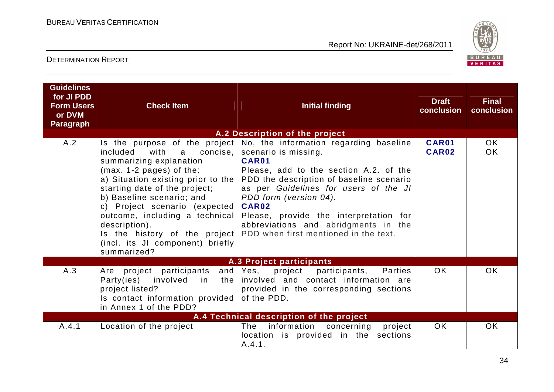

## DETERMINATION REPORT

| <b>Guidelines</b><br>for JI PDD<br><b>Form Users</b><br>or DVM<br><b>Paragraph</b> | <b>Check Item</b>                                                                                                                                                                                                                                                                                                                                                                                        | <b>Initial finding</b>                                                                                                                                                                                                                                                                                                                                               | <b>Draft</b><br>conclusion | <b>Final</b><br>conclusion |  |
|------------------------------------------------------------------------------------|----------------------------------------------------------------------------------------------------------------------------------------------------------------------------------------------------------------------------------------------------------------------------------------------------------------------------------------------------------------------------------------------------------|----------------------------------------------------------------------------------------------------------------------------------------------------------------------------------------------------------------------------------------------------------------------------------------------------------------------------------------------------------------------|----------------------------|----------------------------|--|
|                                                                                    |                                                                                                                                                                                                                                                                                                                                                                                                          | A.2 Description of the project                                                                                                                                                                                                                                                                                                                                       |                            |                            |  |
| A.2                                                                                | Is the purpose of the project<br>with<br>included<br>concise.<br>a<br>summarizing explanation<br>$(max. 1-2 pages)$ of the:<br>a) Situation existing prior to the<br>starting date of the project;<br>b) Baseline scenario; and<br>c) Project scenario (expected)<br>outcome, including a technical<br>description).<br>Is the history of the project<br>(incl. its JI component) briefly<br>summarized? | No, the information regarding baseline<br>scenario is missing.<br>CAR01<br>Please, add to the section A.2. of the<br>PDD the description of baseline scenario<br>as per Guidelines for users of the JI<br>PDD form (version 04).<br>CAR02<br>Please, provide the interpretation for<br>abbreviations and abridgments in the<br>PDD when first mentioned in the text. | CAR01<br>CAR02             | OK.<br><b>OK</b>           |  |
| A.3 Project participants                                                           |                                                                                                                                                                                                                                                                                                                                                                                                          |                                                                                                                                                                                                                                                                                                                                                                      |                            |                            |  |
| A.3                                                                                | Are project participants<br>Party(ies)<br>involved<br>in<br>the  <br>project listed?<br>Is contact information provided<br>in Annex 1 of the PDD?                                                                                                                                                                                                                                                        | and   Yes,<br>project participants,<br>Parties<br>involved and contact information are<br>provided in the corresponding sections<br>of the PDD.                                                                                                                                                                                                                      | OK.                        | <b>OK</b>                  |  |
|                                                                                    |                                                                                                                                                                                                                                                                                                                                                                                                          | A.4 Technical description of the project                                                                                                                                                                                                                                                                                                                             |                            |                            |  |
| A.4.1                                                                              | Location of the project                                                                                                                                                                                                                                                                                                                                                                                  | information<br>The<br>concerning<br>project<br>location is provided in the sections<br>A.4.1.                                                                                                                                                                                                                                                                        | <b>OK</b>                  | <b>OK</b>                  |  |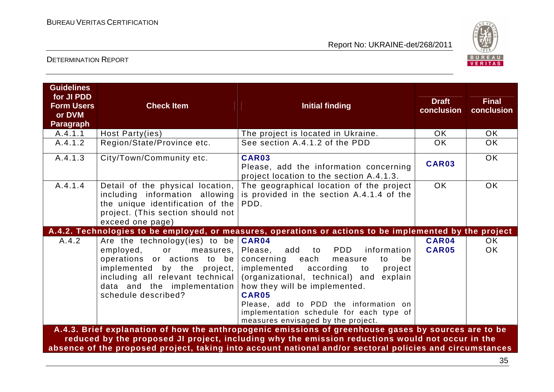

## DETERMINATION REPORT

| <b>Guidelines</b><br>for JI PDD<br><b>Form Users</b><br>or DVM<br><b>Paragraph</b> | <b>Check Item</b>                                                                                                                                                                                            | <b>Initial finding</b>                                                                                                                                                                                                                                                                                                                                | <b>Draft</b><br>conclusion | <b>Final</b><br>conclusion |  |
|------------------------------------------------------------------------------------|--------------------------------------------------------------------------------------------------------------------------------------------------------------------------------------------------------------|-------------------------------------------------------------------------------------------------------------------------------------------------------------------------------------------------------------------------------------------------------------------------------------------------------------------------------------------------------|----------------------------|----------------------------|--|
| A.4.1.1                                                                            | Host Party(ies)                                                                                                                                                                                              | The project is located in Ukraine.                                                                                                                                                                                                                                                                                                                    | OK.                        | OK.                        |  |
| A.4.1.2                                                                            | Region/State/Province etc.                                                                                                                                                                                   | See section A.4.1.2 of the PDD                                                                                                                                                                                                                                                                                                                        | <b>OK</b>                  | OK.                        |  |
| A.4.1.3                                                                            | City/Town/Community etc.                                                                                                                                                                                     | CAR03<br>Please, add the information concerning<br>project location to the section A.4.1.3.                                                                                                                                                                                                                                                           | CAR03                      | <b>OK</b>                  |  |
| A.4.1.4                                                                            | Detail of the physical location,<br>including information allowing<br>the unique identification of the<br>project. (This section should not<br>exceed one page)                                              | The geographical location of the project<br>is provided in the section A.4.1.4 of the<br>PDD.                                                                                                                                                                                                                                                         | <b>OK</b>                  | OK                         |  |
|                                                                                    |                                                                                                                                                                                                              | A.4.2. Technologies to be employed, or measures, operations or actions to be implemented by the project                                                                                                                                                                                                                                               |                            |                            |  |
| A.4.2                                                                              | Are the technology (ies) to be                                                                                                                                                                               | CAR04                                                                                                                                                                                                                                                                                                                                                 | CAR04                      | OK.                        |  |
|                                                                                    | employed,<br>or<br>measures,<br>operations or actions to be<br>implemented by the project,<br>including all relevant technical<br>data and the implementation<br>schedule described?                         | <b>PDD</b><br>Please, add<br>information<br>to<br>concerning each<br>be<br>measure<br>to<br>implemented<br>according<br>project<br>to<br>(organizational, technical) and explain<br>how they will be implemented.<br>CAR05<br>Please, add to PDD the information on<br>implementation schedule for each type of<br>measures envisaged by the project. | <b>CAR05</b>               | OK.                        |  |
|                                                                                    |                                                                                                                                                                                                              | A.4.3. Brief explanation of how the anthropogenic emissions of greenhouse gases by sources are to be                                                                                                                                                                                                                                                  |                            |                            |  |
|                                                                                    | reduced by the proposed JI project, including why the emission reductions would not occur in the<br>absence of the proposed project, taking into account national and/or sectoral policies and circumstances |                                                                                                                                                                                                                                                                                                                                                       |                            |                            |  |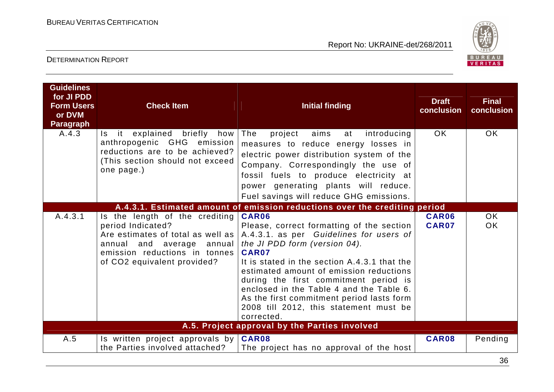

| <b>Guidelines</b><br>for JI PDD<br><b>Form Users</b><br>or DVM<br><b>Paragraph</b> | <b>Check Item</b>                                                                                                                                                                        | <b>Initial finding</b>                                                                                                                                                                                                                                                                                                                                                                                                       | <b>Draft</b><br>conclusion | <b>Final</b><br>conclusion |
|------------------------------------------------------------------------------------|------------------------------------------------------------------------------------------------------------------------------------------------------------------------------------------|------------------------------------------------------------------------------------------------------------------------------------------------------------------------------------------------------------------------------------------------------------------------------------------------------------------------------------------------------------------------------------------------------------------------------|----------------------------|----------------------------|
| A.4.3                                                                              | Is it explained briefly how<br>anthropogenic GHG emission<br>reductions are to be achieved?<br>(This section should not exceed<br>one page.)                                             | The<br>aims<br>project<br>introducing<br>at<br>measures to reduce energy losses in<br>electric power distribution system of the<br>Company. Correspondingly the use of<br>fossil fuels to produce electricity at<br>power generating plants will reduce.<br>Fuel savings will reduce GHG emissions.                                                                                                                          | OK.                        | <b>OK</b>                  |
|                                                                                    |                                                                                                                                                                                          | A.4.3.1. Estimated amount of emission reductions over the crediting period                                                                                                                                                                                                                                                                                                                                                   |                            |                            |
| A.4.3.1                                                                            | Is the length of the crediting<br>period Indicated?<br>Are estimates of total as well as<br>annual and average<br>annual<br>emission reductions in tonnes<br>of CO2 equivalent provided? | CAR06<br>Please, correct formatting of the section<br>A.4.3.1. as per Guidelines for users of<br>the JI PDD form (version 04).<br>CAR07<br>It is stated in the section A.4.3.1 that the<br>estimated amount of emission reductions<br>during the first commitment period is<br>enclosed in the Table 4 and the Table 6.<br>As the first commitment period lasts form<br>2008 till 2012, this statement must be<br>corrected. | CAR06<br>CAR07             | OK<br><b>OK</b>            |
|                                                                                    |                                                                                                                                                                                          | A.5. Project approval by the Parties involved                                                                                                                                                                                                                                                                                                                                                                                |                            |                            |
| A.5                                                                                | Is written project approvals by $CRR08$<br>the Parties involved attached?                                                                                                                | The project has no approval of the host                                                                                                                                                                                                                                                                                                                                                                                      | CAR08                      | Pending                    |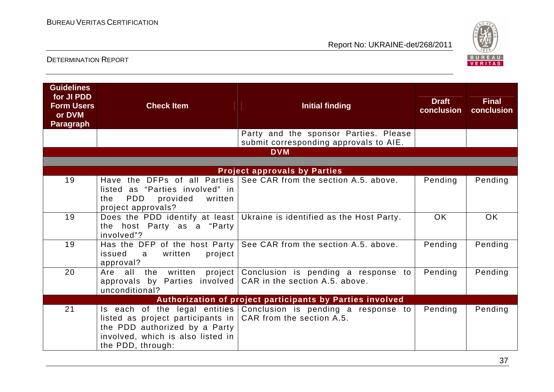

| <b>Guidelines</b><br>for JI PDD<br><b>Form Users</b><br>or DVM<br><b>Paragraph</b> | <b>Check Item</b>                                                                                                                                          | <b>Initial finding</b>                                                          | <b>Draft</b><br>conclusion | <b>Final</b><br>conclusion |
|------------------------------------------------------------------------------------|------------------------------------------------------------------------------------------------------------------------------------------------------------|---------------------------------------------------------------------------------|----------------------------|----------------------------|
|                                                                                    |                                                                                                                                                            | Party and the sponsor Parties. Please<br>submit corresponding approvals to AIE. |                            |                            |
|                                                                                    |                                                                                                                                                            | <b>DVM</b>                                                                      |                            |                            |
|                                                                                    |                                                                                                                                                            | <b>Project approvals by Parties</b>                                             |                            |                            |
| 19                                                                                 | listed as "Parties involved" in<br>PDD<br>provided<br>written<br>the<br>project approvals?                                                                 | Have the DFPs of all Parties See CAR from the section A.5. above.               | Pending                    | Pending                    |
| 19                                                                                 | the host Party as a "Party<br>involved"?                                                                                                                   | Does the PDD identify at least   Ukraine is identified as the Host Party.       | <b>OK</b>                  | <b>OK</b>                  |
| 19                                                                                 | written<br>project<br>issued<br>a a<br>approval?                                                                                                           | Has the DFP of the host Party   See CAR from the section A.5. above.            | Pending                    | Pending                    |
| 20                                                                                 | Are all the written<br>approvals by Parties involved $CAR$ in the section A.5. above.<br>unconditional?                                                    | project   Conclusion is pending a response to                                   | Pending                    | Pending                    |
| Authorization of project participants by Parties involved                          |                                                                                                                                                            |                                                                                 |                            |                            |
| 21                                                                                 | listed as project participants in $ $ CAR from the section A.5.<br>the PDD authorized by a Party<br>involved, which is also listed in<br>the PDD, through: | Is each of the legal entities Conclusion is pending a response to               | Pending                    | Pending                    |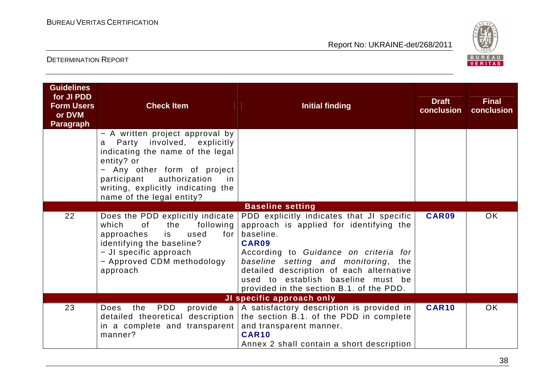

| <b>Guidelines</b><br>for JI PDD<br><b>Form Users</b><br>or DVM<br><b>Paragraph</b> | <b>Check Item</b>                                                                                                                                                                                                                                             | <b>Initial finding</b>                                                                                                                                                                                                                                                                                                    | <b>Draft</b><br>conclusion | <b>Final</b><br>conclusion |
|------------------------------------------------------------------------------------|---------------------------------------------------------------------------------------------------------------------------------------------------------------------------------------------------------------------------------------------------------------|---------------------------------------------------------------------------------------------------------------------------------------------------------------------------------------------------------------------------------------------------------------------------------------------------------------------------|----------------------------|----------------------------|
|                                                                                    | - A written project approval by<br>Party involved, explicitly<br>a<br>indicating the name of the legal<br>entity? or<br>Any other form of project<br>authorization<br>participant<br>in in<br>writing, explicitly indicating the<br>name of the legal entity? |                                                                                                                                                                                                                                                                                                                           |                            |                            |
|                                                                                    |                                                                                                                                                                                                                                                               | <b>Baseline setting</b>                                                                                                                                                                                                                                                                                                   |                            |                            |
| 22                                                                                 | Does the PDD explicitly indicate<br>which<br>of<br>the<br>following<br>approaches<br>is<br>used<br>for $\vert$<br>identifying the baseline?<br>- JI specific approach<br>- Approved CDM methodology<br>approach                                               | PDD explicitly indicates that JI specific<br>approach is applied for identifying the<br>baseline.<br>CAR09<br>According to Guidance on criteria for<br>baseline setting and monitoring, the<br>detailed description of each alternative<br>used to establish baseline must be<br>provided in the section B.1. of the PDD. | CAR09                      | OK                         |
|                                                                                    |                                                                                                                                                                                                                                                               | JI specific approach only                                                                                                                                                                                                                                                                                                 |                            |                            |
| 23                                                                                 | PDD<br>the<br>Does<br>in a complete and transparent<br>manner?                                                                                                                                                                                                | provide $a \mid A$ satisfactory description is provided in<br>detailed theoretical description the section B.1. of the PDD in complete<br>and transparent manner.<br>CAR <sub>10</sub><br>Annex 2 shall contain a short description                                                                                       | <b>CAR10</b>               | OK                         |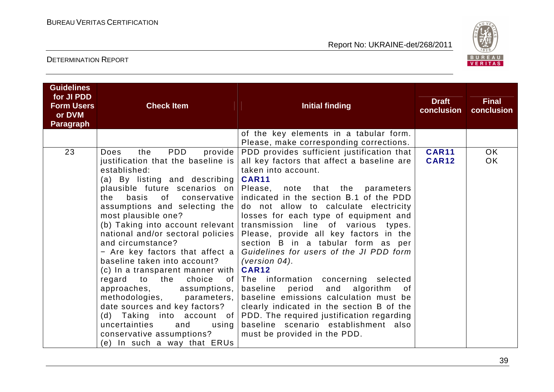

| <b>Guidelines</b><br>for JI PDD<br><b>Form Users</b><br>or DVM<br><b>Paragraph</b> | <b>Check Item</b>                                                                                                                                                                                                                                                                                                                                                                                                                                                                                                                                                                                                                                                                      | <b>Initial finding</b>                                                                                                                                                                                                                                                                                                                                                                                                                                                                                                                                                                                                                                                                                                                                                                                                            | <b>Draft</b><br>conclusion   | <b>Final</b><br>conclusion |
|------------------------------------------------------------------------------------|----------------------------------------------------------------------------------------------------------------------------------------------------------------------------------------------------------------------------------------------------------------------------------------------------------------------------------------------------------------------------------------------------------------------------------------------------------------------------------------------------------------------------------------------------------------------------------------------------------------------------------------------------------------------------------------|-----------------------------------------------------------------------------------------------------------------------------------------------------------------------------------------------------------------------------------------------------------------------------------------------------------------------------------------------------------------------------------------------------------------------------------------------------------------------------------------------------------------------------------------------------------------------------------------------------------------------------------------------------------------------------------------------------------------------------------------------------------------------------------------------------------------------------------|------------------------------|----------------------------|
|                                                                                    |                                                                                                                                                                                                                                                                                                                                                                                                                                                                                                                                                                                                                                                                                        | of the key elements in a tabular form.<br>Please, make corresponding corrections.                                                                                                                                                                                                                                                                                                                                                                                                                                                                                                                                                                                                                                                                                                                                                 |                              |                            |
| 23                                                                                 | <b>PDD</b><br>the<br>provide<br>Does<br>justification that the baseline is<br>established:<br>(a) By listing and describing<br>plausible future scenarios on<br>basis of conservative<br>the<br>assumptions and selecting the<br>most plausible one?<br>(b) Taking into account relevant<br>national and/or sectoral policies<br>and circumstance?<br>- Are key factors that affect a<br>baseline taken into account?<br>(c) In a transparent manner with<br>choice<br>regard to the<br>.of<br>approaches,<br>assumptions,<br>methodologies, parameters,<br>date sources and key factors?<br>uncertainties<br>and<br>using<br>conservative assumptions?<br>(e) In such a way that ERUs | PDD provides sufficient justification that<br>all key factors that affect a baseline are<br>taken into account.<br><b>CAR11</b><br>Please, note that the parameters<br>indicated in the section B.1 of the PDD<br>do not allow to calculate electricity<br>losses for each type of equipment and<br>transmission line of various types.<br>Please, provide all key factors in the<br>section B in a tabular form as per<br>Guidelines for users of the JI PDD form<br>(version $04$ ).<br><b>CAR12</b><br>The information concerning selected<br>baseline period<br>and<br>algorithm<br>0f<br>baseline emissions calculation must be<br>clearly indicated in the section B of the<br>(d) Taking into account of PDD. The required justification regarding<br>baseline scenario establishment also<br>must be provided in the PDD. | <b>CAR11</b><br><b>CAR12</b> | OK.<br>OK                  |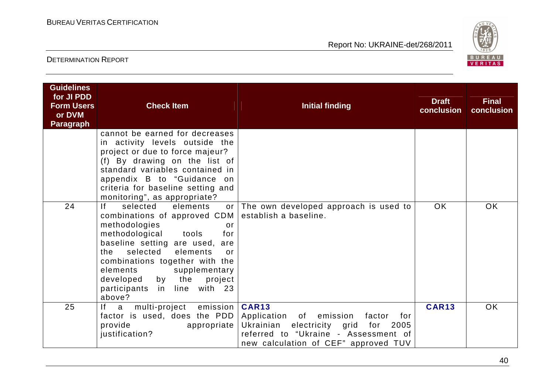

| <b>Guidelines</b><br>for JI PDD<br><b>Form Users</b><br>or DVM<br><b>Paragraph</b> | <b>Check Item</b>                                                                                                                                                                                                                                                                                                                                  | <b>Initial finding</b>                                                                                                                                                                   | <b>Draft</b><br>conclusion | <b>Final</b><br>conclusion |
|------------------------------------------------------------------------------------|----------------------------------------------------------------------------------------------------------------------------------------------------------------------------------------------------------------------------------------------------------------------------------------------------------------------------------------------------|------------------------------------------------------------------------------------------------------------------------------------------------------------------------------------------|----------------------------|----------------------------|
|                                                                                    | cannot be earned for decreases<br>in activity levels outside the<br>project or due to force majeur?<br>(f) By drawing on the list of<br>standard variables contained in<br>appendix B to "Guidance on<br>criteria for baseline setting and<br>monitoring", as appropriate?                                                                         |                                                                                                                                                                                          |                            |                            |
| 24                                                                                 | If.<br>selected<br>elements<br>combinations of approved CDM<br>methodologies<br><u>or</u><br>methodological tools<br>for<br>baseline setting are used,<br>are<br>selected<br>elements<br>the<br>$\alpha$ r<br>combinations together with the<br>elements<br>supplementary<br>developed by the<br>project<br>participants in line with 23<br>above? | or The own developed approach is used to<br>establish a baseline.                                                                                                                        | OK.                        | <b>OK</b>                  |
| 25                                                                                 | f <br>multi-project<br>emission  <br>a a<br>factor is used, does the PDD<br>provide<br>appropriate  <br>justification?                                                                                                                                                                                                                             | <b>CAR13</b><br>Application of emission<br>factor<br>for<br>Ukrainian<br>electricity grid<br>for<br>2005<br>referred to "Ukraine - Assessment of<br>new calculation of CEF" approved TUV | <b>CAR13</b>               | <b>OK</b>                  |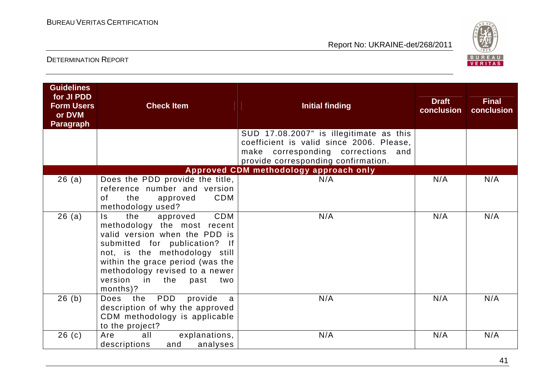

| <b>Guidelines</b><br>for JI PDD<br><b>Form Users</b><br>or DVM<br><b>Paragraph</b> | <b>Check Item</b>                                                                                                                                                                                                                                                               | <b>Initial finding</b>                                                                                                                                           | <b>Draft</b><br>conclusion | <b>Final</b><br>conclusion |
|------------------------------------------------------------------------------------|---------------------------------------------------------------------------------------------------------------------------------------------------------------------------------------------------------------------------------------------------------------------------------|------------------------------------------------------------------------------------------------------------------------------------------------------------------|----------------------------|----------------------------|
|                                                                                    |                                                                                                                                                                                                                                                                                 | SUD 17.08.2007" is illegitimate as this<br>coefficient is valid since 2006. Please,<br>make corresponding corrections and<br>provide corresponding confirmation. |                            |                            |
|                                                                                    |                                                                                                                                                                                                                                                                                 | Approved CDM methodology approach only                                                                                                                           |                            |                            |
| 26(a)                                                                              | Does the PDD provide the title,<br>reference number and version<br><b>CDM</b><br>of<br>the<br>approved<br>methodology used?                                                                                                                                                     | N/A                                                                                                                                                              | N/A                        | N/A                        |
| 26(a)                                                                              | CDM<br>the<br>approved<br>Is.<br>methodology the most recent<br>valid version when the PDD is<br>submitted for publication? If<br>not, is the methodology still<br>within the grace period (was the<br>methodology revised to a newer<br>version in the past<br>two<br>months)? | N/A                                                                                                                                                              | N/A                        | N/A                        |
| 26(b)                                                                              | the PDD<br>provide<br>Does<br>a<br>description of why the approved<br>CDM methodology is applicable<br>to the project?                                                                                                                                                          | N/A                                                                                                                                                              | N/A                        | N/A                        |
| 26(c)                                                                              | Are<br>all<br>explanations,<br>analyses<br>descriptions<br>and                                                                                                                                                                                                                  | N/A                                                                                                                                                              | N/A                        | N/A                        |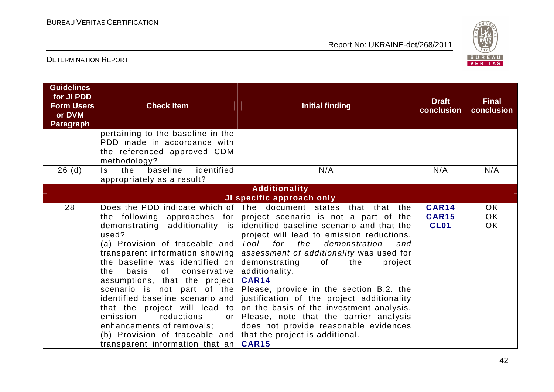

| <b>Guidelines</b><br>for JI PDD<br><b>Form Users</b><br>or DVM<br><b>Paragraph</b> | <b>Check Item</b>                                                                                                                                                                                                                                                                                                                                                                                                         | <b>Initial finding</b>                                                                                                                                                                                                                                                                                                                                                                                                                                                                                                                                                                                                                                                                                      | <b>Draft</b><br>conclusion                  | <b>Final</b><br>conclusion          |
|------------------------------------------------------------------------------------|---------------------------------------------------------------------------------------------------------------------------------------------------------------------------------------------------------------------------------------------------------------------------------------------------------------------------------------------------------------------------------------------------------------------------|-------------------------------------------------------------------------------------------------------------------------------------------------------------------------------------------------------------------------------------------------------------------------------------------------------------------------------------------------------------------------------------------------------------------------------------------------------------------------------------------------------------------------------------------------------------------------------------------------------------------------------------------------------------------------------------------------------------|---------------------------------------------|-------------------------------------|
|                                                                                    | pertaining to the baseline in the<br>PDD made in accordance with<br>the referenced approved CDM<br>methodology?                                                                                                                                                                                                                                                                                                           |                                                                                                                                                                                                                                                                                                                                                                                                                                                                                                                                                                                                                                                                                                             |                                             |                                     |
| 26(d)                                                                              | identified<br>baseline<br>the<br>Is.<br>appropriately as a result?                                                                                                                                                                                                                                                                                                                                                        | N/A                                                                                                                                                                                                                                                                                                                                                                                                                                                                                                                                                                                                                                                                                                         | N/A                                         | N/A                                 |
|                                                                                    |                                                                                                                                                                                                                                                                                                                                                                                                                           | <b>Additionality</b>                                                                                                                                                                                                                                                                                                                                                                                                                                                                                                                                                                                                                                                                                        |                                             |                                     |
|                                                                                    |                                                                                                                                                                                                                                                                                                                                                                                                                           | JI specific approach only                                                                                                                                                                                                                                                                                                                                                                                                                                                                                                                                                                                                                                                                                   |                                             |                                     |
| 28                                                                                 | the following approaches for<br>demonstrating additionality is<br>used?<br>(a) Provision of traceable and<br>transparent information showing<br>the baseline was identified on<br>basis of<br>conservative  <br>the<br>assumptions, that the project<br>that the project will lead to<br>reductions<br>emission<br>or 1<br>enhancements of removals;<br>(b) Provision of traceable and<br>transparent information that an | Does the PDD indicate which of The document states that that the<br>project scenario is not a part of the<br>identified baseline scenario and that the<br>project will lead to emission reductions.<br>for<br>the<br>Tool<br>demonstration<br>and<br>assessment of additionality was used for<br>demonstrating<br>the<br>of<br>project<br>additionality.<br>CAR14<br>scenario is not part of the Please, provide in the section B.2. the<br>identified baseline scenario and   justification of the project additionality<br>on the basis of the investment analysis.<br>Please, note that the barrier analysis<br>does not provide reasonable evidences<br>that the project is additional.<br><b>CAR15</b> | <b>CAR14</b><br><b>CAR15</b><br><b>CL01</b> | <b>OK</b><br><b>OK</b><br><b>OK</b> |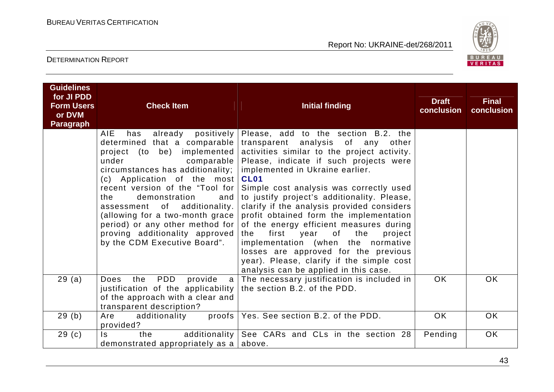

| <b>Guidelines</b><br>for JI PDD<br><b>Form Users</b><br>or DVM<br><b>Paragraph</b> | <b>Check Item</b>                                                                                                                                                                                                                                                                                                                                                                                                            | <b>Initial finding</b>                                                                                                                                                                                                                                                                                                                                                                                                                                                                                                                                                                                                                                                                      | <b>Draft</b><br>conclusion | <b>Final</b><br>conclusion |
|------------------------------------------------------------------------------------|------------------------------------------------------------------------------------------------------------------------------------------------------------------------------------------------------------------------------------------------------------------------------------------------------------------------------------------------------------------------------------------------------------------------------|---------------------------------------------------------------------------------------------------------------------------------------------------------------------------------------------------------------------------------------------------------------------------------------------------------------------------------------------------------------------------------------------------------------------------------------------------------------------------------------------------------------------------------------------------------------------------------------------------------------------------------------------------------------------------------------------|----------------------------|----------------------------|
|                                                                                    | <b>AIE</b><br>has<br>determined that a comparable<br>project (to be) implemented<br>under<br>comparable  <br>circumstances has additionality;  <br>(c) Application of the most<br>recent version of the "Tool for<br>demonstration<br>and<br>the<br>of additionality.<br>assessment<br>(allowing for a two-month grace)<br>period) or any other method for<br>proving additionality approved<br>by the CDM Executive Board". | already positively Please, add to the section B.2. the<br>transparent analysis of any<br>other<br>activities similar to the project activity.<br>Please, indicate if such projects were<br>implemented in Ukraine earlier.<br><b>CL01</b><br>Simple cost analysis was correctly used<br>to justify project's additionality. Please,<br>clarify if the analysis provided considers<br>profit obtained form the implementation<br>of the energy efficient measures during<br>first<br>of<br>the<br>year<br>project<br>the<br>implementation (when the normative<br>losses are approved for the previous<br>year). Please, clarify if the simple cost<br>analysis can be applied in this case. |                            |                            |
| 29(a)                                                                              | PDD<br>provide<br>Does<br>the<br>justification of the applicability the section B.2. of the PDD.<br>of the approach with a clear and<br>transparent description?                                                                                                                                                                                                                                                             | a   The necessary justification is included in                                                                                                                                                                                                                                                                                                                                                                                                                                                                                                                                                                                                                                              | OK.                        | OK.                        |
| 29(b)                                                                              | additionality<br>Are<br>provided?                                                                                                                                                                                                                                                                                                                                                                                            | proofs   Yes. See section B.2. of the PDD.                                                                                                                                                                                                                                                                                                                                                                                                                                                                                                                                                                                                                                                  | OK.                        | OK.                        |
| 29(c)                                                                              | $\mathsf{ls}$<br>the<br>demonstrated appropriately as a $ $ above.                                                                                                                                                                                                                                                                                                                                                           | additionality See CARs and CLs in the section 28                                                                                                                                                                                                                                                                                                                                                                                                                                                                                                                                                                                                                                            | Pending                    | <b>OK</b>                  |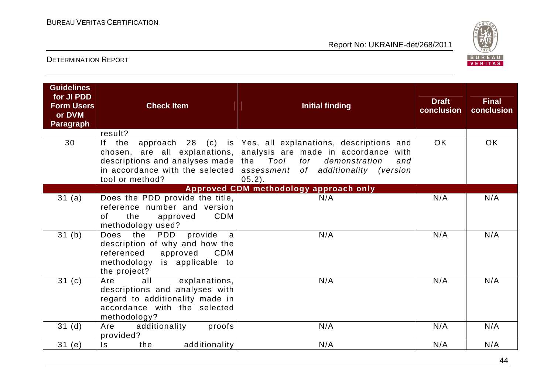

| for JI PDD<br><b>Draft</b><br><b>Form Users</b><br><b>Check Item</b><br><b>Initial finding</b><br>conclusion<br>or DVM<br><b>Paragraph</b> | <b>Final</b><br>conclusion |
|--------------------------------------------------------------------------------------------------------------------------------------------|----------------------------|
| result?<br>30<br>If the<br>approach 28 (c) is Yes, all explanations, descriptions and<br>OK.                                               | OK                         |
| chosen, are all explanations, analysis are made in accordance with                                                                         |                            |
| descriptions and analyses made the $Tool$<br>for demonstration<br>and<br>in accordance with the selected $ $                               |                            |
| assessment of additionality (version<br>$05.2$ ).<br>tool or method?                                                                       |                            |
| Approved CDM methodology approach only                                                                                                     |                            |
| Does the PDD provide the title,<br>N/A<br>31(a)<br>N/A                                                                                     | N/A                        |
| reference number and version                                                                                                               |                            |
| CDM<br>of<br>the<br>approved<br>methodology used?                                                                                          |                            |
| 31 <sub>(b)</sub><br>provide<br>N/A<br>Does the<br><b>PDD</b><br>N/A<br>a                                                                  | N/A                        |
| description of why and how the                                                                                                             |                            |
| referenced<br>approved<br>CDM                                                                                                              |                            |
| methodology is applicable to                                                                                                               |                            |
| the project?                                                                                                                               |                            |
| 31 <sub>(c)</sub><br>N/A<br>all<br>explanations,<br>N/A<br>Are<br>descriptions and analyses with                                           | N/A                        |
| regard to additionality made in                                                                                                            |                            |
| accordance with the selected                                                                                                               |                            |
| methodology?                                                                                                                               |                            |
| Are additionality<br>31 <sub>(d)</sub><br>proofs<br>N/A<br>N/A<br>provided?                                                                | N/A                        |
| additionality<br>N/A<br>31(e)<br>N/A<br>$\mathsf{ls}$<br>the                                                                               | N/A                        |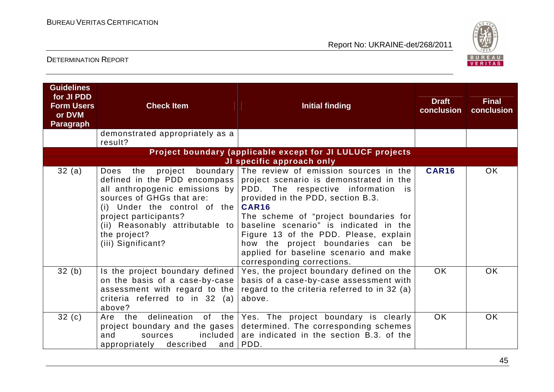

| <b>Guidelines</b><br>for JI PDD<br><b>Form Users</b><br>or DVM<br><b>Paragraph</b> | <b>Check Item</b>                                                                                                                                                                                                                                                               | <b>Initial finding</b>                                                                                                                                                                                                                                                                                                                                                                               | <b>Draft</b><br>conclusion | <b>Final</b><br>conclusion |
|------------------------------------------------------------------------------------|---------------------------------------------------------------------------------------------------------------------------------------------------------------------------------------------------------------------------------------------------------------------------------|------------------------------------------------------------------------------------------------------------------------------------------------------------------------------------------------------------------------------------------------------------------------------------------------------------------------------------------------------------------------------------------------------|----------------------------|----------------------------|
|                                                                                    | demonstrated appropriately as a<br>result?                                                                                                                                                                                                                                      |                                                                                                                                                                                                                                                                                                                                                                                                      |                            |                            |
|                                                                                    |                                                                                                                                                                                                                                                                                 | Project boundary (applicable except for JI LULUCF projects                                                                                                                                                                                                                                                                                                                                           |                            |                            |
|                                                                                    |                                                                                                                                                                                                                                                                                 | JI specific approach only                                                                                                                                                                                                                                                                                                                                                                            |                            |                            |
| 32(a)                                                                              | boundary  <br>project<br>Does<br>the<br>defined in the PDD encompass  <br>all anthropogenic emissions by<br>sources of GHGs that are:<br>(i) Under the control of the $CART6$<br>project participants?<br>(ii) Reasonably attributable to<br>the project?<br>(iii) Significant? | The review of emission sources in the<br>project scenario is demonstrated in the<br>PDD. The respective information is<br>provided in the PDD, section B.3.<br>The scheme of "project boundaries for<br>baseline scenario" is indicated in the<br>Figure 13 of the PDD. Please, explain<br>how the project boundaries can be<br>applied for baseline scenario and make<br>corresponding corrections. | <b>CAR16</b>               | <b>OK</b>                  |
| 32(b)                                                                              | Is the project boundary defined<br>on the basis of a case-by-case<br>assessment with regard to the<br>criteria referred to in 32 (a)<br>above?                                                                                                                                  | Yes, the project boundary defined on the<br>basis of a case-by-case assessment with<br>regard to the criteria referred to in 32 (a)<br>above.                                                                                                                                                                                                                                                        | <b>OK</b>                  | <b>OK</b>                  |
| 32(c)                                                                              | delineation<br>of .<br>the  <br>Are the<br>project boundary and the gases<br>included<br>and<br>sources<br>appropriately described<br>and                                                                                                                                       | Yes. The project boundary is clearly<br>determined. The corresponding schemes<br>are indicated in the section B.3. of the<br>PDD.                                                                                                                                                                                                                                                                    | <b>OK</b>                  | <b>OK</b>                  |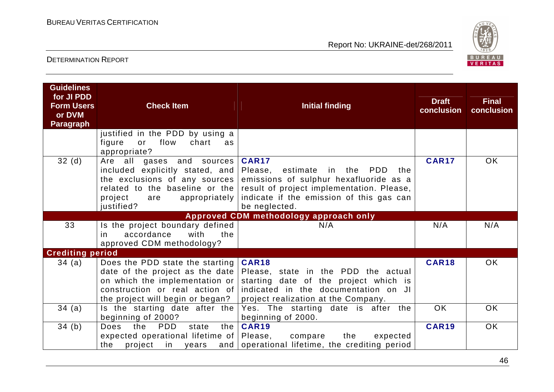

| <b>Guidelines</b><br>for JI PDD<br><b>Form Users</b><br>or DVM<br><b>Paragraph</b> | <b>Check Item</b>                                                                                                                                     | Initial finding                                                                                                                                                                                                                          | <b>Draft</b><br>conclusion | <b>Final</b><br>conclusion |
|------------------------------------------------------------------------------------|-------------------------------------------------------------------------------------------------------------------------------------------------------|------------------------------------------------------------------------------------------------------------------------------------------------------------------------------------------------------------------------------------------|----------------------------|----------------------------|
|                                                                                    | justified in the PDD by using a<br>flow<br>chart<br>figure<br>or<br>as<br>appropriate?                                                                |                                                                                                                                                                                                                                          |                            |                            |
| 32(d)                                                                              | Are all<br>gases and sources<br>included explicitly stated, and<br>the exclusions of any sources  <br>project<br>appropriately  <br>are<br>justified? | <b>CAR17</b><br>Please, estimate in the<br>PDD<br>the<br>emissions of sulphur hexafluoride as a<br>related to the baseline or the result of project implementation. Please,<br>indicate if the emission of this gas can<br>be neglected. | <b>CAR17</b>               | OK.                        |
|                                                                                    |                                                                                                                                                       | Approved CDM methodology approach only                                                                                                                                                                                                   |                            |                            |
| 33                                                                                 | Is the project boundary defined<br>accordance<br>with<br>the<br>in.<br>approved CDM methodology?                                                      | N/A                                                                                                                                                                                                                                      | N/A                        | N/A                        |
| <b>Crediting period</b>                                                            |                                                                                                                                                       |                                                                                                                                                                                                                                          |                            |                            |
| 34(a)                                                                              | Does the PDD state the starting<br>on which the implementation or<br>construction or real action of<br>the project will begin or began?               | CAR18<br>date of the project as the date Please, state in the PDD the actual<br>starting date of the project which is<br>indicated in the documentation on JI<br>project realization at the Company.                                     | <b>CAR18</b>               | OK.                        |
| 34(a)                                                                              | Is the starting date after the<br>beginning of 2000?                                                                                                  | Yes. The starting date is after the<br>beginning of 2000.                                                                                                                                                                                | <b>OK</b>                  | <b>OK</b>                  |
| 34(b)                                                                              | <b>PDD</b><br><b>Does</b><br>the<br>the<br>state<br>expected operational lifetime of Please,<br>the<br>project in years                               | <b>CAR19</b><br>compare<br>the<br>expected<br>and operational lifetime, the crediting period                                                                                                                                             | <b>CAR19</b>               | <b>OK</b>                  |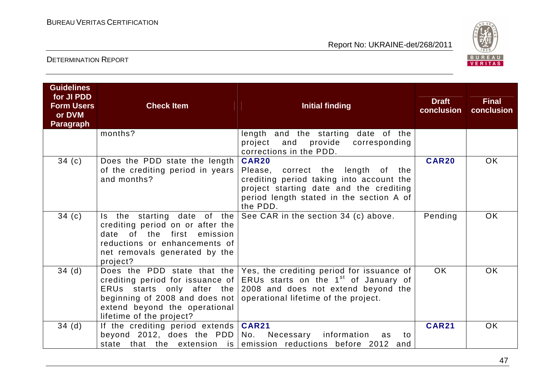

| <b>Guidelines</b><br>for JI PDD<br><b>Form Users</b><br>or DVM<br><b>Paragraph</b> | <b>Check Item</b>                                                                                                                                                                 | <b>Initial finding</b>                                                                                                                                                                                        | <b>Draft</b><br>conclusion | <b>Final</b><br>conclusion |
|------------------------------------------------------------------------------------|-----------------------------------------------------------------------------------------------------------------------------------------------------------------------------------|---------------------------------------------------------------------------------------------------------------------------------------------------------------------------------------------------------------|----------------------------|----------------------------|
|                                                                                    | months?                                                                                                                                                                           | length and the starting date of the<br>and provide corresponding<br>project<br>corrections in the PDD.                                                                                                        |                            |                            |
| 34(c)                                                                              | Does the PDD state the length<br>of the crediting period in years<br>and months?                                                                                                  | <b>CAR20</b><br>Please, correct the length of the<br>crediting period taking into account the<br>project starting date and the crediting<br>period length stated in the section A of<br>the PDD.              | <b>CAR20</b>               | <b>OK</b>                  |
| 34(c)                                                                              | Is the starting date of the<br>crediting period on or after the<br>of the first<br>emission<br>date<br>reductions or enhancements of<br>net removals generated by the<br>project? | See CAR in the section 34 (c) above.                                                                                                                                                                          | Pending                    | <b>OK</b>                  |
| 34(d)                                                                              | crediting period for issuance of<br>ERUs starts only after the<br>beginning of 2008 and does not<br>extend beyond the operational<br>lifetime of the project?                     | Does the PDD state that the $ Yes $ , the crediting period for issuance of<br>ERUs starts on the 1 <sup>st</sup> of January of<br>2008 and does not extend beyond the<br>operational lifetime of the project. | <b>OK</b>                  | <b>OK</b>                  |
| 34(d)                                                                              | If the crediting period extends $CAR21$<br>beyond 2012, does the $PDD$<br>state that the extension is                                                                             | Necessary<br>information<br>No.<br>to<br>as<br>emission reductions before 2012 and                                                                                                                            | <b>CAR21</b>               | <b>OK</b>                  |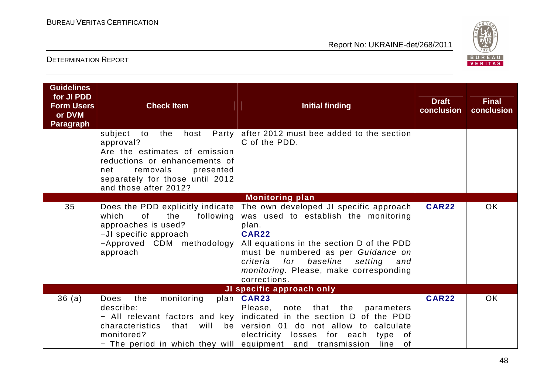

| <b>Guidelines</b><br>for JI PDD<br><b>Form Users</b><br>or DVM<br><b>Paragraph</b> | <b>Check Item</b>                                                                                                                                                                                                | <b>Initial finding</b>                                                                                                                                                                                                                                                                              | <b>Draft</b><br>conclusion | <b>Final</b><br>conclusion |
|------------------------------------------------------------------------------------|------------------------------------------------------------------------------------------------------------------------------------------------------------------------------------------------------------------|-----------------------------------------------------------------------------------------------------------------------------------------------------------------------------------------------------------------------------------------------------------------------------------------------------|----------------------------|----------------------------|
|                                                                                    | Party<br>subject<br>host<br>to<br>the<br>approval?<br>Are the estimates of emission<br>reductions or enhancements of<br>removals<br>presented<br>net<br>separately for those until 2012<br>and those after 2012? | after 2012 must bee added to the section<br>C of the PDD.                                                                                                                                                                                                                                           |                            |                            |
|                                                                                    |                                                                                                                                                                                                                  | <b>Monitoring plan</b>                                                                                                                                                                                                                                                                              |                            |                            |
| 35                                                                                 | Does the PDD explicitly indicate<br>which<br>0f<br>the<br>following<br>approaches is used?<br>-JI specific approach<br>-Approved CDM methodology<br>approach                                                     | The own developed JI specific approach<br>was used to establish the monitoring<br>plan.<br><b>CAR22</b><br>All equations in the section D of the PDD<br>must be numbered as per Guidance on<br>baseline<br>criteria for<br>setting<br>and<br>monitoring. Please, make corresponding<br>corrections. | <b>CAR22</b>               | <b>OK</b>                  |
|                                                                                    |                                                                                                                                                                                                                  | JI specific approach only                                                                                                                                                                                                                                                                           | <b>CAR22</b>               |                            |
| 36(a)                                                                              | <b>Does</b><br>the<br>monitoring<br>describe:<br>will<br>characteristics<br>that<br>be<br>monitored?<br>- The period in which they will equipment and transmission                                               | plan   CAR23<br>note that the<br>Please,<br>parameters<br>- All relevant factors and key indicated in the section D of the PDD<br>version 01 do not allow to calculate<br>electricity losses for each<br>of<br>type<br>of<br>line                                                                   |                            | <b>OK</b>                  |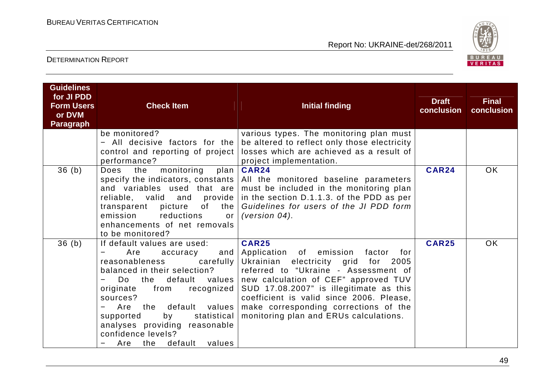

| <b>Guidelines</b><br>for JI PDD<br><b>Form Users</b><br>or DVM<br><b>Paragraph</b> | <b>Check Item</b>                                                                                                                                                                                                                              | <b>Initial finding</b>                                                                                                                                                                                                                                                                                                                                                                                                                       | <b>Draft</b><br>conclusion | <b>Final</b><br>conclusion |
|------------------------------------------------------------------------------------|------------------------------------------------------------------------------------------------------------------------------------------------------------------------------------------------------------------------------------------------|----------------------------------------------------------------------------------------------------------------------------------------------------------------------------------------------------------------------------------------------------------------------------------------------------------------------------------------------------------------------------------------------------------------------------------------------|----------------------------|----------------------------|
|                                                                                    | be monitored?<br>- All decisive factors for the<br>control and reporting of project<br>performance?                                                                                                                                            | various types. The monitoring plan must<br>be altered to reflect only those electricity<br>losses which are achieved as a result of<br>project implementation.                                                                                                                                                                                                                                                                               |                            |                            |
| 36(b)                                                                              | monitoring<br>the<br>Does<br>emission<br>reductions<br>or <sub>l</sub><br>enhancements of net removals<br>to be monitored?                                                                                                                     | plan   CAR24<br>specify the indicators, constants   All the monitored baseline parameters<br>and variables used that are must be included in the monitoring plan<br>reliable, valid and provide in the section D.1.1.3. of the PDD as per<br>transparent picture of the Guidelines for users of the JI PDD form<br>(version $04$ ).                                                                                                          | <b>CAR24</b>               | OK.                        |
| 36(b)                                                                              | If default values are used:<br>Are<br>accuracy<br>reasonableness<br>balanced in their selection?<br>Do<br>originate<br>from<br>sources?<br>by<br>supported<br>analyses providing reasonable<br>confidence levels?<br>default values<br>Are the | <b>CAR25</b><br>and Application of emission<br>factor for<br>carefully Ukrainian electricity grid<br>for 2005<br>referred to "Ukraine - Assessment of<br>the default values new calculation of CEF" approved TUV<br>recognized SUD 17.08.2007" is illegitimate as this<br>coefficient is valid since 2006. Please,<br>Are the default values   make corresponding corrections of the<br>statistical   monitoring plan and ERUs calculations. | <b>CAR25</b>               | <b>OK</b>                  |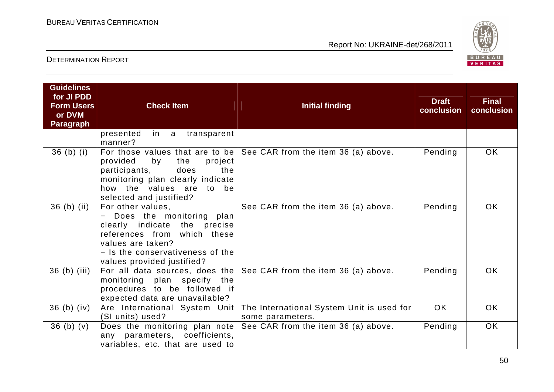

| <b>Guidelines</b><br>for JI PDD<br><b>Form Users</b><br>or DVM<br><b>Paragraph</b> | <b>Check Item</b>                                                                                                                                                                                     | <b>Initial finding</b>                                                     | <b>Draft</b><br>conclusion | <b>Final</b><br>conclusion |
|------------------------------------------------------------------------------------|-------------------------------------------------------------------------------------------------------------------------------------------------------------------------------------------------------|----------------------------------------------------------------------------|----------------------------|----------------------------|
|                                                                                    | presented<br>in a<br>transparent<br>manner?                                                                                                                                                           |                                                                            |                            |                            |
| 36(b) (i)                                                                          | provided<br>by<br>project<br>the<br>does<br>participants,<br>the<br>monitoring plan clearly indicate<br>how the values are to be<br>selected and justified?                                           | For those values that are to be $ $ See CAR from the item 36 (a) above.    | Pending                    | OK.                        |
| $36$ (b) (ii)                                                                      | For other values,<br>- Does the monitoring plan<br>clearly indicate the precise<br>references from which these<br>values are taken?<br>- Is the conservativeness of the<br>values provided justified? | See CAR from the item 36 (a) above.                                        | Pending                    | <b>OK</b>                  |
| $36$ (b) (iii)                                                                     | monitoring plan specify the<br>procedures to be followed if<br>expected data are unavailable?                                                                                                         | For all data sources, does the $\vert$ See CAR from the item 36 (a) above. | Pending                    | OK.                        |
| $36$ (b) (iv)                                                                      | Are International System Unit  <br>(SI units) used?                                                                                                                                                   | The International System Unit is used for<br>some parameters.              | <b>OK</b>                  | <b>OK</b>                  |
| 36(b)(v)                                                                           | Does the monitoring plan note<br>any parameters, coefficients,<br>variables, etc. that are used to                                                                                                    | See CAR from the item 36 (a) above.                                        | Pending                    | <b>OK</b>                  |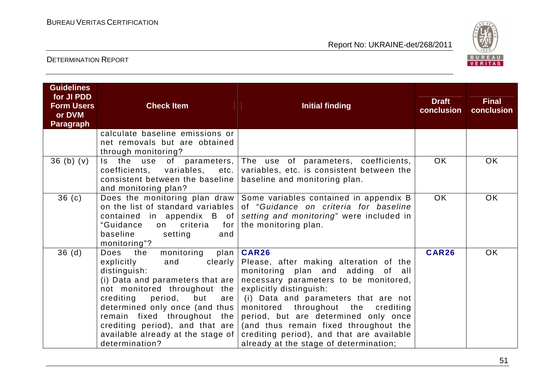

| <b>Guidelines</b><br>for JI PDD<br><b>Form Users</b><br>or DVM<br><b>Paragraph</b> | <b>Check Item</b>                                                                                                                                                                                                                                                                                                                                            | <b>Initial finding</b>                                                                                                                                                                                                                                                                                                                                                                                                | <b>Draft</b><br>conclusion | <b>Final</b><br>conclusion |
|------------------------------------------------------------------------------------|--------------------------------------------------------------------------------------------------------------------------------------------------------------------------------------------------------------------------------------------------------------------------------------------------------------------------------------------------------------|-----------------------------------------------------------------------------------------------------------------------------------------------------------------------------------------------------------------------------------------------------------------------------------------------------------------------------------------------------------------------------------------------------------------------|----------------------------|----------------------------|
|                                                                                    | calculate baseline emissions or<br>net removals but are obtained<br>through monitoring?                                                                                                                                                                                                                                                                      |                                                                                                                                                                                                                                                                                                                                                                                                                       |                            |                            |
| 36(b)(v)                                                                           | the<br>of<br>use<br>Is a<br>coefficients, variables,<br>etc.<br>consistent between the baseline<br>and monitoring plan?                                                                                                                                                                                                                                      | parameters, The use of parameters, coefficients,<br>variables, etc. is consistent between the<br>baseline and monitoring plan.                                                                                                                                                                                                                                                                                        | <b>OK</b>                  | <b>OK</b>                  |
| 36(c)                                                                              | on the list of standard variables<br>contained in appendix B of<br>"Guidance<br>criteria<br>for<br>on<br>baseline<br>setting<br>and<br>monitoring"?                                                                                                                                                                                                          | Does the monitoring plan draw Some variables contained in appendix B<br>of "Guidance on criteria for baseline<br>setting and monitoring" were included in<br>the monitoring plan.                                                                                                                                                                                                                                     | <b>OK</b>                  | OK.                        |
| 36(d)                                                                              | monitoring<br>plan<br>Does<br>the<br>explicitly<br>clearly  <br>and<br>distinguish:<br>(i) Data and parameters that are $ $<br>not monitored throughout the<br>crediting<br>period,<br>but<br>are<br>determined only once (and thus<br>remain fixed throughout the<br>crediting period), and that are<br>available already at the stage of<br>determination? | <b>CAR26</b><br>Please, after making alteration of the<br>monitoring plan and adding of all<br>necessary parameters to be monitored,<br>explicitly distinguish:<br>(i) Data and parameters that are not<br>monitored throughout the crediting<br>period, but are determined only once<br>(and thus remain fixed throughout the<br>crediting period), and that are available<br>already at the stage of determination; | CAR26                      | <b>OK</b>                  |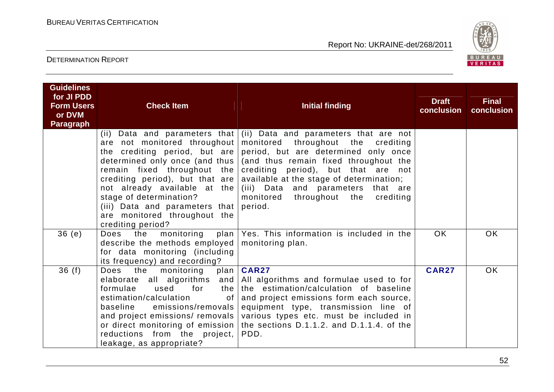

| <b>Guidelines</b><br>for JI PDD<br><b>Form Users</b><br>or DVM<br><b>Paragraph</b> | <b>Check Item</b>                                                                                                                                                                                                                                            | <b>Initial finding</b>                                                                                                                                                                                                                                                                                                                                                                                                            | <b>Draft</b><br>conclusion | <b>Final</b><br>conclusion |
|------------------------------------------------------------------------------------|--------------------------------------------------------------------------------------------------------------------------------------------------------------------------------------------------------------------------------------------------------------|-----------------------------------------------------------------------------------------------------------------------------------------------------------------------------------------------------------------------------------------------------------------------------------------------------------------------------------------------------------------------------------------------------------------------------------|----------------------------|----------------------------|
|                                                                                    | are not monitored throughout<br>determined only once (and thus  <br>remain fixed throughout the<br>crediting period), but that are<br>stage of determination?<br>(iii) Data and parameters that period.<br>are monitored throughout the<br>crediting period? | (ii) Data and parameters that $\vert$ (ii) Data and parameters that are not<br>monitored throughout the crediting<br>the crediting period, but are period, but are determined only once<br>(and thus remain fixed throughout the<br>crediting period), but that are not<br>available at the stage of determination;<br>not already available at the $(iii)$ Data and parameters that are<br>monitored throughout the<br>crediting |                            |                            |
| 36(e)                                                                              | describe the methods employed $\vert$ monitoring plan.<br>for data monitoring (including<br>its frequency) and recording?                                                                                                                                    | Does the monitoring plan $\sqrt{e}$ Yes. This information is included in the                                                                                                                                                                                                                                                                                                                                                      | <b>OK</b>                  | <b>OK</b>                  |
| 36(f)                                                                              | the<br>Does<br>monitoring<br>formulae<br>used<br>for<br>estimation/calculation<br>emissions/removals  <br>baseline<br>reductions from the project,  <br>leakage, as appropriate?                                                                             | plan   CAR27<br>elaborate all algorithms and $\vert$ All algorithms and formulae used to for<br>the the estimation/calculation of baseline<br>of and project emissions form each source,<br>equipment type, transmission line of<br>and project emissions/ removals various types etc. must be included in<br>or direct monitoring of emission   the sections D.1.1.2. and D.1.1.4. of the<br>PDD.                                | <b>CAR27</b>               | <b>OK</b>                  |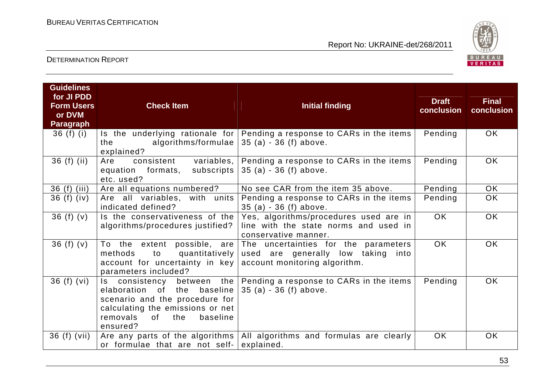

| <b>Guidelines</b><br>for JI PDD<br><b>Form Users</b><br>or DVM<br><b>Paragraph</b> | <b>Check Item</b>                                                                                                                                                                     | <b>Initial finding</b>                                                                                      | <b>Draft</b><br>conclusion | <b>Final</b><br>conclusion |
|------------------------------------------------------------------------------------|---------------------------------------------------------------------------------------------------------------------------------------------------------------------------------------|-------------------------------------------------------------------------------------------------------------|----------------------------|----------------------------|
| 36 $(f)$ $(i)$                                                                     | algorithms/formulae<br>the<br>explained?                                                                                                                                              | Is the underlying rationale for Pending a response to CARs in the items<br>$35(a) - 36(f)$ above.           | Pending                    | <b>OK</b>                  |
| $36(f)$ (ii)                                                                       | variables,<br>consistent<br>Are<br>subscripts<br>equation formats,<br>etc. used?                                                                                                      | Pending a response to CARs in the items<br>$35(a) - 36(f)$ above.                                           | Pending                    | <b>OK</b>                  |
| 36(f)<br>(iii)                                                                     | Are all equations numbered?                                                                                                                                                           | No see CAR from the item 35 above.                                                                          | Pending                    | <b>OK</b>                  |
| 36 $(f)$ (iv)                                                                      | Are all variables, with units<br>indicated defined?                                                                                                                                   | Pending a response to CARs in the items<br>$35(a) - 36(f)$ above.                                           | Pending                    | <b>OK</b>                  |
| 36(f)(v)                                                                           | Is the conservativeness of the<br>algorithms/procedures justified?                                                                                                                    | Yes, algorithms/procedures used are in<br>line with the state norms and used in<br>conservative manner.     | <b>OK</b>                  | <b>OK</b>                  |
| 36(f)(v)                                                                           | To the extent possible, are<br>to<br>quantitatively<br>methods<br>account for uncertainty in key<br>parameters included?                                                              | The uncertainties for the parameters<br>used are generally low taking into<br>account monitoring algorithm. | OK.                        | <b>OK</b>                  |
| 36(f)(vi)                                                                          | Is consistency between the<br>elaboration of the<br>baseline  <br>scenario and the procedure for<br>calculating the emissions or net<br>removals<br>baseline<br>of<br>the<br>ensured? | Pending a response to CARs in the items<br>$35(a) - 36(f)$ above.                                           | Pending                    | <b>OK</b>                  |
| 36 (f) (vii)                                                                       | or formulae that are not self-                                                                                                                                                        | Are any parts of the algorithms   All algorithms and formulas are clearly<br>explained.                     | <b>OK</b>                  | <b>OK</b>                  |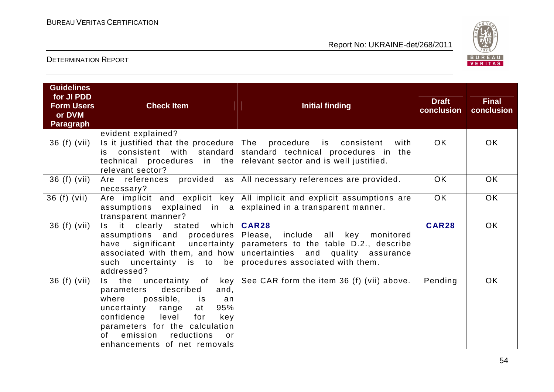

| <b>Guidelines</b><br>for JI PDD<br><b>Form Users</b><br>or DVM<br><b>Paragraph</b> | <b>Check Item</b>                                                                                                                                                                                                                                                       | <b>Initial finding</b>                                                                                                                                                    | <b>Draft</b><br>conclusion | <b>Final</b><br>conclusion |
|------------------------------------------------------------------------------------|-------------------------------------------------------------------------------------------------------------------------------------------------------------------------------------------------------------------------------------------------------------------------|---------------------------------------------------------------------------------------------------------------------------------------------------------------------------|----------------------------|----------------------------|
|                                                                                    | evident explained?                                                                                                                                                                                                                                                      |                                                                                                                                                                           |                            |                            |
| 36 (f) (vii)                                                                       | is consistent with standard<br>$technical$ procedures in the<br>relevant sector?                                                                                                                                                                                        | Is it justified that the procedure $ $ The procedure is consistent<br>with<br>standard technical procedures in the<br>relevant sector and is well justified.              | OK.                        | OK.                        |
| 36 (f) (vii)                                                                       | Are references provided<br>necessary?                                                                                                                                                                                                                                   | as   All necessary references are provided.                                                                                                                               | OK.                        | OK.                        |
| 36 (f) (vii)                                                                       | Are implicit and explicit key<br>assumptions explained in a<br>transparent manner?                                                                                                                                                                                      | All implicit and explicit assumptions are<br>explained in a transparent manner.                                                                                           | <b>OK</b>                  | OK                         |
| 36 (f) (vii)                                                                       | stated which<br>Is it<br>clearly<br>assumptions and procedures  <br>significant uncertainty<br>have<br>associated with them, and how<br>uncertainty is to be<br>such<br>addressed?                                                                                      | <b>CAR28</b><br>Please, include all key<br>monitored<br>parameters to the table D.2., describe<br>uncertainties and quality assurance<br>procedures associated with them. | <b>CAR28</b>               | OK                         |
| 36 (f) (vii)                                                                       | Is the uncertainty of<br>key<br>described<br>and,<br>parameters<br>where<br>possible, is<br>an<br>95%<br>uncertainty range<br>at<br>level<br>confidence<br>for<br>key<br>parameters for the calculation<br>of emission reductions<br>or<br>enhancements of net removals | See CAR form the item 36 (f) (vii) above.                                                                                                                                 | Pending                    | <b>OK</b>                  |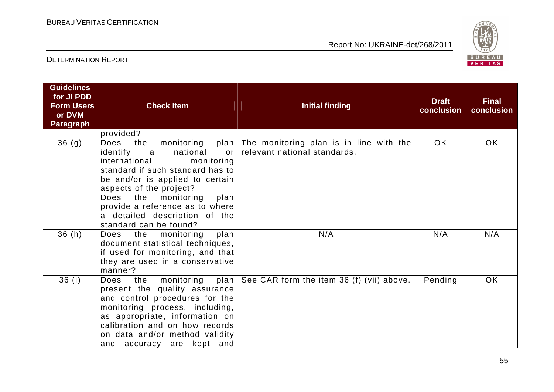

| <b>Guidelines</b><br>for JI PDD<br><b>Form Users</b><br>or DVM | <b>Check Item</b>                                                                                                                                                                                                                                                                                                                           | <b>Initial finding</b>                                                       | <b>Draft</b><br>conclusion | <b>Final</b><br>conclusion |
|----------------------------------------------------------------|---------------------------------------------------------------------------------------------------------------------------------------------------------------------------------------------------------------------------------------------------------------------------------------------------------------------------------------------|------------------------------------------------------------------------------|----------------------------|----------------------------|
| <b>Paragraph</b>                                               |                                                                                                                                                                                                                                                                                                                                             |                                                                              |                            |                            |
|                                                                | provided?                                                                                                                                                                                                                                                                                                                                   |                                                                              |                            |                            |
| 36 <sub>(g)</sub>                                              | the<br>Does<br>monitoring<br>identify<br>national<br>$\alpha$<br><b>or</b><br>international<br>monitoring<br>standard if such standard has to<br>be and/or is applied to certain<br>aspects of the project?<br>Does the<br>monitoring<br>plan<br>provide a reference as to where<br>a detailed description of the<br>standard can be found? | plan The monitoring plan is in line with the<br>relevant national standards. | <b>OK</b>                  | OK.                        |
| 36(h)                                                          | Does the monitoring<br>plan<br>document statistical techniques,<br>if used for monitoring, and that<br>they are used in a conservative<br>manner?                                                                                                                                                                                           | N/A                                                                          | N/A                        | N/A                        |
| 36(i)                                                          | the monitoring<br>Does<br>present the quality assurance<br>and control procedures for the<br>monitoring process, including,<br>as appropriate, information on<br>calibration and on how records<br>on data and/or method validity<br>and accuracy are kept and                                                                              | plan $\vert$ See CAR form the item 36 (f) (vii) above.                       | Pending                    | <b>OK</b>                  |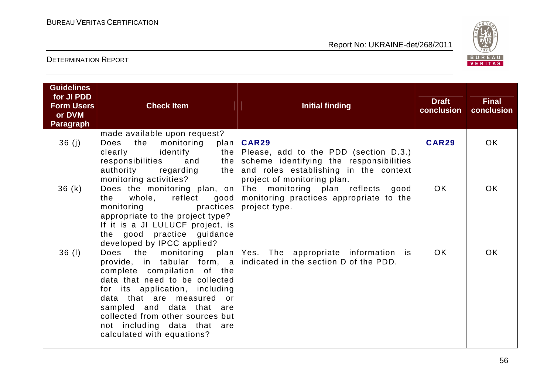

| <b>Guidelines</b><br>for JI PDD<br><b>Form Users</b><br>or DVM<br><b>Paragraph</b> | <b>Check Item</b>                                                                                                                                                                                                                                                                    | Initial finding                                                                                                                                                                      | <b>Draft</b><br>conclusion | <b>Final</b><br>conclusion |
|------------------------------------------------------------------------------------|--------------------------------------------------------------------------------------------------------------------------------------------------------------------------------------------------------------------------------------------------------------------------------------|--------------------------------------------------------------------------------------------------------------------------------------------------------------------------------------|----------------------------|----------------------------|
| 36(j)                                                                              | made available upon request?<br>the<br>Does<br>monitoring<br>plan<br>identify<br>clearly<br>responsibilities<br>and<br>the  <br>authority<br>regarding<br>the  <br>monitoring activities?                                                                                            | <b>CAR29</b><br>the $\vert$ Please, add to the PDD (section D.3.)<br>scheme identifying the responsibilities<br>and roles establishing in the context<br>project of monitoring plan. | <b>CAR29</b>               | OK.                        |
| 36(k)                                                                              | whole, reflect<br>the<br>good  <br>practices<br>monitoring<br>appropriate to the project type?<br>If it is a JI LULUCF project, is<br>the good practice guidance<br>developed by IPCC applied?                                                                                       | Does the monitoring plan, on The monitoring plan reflects<br>good<br>monitoring practices appropriate to the<br>project type.                                                        | <b>OK</b>                  | OK                         |
| 36(1)                                                                              | Does<br>the monitoring<br>complete compilation of the<br>data that need to be collected<br>for its application, including<br>data that are measured or<br>sampled and data that are<br>collected from other sources but<br>not including data that are<br>calculated with equations? | plan Yes. The appropriate information is<br>provide, in tabular form, a indicated in the section D of the PDD.                                                                       | <b>OK</b>                  | <b>OK</b>                  |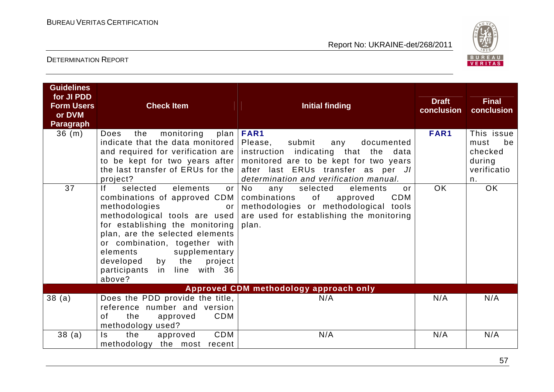

| <b>Guidelines</b><br>for JI PDD<br><b>Form Users</b><br>or DVM<br><b>Paragraph</b> | <b>Check Item</b>                                                                                                                                                                                                                                                                                           | <b>Initial finding</b>                                                                                                                                                                                                                                                                                            | <b>Draft</b><br>conclusion | <b>Final</b><br>conclusion                                         |
|------------------------------------------------------------------------------------|-------------------------------------------------------------------------------------------------------------------------------------------------------------------------------------------------------------------------------------------------------------------------------------------------------------|-------------------------------------------------------------------------------------------------------------------------------------------------------------------------------------------------------------------------------------------------------------------------------------------------------------------|----------------------------|--------------------------------------------------------------------|
| 36(m)                                                                              | monitoring<br>Does<br>the<br>indicate that the data monitored   Please,<br>project?                                                                                                                                                                                                                         | plan   FAR1<br>submit<br>documented<br>any<br>and required for verification are instruction indicating that the data<br>to be kept for two years after   monitored are to be kept for two years<br>the last transfer of ERUs for the after last ERUs transfer as per JI<br>determination and verification manual. | FAR1                       | This issue<br>be<br>must<br>checked<br>during<br>verificatio<br>n. |
| 37                                                                                 | If<br>selected<br>elements<br>combinations of approved CDM  <br>methodologies<br>or<br>for establishing the monitoring<br>plan, are the selected elements<br>or combination, together with<br>supplementary<br>elements<br>the<br>by<br>project l<br>developed<br>participants<br>in line with 36<br>above? | or No<br>selected<br>elements<br>any<br>$\alpha$ r<br>combinations<br>of<br>CDM<br>approved<br>methodologies or methodological tools<br>methodological tools are used are used for establishing the monitoring<br>plan.                                                                                           | <b>OK</b>                  | <b>OK</b>                                                          |
|                                                                                    |                                                                                                                                                                                                                                                                                                             | Approved CDM methodology approach only                                                                                                                                                                                                                                                                            |                            |                                                                    |
| 38(a)                                                                              | Does the PDD provide the title,<br>reference number and version<br>CDM<br>the<br>of<br>approved<br>methodology used?                                                                                                                                                                                        | N/A                                                                                                                                                                                                                                                                                                               | N/A                        | N/A                                                                |
| 38(a)                                                                              | CDM<br>$\mathsf{ls}$<br>the<br>approved<br>methodology the most recent                                                                                                                                                                                                                                      | N/A                                                                                                                                                                                                                                                                                                               | N/A                        | N/A                                                                |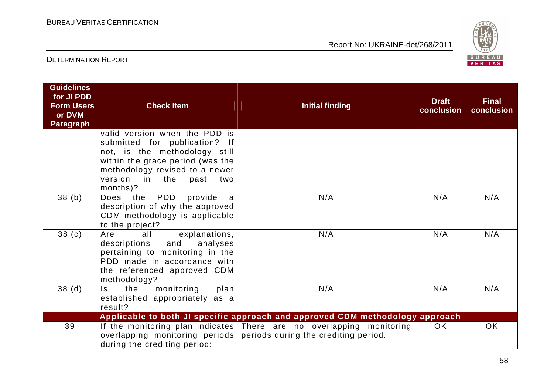

| <b>Guidelines</b><br>for JI PDD<br><b>Form Users</b><br>or DVM<br><b>Paragraph</b> | <b>Check Item</b>                                                                                                                                                                                               | <b>Initial finding</b>                                                                                                                      | <b>Draft</b><br>conclusion | <b>Final</b><br>conclusion |
|------------------------------------------------------------------------------------|-----------------------------------------------------------------------------------------------------------------------------------------------------------------------------------------------------------------|---------------------------------------------------------------------------------------------------------------------------------------------|----------------------------|----------------------------|
|                                                                                    | valid version when the PDD is<br>submitted for publication? If<br>not, is the methodology still<br>within the grace period (was the<br>methodology revised to a newer<br>version in the past<br>two<br>months)? |                                                                                                                                             |                            |                            |
| 38(b)                                                                              | PDD<br>provide<br>Does the<br>a<br>description of why the approved<br>CDM methodology is applicable<br>to the project?                                                                                          | N/A                                                                                                                                         | N/A                        | N/A                        |
| 38 <sub>(c)</sub>                                                                  | explanations,<br>Are<br>all<br>analyses<br>and<br>descriptions<br>pertaining to monitoring in the<br>PDD made in accordance with<br>the referenced approved CDM<br>methodology?                                 | N/A                                                                                                                                         | N/A                        | N/A                        |
| 38 <sub>(d)</sub>                                                                  | monitoring<br>the<br>plan<br>Is.<br>established appropriately as a<br>result?                                                                                                                                   | N/A                                                                                                                                         | N/A                        | N/A                        |
|                                                                                    |                                                                                                                                                                                                                 | Applicable to both JI specific approach and approved CDM methodology approach                                                               |                            |                            |
| 39                                                                                 | during the crediting period:                                                                                                                                                                                    | If the monitoring plan indicates There are no overlapping monitoring<br>overlapping monitoring periods periods during the crediting period. | <b>OK</b>                  | <b>OK</b>                  |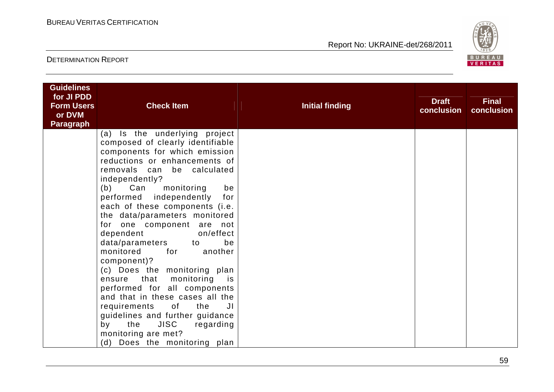

| <b>Guidelines</b><br>for JI PDD<br><b>Form Users</b><br>or DVM<br><b>Paragraph</b> | <b>Check Item</b>                                           | <b>Initial finding</b> | <b>Draft</b><br>conclusion | <b>Final</b><br>conclusion |
|------------------------------------------------------------------------------------|-------------------------------------------------------------|------------------------|----------------------------|----------------------------|
|                                                                                    | (a) Is the underlying project                               |                        |                            |                            |
|                                                                                    | composed of clearly identifiable                            |                        |                            |                            |
|                                                                                    | components for which emission                               |                        |                            |                            |
|                                                                                    | reductions or enhancements of<br>removals can be calculated |                        |                            |                            |
|                                                                                    | independently?                                              |                        |                            |                            |
|                                                                                    | Can monitoring<br>(b)<br>be                                 |                        |                            |                            |
|                                                                                    | performed independently<br>for                              |                        |                            |                            |
|                                                                                    | each of these components (i.e.                              |                        |                            |                            |
|                                                                                    | the data/parameters monitored                               |                        |                            |                            |
|                                                                                    | for one component are not                                   |                        |                            |                            |
|                                                                                    | on/effect<br>dependent                                      |                        |                            |                            |
|                                                                                    | data/parameters to<br>be<br>monitored<br>for<br>another     |                        |                            |                            |
|                                                                                    | component)?                                                 |                        |                            |                            |
|                                                                                    | (c) Does the monitoring plan                                |                        |                            |                            |
|                                                                                    | ensure that monitoring<br>is is                             |                        |                            |                            |
|                                                                                    | performed for all components                                |                        |                            |                            |
|                                                                                    | and that in these cases all the                             |                        |                            |                            |
|                                                                                    | requirements of the<br>JI                                   |                        |                            |                            |
|                                                                                    | guidelines and further guidance                             |                        |                            |                            |
|                                                                                    | JISC regarding<br>the<br>by                                 |                        |                            |                            |
|                                                                                    | monitoring are met?<br>(d) Does the monitoring plan         |                        |                            |                            |
|                                                                                    |                                                             |                        |                            |                            |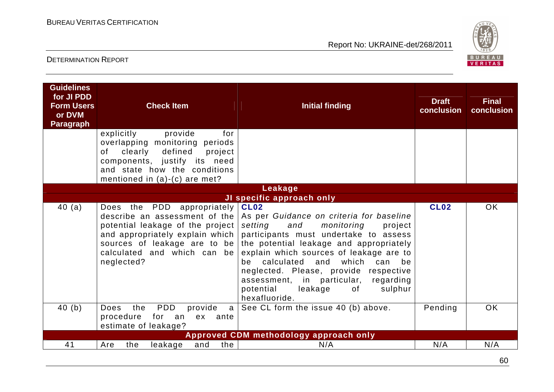

| <b>Guidelines</b><br>for JI PDD<br><b>Form Users</b><br>or DVM<br><b>Paragraph</b> | <b>Check Item</b><br>provide<br>for<br>explicitly                                                                                                                                   | <b>Initial finding</b>                                                                                                                                                                                                                                                                                                                                                                                                                                              | <b>Draft</b><br>conclusion | <b>Final</b><br>conclusion |
|------------------------------------------------------------------------------------|-------------------------------------------------------------------------------------------------------------------------------------------------------------------------------------|---------------------------------------------------------------------------------------------------------------------------------------------------------------------------------------------------------------------------------------------------------------------------------------------------------------------------------------------------------------------------------------------------------------------------------------------------------------------|----------------------------|----------------------------|
|                                                                                    | overlapping monitoring periods<br>clearly<br>defined<br>project<br>of<br>components, justify its need<br>and state how the conditions                                               |                                                                                                                                                                                                                                                                                                                                                                                                                                                                     |                            |                            |
|                                                                                    | mentioned in $(a)-(c)$ are met?                                                                                                                                                     |                                                                                                                                                                                                                                                                                                                                                                                                                                                                     |                            |                            |
|                                                                                    |                                                                                                                                                                                     | Leakage                                                                                                                                                                                                                                                                                                                                                                                                                                                             |                            |                            |
| 40(a)                                                                              | Does the PDD appropriately CL02<br>potential leakage of the project<br>and appropriately explain which<br>sources of leakage are to be<br>calculated and which can be<br>neglected? | JI specific approach only<br>describe an assessment of the As per Guidance on criteria for baseline<br>setting<br>and<br>monitoring<br>project<br>participants must undertake to assess<br>the potential leakage and appropriately<br>explain which sources of leakage are to<br>calculated and which<br>can be<br>be<br>neglected. Please, provide respective<br>assessment, in particular,<br>regarding<br>potential<br>leakage<br>sulphur<br>of<br>hexafluoride. | <b>CL02</b>                | <b>OK</b>                  |
| 40(b)                                                                              | PDD<br>the<br>provide<br><b>Does</b><br>a l<br>procedure<br>for an<br>ex ante<br>estimate of leakage?                                                                               | See CL form the issue 40 (b) above.                                                                                                                                                                                                                                                                                                                                                                                                                                 | Pending                    | <b>OK</b>                  |
|                                                                                    |                                                                                                                                                                                     | Approved CDM methodology approach only                                                                                                                                                                                                                                                                                                                                                                                                                              |                            |                            |
| 41                                                                                 | the  <br>the<br>leakage<br>and<br>Are                                                                                                                                               | N/A                                                                                                                                                                                                                                                                                                                                                                                                                                                                 | N/A                        | N/A                        |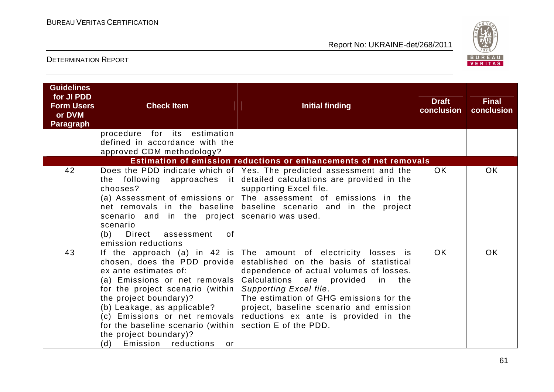

| <b>Guidelines</b><br>for JI PDD<br><b>Form Users</b><br>or DVM<br><b>Paragraph</b> | <b>Check Item</b>                                                                                                                                                                                                                                                                                                                                        | <b>Initial finding</b>                                                                                                                                                                                                                                                                                                                             | <b>Draft</b><br>conclusion | <b>Final</b><br>conclusion |
|------------------------------------------------------------------------------------|----------------------------------------------------------------------------------------------------------------------------------------------------------------------------------------------------------------------------------------------------------------------------------------------------------------------------------------------------------|----------------------------------------------------------------------------------------------------------------------------------------------------------------------------------------------------------------------------------------------------------------------------------------------------------------------------------------------------|----------------------------|----------------------------|
|                                                                                    | procedure for its estimation<br>defined in accordance with the<br>approved CDM methodology?                                                                                                                                                                                                                                                              |                                                                                                                                                                                                                                                                                                                                                    |                            |                            |
|                                                                                    |                                                                                                                                                                                                                                                                                                                                                          | Estimation of emission reductions or enhancements of net removals                                                                                                                                                                                                                                                                                  |                            |                            |
| 42                                                                                 | the following approaches it<br>chooses?<br>net removals in the baseline<br>scenario and in the project scenario was used.<br>scenario<br>Direct assessment<br>(b)<br>0f<br>emission reductions                                                                                                                                                           | Does the PDD indicate which of   Yes. The predicted assessment and the<br>detailed calculations are provided in the<br>supporting Excel file.<br>(a) Assessment of emissions or $ $ The assessment of emissions in the<br>baseline scenario and in the project                                                                                     | OK.                        | <b>OK</b>                  |
| 43                                                                                 | If the approach (a) in 42 is<br>chosen, does the PDD provide<br>ex ante estimates of:<br>(a) Emissions or net removals<br>for the project scenario (within)<br>the project boundary)?<br>(b) Leakage, as applicable?<br>(c) Emissions or net removals<br>for the baseline scenario (within<br>the project boundary)?<br>Emission reductions<br>(d)<br>or | The amount of electricity losses is<br>established on the basis of statistical<br>dependence of actual volumes of losses.<br>Calculations are<br>provided in the<br>Supporting Excel file.<br>The estimation of GHG emissions for the<br>project, baseline scenario and emission<br>reductions ex ante is provided in the<br>section E of the PDD. | <b>OK</b>                  | <b>OK</b>                  |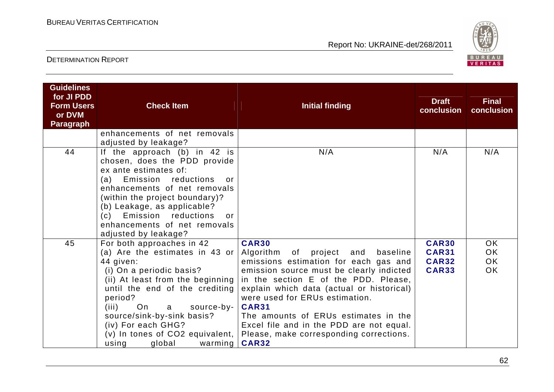

| <b>Guidelines</b><br>for JI PDD<br><b>Form Users</b><br>or DVM<br><b>Paragraph</b> | <b>Check Item</b>                                                                                                                                                                                                                                                                                                                                      | <b>Initial finding</b>                                                                                                                                                                                                                                                                                                                                                                                                                | <b>Draft</b><br>conclusion                                   | <b>Final</b><br>conclusion          |
|------------------------------------------------------------------------------------|--------------------------------------------------------------------------------------------------------------------------------------------------------------------------------------------------------------------------------------------------------------------------------------------------------------------------------------------------------|---------------------------------------------------------------------------------------------------------------------------------------------------------------------------------------------------------------------------------------------------------------------------------------------------------------------------------------------------------------------------------------------------------------------------------------|--------------------------------------------------------------|-------------------------------------|
|                                                                                    | enhancements of net removals<br>adjusted by leakage?                                                                                                                                                                                                                                                                                                   |                                                                                                                                                                                                                                                                                                                                                                                                                                       |                                                              |                                     |
| 44                                                                                 | If the approach $(b)$ in 42 is<br>chosen, does the PDD provide<br>ex ante estimates of:<br>reductions<br>Emission<br>(a)<br>$\alpha$ r<br>enhancements of net removals<br>(within the project boundary)?<br>(b) Leakage, as applicable?<br>(c) Emission reductions<br>or<br>enhancements of net removals<br>adjusted by leakage?                       | N/A                                                                                                                                                                                                                                                                                                                                                                                                                                   | N/A                                                          | N/A                                 |
| 45                                                                                 | For both approaches in 42<br>(a) Are the estimates in 43 or<br>44 given:<br>(i) On a periodic basis?<br>(ii) At least from the beginning<br>until the end of the crediting<br>period?<br>On<br>source-by-<br>(iii)<br>a<br>source/sink-by-sink basis?<br>(iv) For each GHG?<br>$(v)$ In tones of CO2 equivalent, $\vert$<br>using<br>global<br>warming | <b>CAR30</b><br>Algorithm of<br>project<br>and<br>baseline<br>emissions estimation for each gas and<br>emission source must be clearly indicted<br>in the section E of the PDD. Please,<br>explain which data (actual or historical)<br>were used for ERUs estimation.<br><b>CAR31</b><br>The amounts of ERUs estimates in the<br>Excel file and in the PDD are not equal.<br>Please, make corresponding corrections.<br><b>CAR32</b> | <b>CAR30</b><br><b>CAR31</b><br><b>CAR32</b><br><b>CAR33</b> | OK<br>OK.<br><b>OK</b><br><b>OK</b> |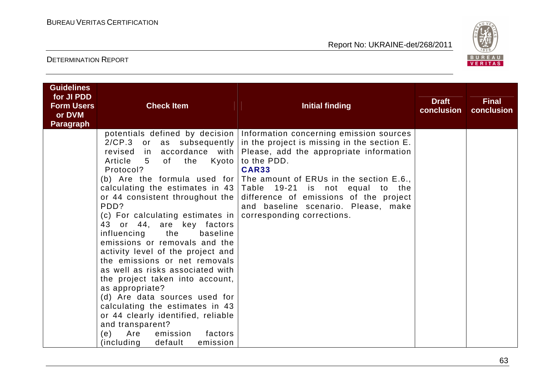

| <b>Guidelines</b><br>for JI PDD<br><b>Form Users</b> | <b>Check Item</b>                                                                                                                                                                                                                                                                                                                                                                                                                                                                                                                                                                                                       | <b>Initial finding</b>                                                                                                                                                                                                                                                                                                                                                                                                                                                                                                | <b>Draft</b><br>conclusion | <b>Final</b><br>conclusion |
|------------------------------------------------------|-------------------------------------------------------------------------------------------------------------------------------------------------------------------------------------------------------------------------------------------------------------------------------------------------------------------------------------------------------------------------------------------------------------------------------------------------------------------------------------------------------------------------------------------------------------------------------------------------------------------------|-----------------------------------------------------------------------------------------------------------------------------------------------------------------------------------------------------------------------------------------------------------------------------------------------------------------------------------------------------------------------------------------------------------------------------------------------------------------------------------------------------------------------|----------------------------|----------------------------|
| or DVM<br>Paragraph                                  |                                                                                                                                                                                                                                                                                                                                                                                                                                                                                                                                                                                                                         |                                                                                                                                                                                                                                                                                                                                                                                                                                                                                                                       |                            |                            |
|                                                      | Article<br>5 <sub>5</sub><br>of the<br>Kyoto  <br>Protocol?<br>or 44 consistent throughout the<br>PDD?<br>(c) For calculating estimates in $ $<br>43 or 44, are key factors<br>the<br>influencing<br>baseline<br>emissions or removals and the<br>activity level of the project and<br>the emissions or net removals<br>as well as risks associated with<br>the project taken into account,<br>as appropriate?<br>(d) Are data sources used for<br>calculating the estimates in 43<br>or 44 clearly identified, reliable<br>and transparent?<br>Are<br>emission<br>factors<br>(e)<br>(including)<br>default<br>emission | potentials defined by decision Information concerning emission sources<br>$2/CP.3$ or as subsequently in the project is missing in the section E.<br>revised in accordance with Please, add the appropriate information<br>to the PDD.<br><b>CAR33</b><br>(b) Are the formula used for The amount of ERUs in the section $E.6.$ ,<br>calculating the estimates in $43$ Table 19-21 is not equal to the<br>difference of emissions of the project<br>and baseline scenario. Please, make<br>corresponding corrections. |                            |                            |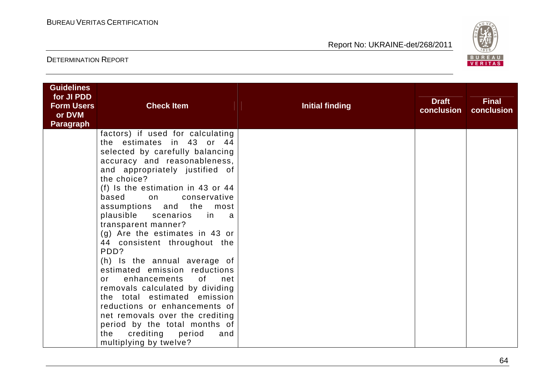

| <b>Guidelines</b><br>for JI PDD<br><b>Form Users</b><br>or DVM<br><b>Paragraph</b> | <b>Check Item</b>                                                                                                                                                                                                                                                                                                                                                                                                                                                                                                                                                                                                                                                                                                                                | <b>Initial finding</b> | <b>Draft</b><br>conclusion | <b>Final</b><br>conclusion |
|------------------------------------------------------------------------------------|--------------------------------------------------------------------------------------------------------------------------------------------------------------------------------------------------------------------------------------------------------------------------------------------------------------------------------------------------------------------------------------------------------------------------------------------------------------------------------------------------------------------------------------------------------------------------------------------------------------------------------------------------------------------------------------------------------------------------------------------------|------------------------|----------------------------|----------------------------|
|                                                                                    | factors) if used for calculating<br>the estimates in 43 or 44<br>selected by carefully balancing<br>accuracy and reasonableness,<br>and appropriately justified of<br>the choice?<br>(f) Is the estimation in 43 or 44<br>based on<br>conservative<br>assumptions and the most<br>plausible scenarios<br>in a<br>transparent manner?<br>(g) Are the estimates in 43 or<br>44 consistent throughout the<br>PDD?<br>(h) Is the annual average of<br>estimated emission reductions<br>enhancements of<br>net<br>or<br>removals calculated by dividing<br>the total estimated emission<br>reductions or enhancements of<br>net removals over the crediting<br>period by the total months of<br>the crediting period<br>and<br>multiplying by twelve? |                        |                            |                            |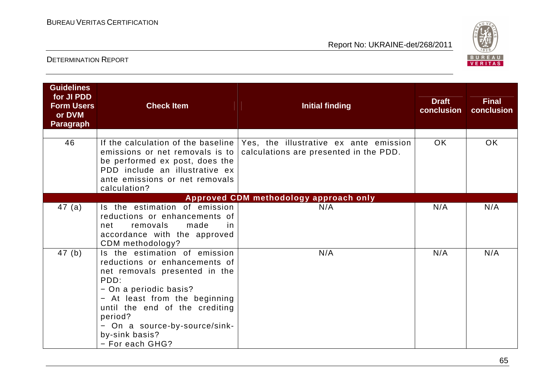

| <b>Guidelines</b><br>for JI PDD<br><b>Form Users</b><br>or DVM<br><b>Paragraph</b> | <b>Check Item</b>                                                                                                                                                                                                                                                                     | <b>Initial finding</b>                                                           | <b>Draft</b><br>conclusion | <b>Final</b><br>conclusion |
|------------------------------------------------------------------------------------|---------------------------------------------------------------------------------------------------------------------------------------------------------------------------------------------------------------------------------------------------------------------------------------|----------------------------------------------------------------------------------|----------------------------|----------------------------|
| 46                                                                                 | If the calculation of the baseline I<br>emissions or net removals is to<br>be performed ex post, does the<br>PDD include an illustrative ex<br>ante emissions or net removals<br>calculation?                                                                                         | Yes, the illustrative ex ante emission<br>calculations are presented in the PDD. | <b>OK</b>                  | OK.                        |
|                                                                                    |                                                                                                                                                                                                                                                                                       | Approved CDM methodology approach only                                           |                            |                            |
| 47(a)                                                                              | Is the estimation of emission<br>reductions or enhancements of<br>made<br>removals<br>net<br>in<br>accordance with the approved<br>CDM methodology?                                                                                                                                   | N/A                                                                              | N/A                        | N/A                        |
| 47(b)                                                                              | Is the estimation of emission<br>reductions or enhancements of<br>net removals presented in the<br>PDD:<br>- On a periodic basis?<br>- At least from the beginning<br>until the end of the crediting<br>period?<br>- On a source-by-source/sink-<br>by-sink basis?<br>- For each GHG? | N/A                                                                              | N/A                        | N/A                        |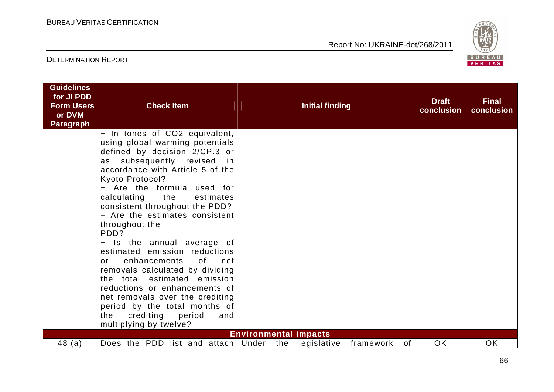

| <b>Guidelines</b><br>for JI PDD<br><b>Form Users</b> | <b>Check Item</b>                                                                                                                                                                                                                                                                                                                                                                                   |     | Initial finding                             |           |    | <b>Draft</b> | <b>Final</b> |
|------------------------------------------------------|-----------------------------------------------------------------------------------------------------------------------------------------------------------------------------------------------------------------------------------------------------------------------------------------------------------------------------------------------------------------------------------------------------|-----|---------------------------------------------|-----------|----|--------------|--------------|
| or DVM                                               |                                                                                                                                                                                                                                                                                                                                                                                                     |     |                                             |           |    | conclusion   | conclusion   |
| <b>Paragraph</b>                                     | - In tones of CO2 equivalent,<br>using global warming potentials<br>defined by decision 2/CP.3 or<br>as subsequently revised in<br>accordance with Article 5 of the<br>Kyoto Protocol?<br>- Are the formula used for<br>calculating the<br>estimates<br>consistent throughout the PDD?<br>- Are the estimates consistent<br>throughout the<br>PDD?<br>Is the annual average of<br>$\qquad \qquad -$ |     |                                             |           |    |              |              |
|                                                      | estimated emission reductions<br>of<br>enhancements<br>net<br>or<br>removals calculated by dividing<br>the total estimated emission<br>reductions or enhancements of<br>net removals over the crediting<br>period by the total months of<br>crediting period<br>the<br>and<br>multiplying by twelve?                                                                                                |     |                                             |           |    |              |              |
| 48(a)                                                | Does the PDD list and attach Under                                                                                                                                                                                                                                                                                                                                                                  | the | <b>Environmental impacts</b><br>legislative | framework | of | <b>OK</b>    | OK           |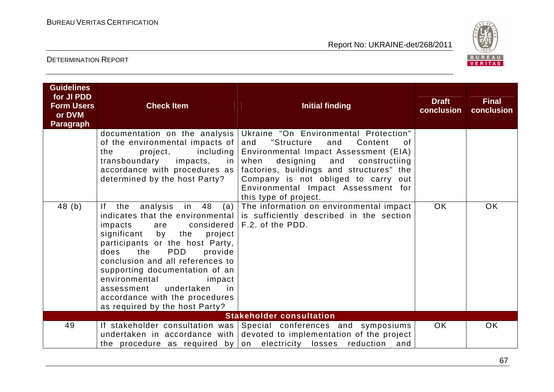

| <b>Guidelines</b><br>for JI PDD<br><b>Form Users</b><br>or DVM<br><b>Paragraph</b> | <b>Check Item</b>                                                                                                                                                                                                                                                                                                                                                                     | <b>Initial finding</b>                                                                                                                                                                                                                                                                                                      | <b>Draft</b><br>conclusion | <b>Final</b><br>conclusion |  |  |
|------------------------------------------------------------------------------------|---------------------------------------------------------------------------------------------------------------------------------------------------------------------------------------------------------------------------------------------------------------------------------------------------------------------------------------------------------------------------------------|-----------------------------------------------------------------------------------------------------------------------------------------------------------------------------------------------------------------------------------------------------------------------------------------------------------------------------|----------------------------|----------------------------|--|--|
|                                                                                    | documentation on the analysis<br>of the environmental impacts of<br>including<br>project,<br>the<br>transboundary<br>impacts,<br>in I<br>accordance with procedures as $ $<br>determined by the host Party?                                                                                                                                                                           | Ukraine "On Environmental Protection"<br>"Structure<br>and<br>Content<br>and<br>0f<br>Environmental Impact Assessment (EIA)<br>designing<br>when<br>and<br>constructiing<br>factories, buildings and structures" the<br>Company is not obliged to carry out<br>Environmental Impact Assessment for<br>this type of project. |                            |                            |  |  |
| 48(b)                                                                              | in 48<br>$ f -$<br>the<br>analysis<br>(a)<br>impacts<br>are<br>the<br>significant<br>by<br>project<br>participants or the host Party,<br><b>PDD</b><br>does<br>the<br>provide<br>conclusion and all references to<br>supporting documentation of an<br>environmental<br>impact<br>undertaken<br>assessment<br>-in<br>accordance with the procedures<br>as required by the host Party? | The information on environmental impact<br>indicates that the environmental is sufficiently described in the section<br>considered $ F.2.$ of the PDD.                                                                                                                                                                      | OK.                        | OK.                        |  |  |
|                                                                                    | <b>Stakeholder consultation</b>                                                                                                                                                                                                                                                                                                                                                       |                                                                                                                                                                                                                                                                                                                             |                            |                            |  |  |
| 49                                                                                 |                                                                                                                                                                                                                                                                                                                                                                                       | If stakeholder consultation was Special conferences and symposiums<br>undertaken in accordance with devoted to implementation of the project<br>and<br>the procedure as required by on electricity losses reduction                                                                                                         | <b>OK</b>                  | <b>OK</b>                  |  |  |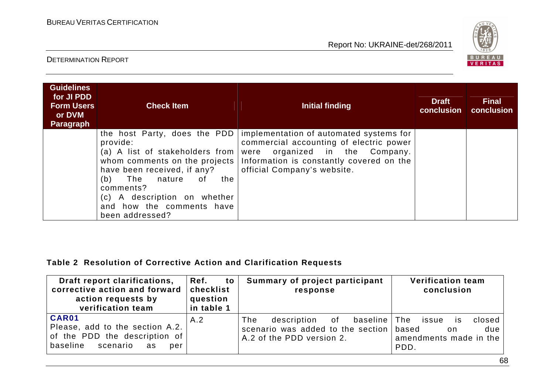

#### DETERMINATION REPORT

| <b>Guidelines</b><br>for JI PDD<br><b>Form Users</b><br>or DVM<br><b>Paragraph</b> | <b>Check Item</b>                                                                                                                                                                                                                            | Initial finding                                                                                                                                                                                                                    | <b>Draft</b><br>conclusion | <b>Final</b><br>conclusion |
|------------------------------------------------------------------------------------|----------------------------------------------------------------------------------------------------------------------------------------------------------------------------------------------------------------------------------------------|------------------------------------------------------------------------------------------------------------------------------------------------------------------------------------------------------------------------------------|----------------------------|----------------------------|
|                                                                                    | the host Party, does the PDD<br>provide:<br>(a) A list of stakeholders from<br>have been received, if any?<br>The<br>(b)<br>nature<br>the<br>0f<br>comments?<br>(c) A description on whether<br>and how the comments have<br>been addressed? | implementation of automated systems for<br>commercial accounting of electric power<br>organized in the Company.<br>were<br>whom comments on the projects   Information is constantly covered on the<br>official Company's website. |                            |                            |

#### **Table 2 Resolution of Corrective Action and Clarification Requests**

| Draft report clarifications,<br>corrective action and forward<br>action requests by<br>verification team       | Ref.<br>to<br>checklist<br>question<br>in table 1 | Summary of project participant<br>response                                                                        | <b>Verification team</b><br>conclusion                                 |
|----------------------------------------------------------------------------------------------------------------|---------------------------------------------------|-------------------------------------------------------------------------------------------------------------------|------------------------------------------------------------------------|
| CAR01<br>Please, add to the section A.2.<br>of the PDD the description of<br>baseline<br>scenario<br>as<br>per | A.2                                               | description of<br>baseline   The<br>The<br>scenario was added to the section   based<br>A.2 of the PDD version 2. | closed<br>issue<br>IS.<br>due<br>on.<br>amendments made in the<br>PDD. |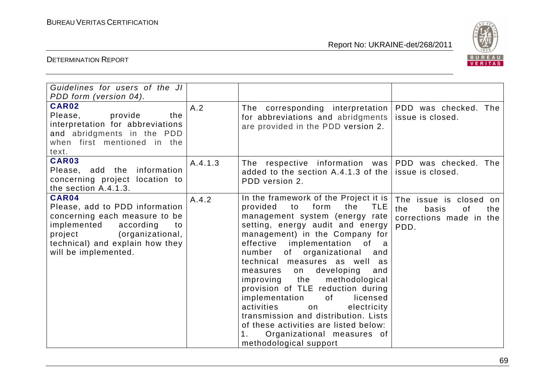

| Guidelines for users of the JI<br>PDD form (version 04).                                                                                                                                             |         |                                                                                                                                                                                                                                                                                                                                                                                                                                                                                                                                                                                                                                              |                                                                                        |
|------------------------------------------------------------------------------------------------------------------------------------------------------------------------------------------------------|---------|----------------------------------------------------------------------------------------------------------------------------------------------------------------------------------------------------------------------------------------------------------------------------------------------------------------------------------------------------------------------------------------------------------------------------------------------------------------------------------------------------------------------------------------------------------------------------------------------------------------------------------------------|----------------------------------------------------------------------------------------|
| <b>CAR02</b><br>Please,<br>provide<br>the<br>interpretation for abbreviations<br>and abridgments in the PDD<br>when first mentioned in the<br>text.                                                  | A.2     | The corresponding interpretation<br>for abbreviations and abridgments<br>are provided in the PDD version 2.                                                                                                                                                                                                                                                                                                                                                                                                                                                                                                                                  | PDD was checked. The<br>issue is closed.                                               |
| CAR03<br>information<br>Please, add the<br>concerning project location to<br>the section A.4.1.3.                                                                                                    | A.4.1.3 | The respective information was PDD was checked. The<br>added to the section A.4.1.3 of the $ $<br>PDD version 2.                                                                                                                                                                                                                                                                                                                                                                                                                                                                                                                             | issue is closed.                                                                       |
| CAR04<br>Please, add to PDD information<br>concerning each measure to be<br>implemented<br>according<br>to<br>(organizational,<br>project<br>technical) and explain how they<br>will be implemented. | A.4.2   | In the framework of the Project it is<br>form<br>the<br>provided<br>to<br><b>TLE</b><br>management system (energy rate<br>setting, energy audit and energy<br>management) in the Company for<br>effective implementation of a<br>number<br>of organizational<br>and<br>technical measures as well as<br>developing<br>and<br>measures<br>on<br>the<br>methodological<br>improving<br>provision of TLE reduction during<br>implementation<br>of<br>licensed<br>activities<br>electricity<br>on<br>transmission and distribution. Lists<br>of these activities are listed below:<br>Organizational measures of<br>1.<br>methodological support | The issue is closed on<br>the<br>basis<br>of<br>the<br>corrections made in the<br>PDD. |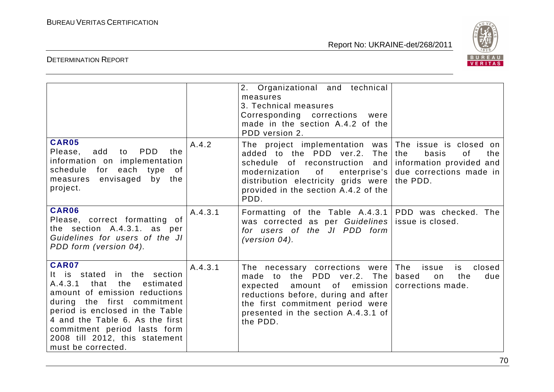

|                                                                                                                                                                                                                                                                                                                  |         | 2. Organizational and technical<br>measures<br>3. Technical measures<br>Corresponding corrections<br>were<br>made in the section A.4.2 of the<br>PDD version 2.                                                                                              |                                                                                                                        |
|------------------------------------------------------------------------------------------------------------------------------------------------------------------------------------------------------------------------------------------------------------------------------------------------------------------|---------|--------------------------------------------------------------------------------------------------------------------------------------------------------------------------------------------------------------------------------------------------------------|------------------------------------------------------------------------------------------------------------------------|
| <b>CAR05</b><br>PDD<br>Please,<br>add<br>to<br>the<br>information on implementation<br>schedule<br>for each type of<br>envisaged by the<br>measures<br>project.                                                                                                                                                  | A.4.2   | The project implementation was<br>added to the PDD ver.2.<br>The<br>schedule of reconstruction and<br>modernization<br>of the control of the control.<br>enterprise's<br>distribution electricity grids were<br>provided in the section A.4.2 of the<br>PDD. | The issue is closed on<br>the<br>basis<br>οf<br>the<br>information provided and<br>due corrections made in<br>the PDD. |
| <b>CAR06</b><br>Please, correct formatting of<br>the section A.4.3.1. as per<br>Guidelines for users of the JI<br>PDD form (version 04).                                                                                                                                                                         | A.4.3.1 | Formatting of the Table A.4.3.1<br>was corrected as per Guidelines<br>for users of the JI PDD form<br>(version $04$ ).                                                                                                                                       | PDD was checked. The<br>issue is closed.                                                                               |
| <b>CAR07</b><br>It is stated in the section<br>that<br>the<br>A.4.3.1<br>estimated<br>amount of emission reductions<br>during the first commitment<br>period is enclosed in the Table<br>4 and the Table 6. As the first<br>commitment period lasts form<br>2008 till 2012, this statement<br>must be corrected. | A.4.3.1 | The necessary corrections were<br>made to the PDD ver.2. The<br>amount of emission<br>expected<br>reductions before, during and after<br>the first commitment period were<br>presented in the section A.4.3.1 of<br>the PDD.                                 | The<br>closed<br>issue<br>is<br>based<br>the<br>on<br>due<br>corrections made.                                         |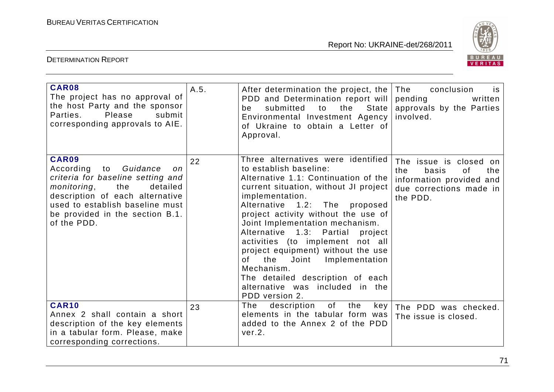

| CAR08<br>The project has no approval of<br>the host Party and the sponsor<br>Parties.<br>Please<br>submit<br>corresponding approvals to AIE.                                                                                           | A.5. | After determination the project, the<br>PDD and Determination report will<br>the<br>State<br>submitted<br>to<br>be<br>Environmental Investment Agency<br>of Ukraine to obtain a Letter of<br>Approval.                                                                                                                                                                                                                                                                                                                                      | The<br>conclusion<br>is.<br>pending<br>written<br>approvals by the Parties<br>involved.                                |
|----------------------------------------------------------------------------------------------------------------------------------------------------------------------------------------------------------------------------------------|------|---------------------------------------------------------------------------------------------------------------------------------------------------------------------------------------------------------------------------------------------------------------------------------------------------------------------------------------------------------------------------------------------------------------------------------------------------------------------------------------------------------------------------------------------|------------------------------------------------------------------------------------------------------------------------|
| CAR09<br>Guidance<br>According to<br>on<br>criteria for baseline setting and<br>detailed<br>monitoring,<br>the<br>description of each alternative<br>used to establish baseline must<br>be provided in the section B.1.<br>of the PDD. | 22   | Three alternatives were identified<br>to establish baseline:<br>Alternative 1.1: Continuation of the<br>current situation, without JI project<br>implementation.<br>Alternative 1.2: The proposed<br>project activity without the use of<br>Joint Implementation mechanism.<br>Alternative 1.3: Partial<br>project<br>activities (to implement not all<br>project equipment) without the use<br>the<br>Joint<br>Implementation<br>0f<br>Mechanism.<br>The detailed description of each<br>alternative was included in the<br>PDD version 2. | The issue is closed on<br>the<br>basis<br>0f<br>the<br>information provided and<br>due corrections made in<br>the PDD. |
| <b>CAR10</b><br>Annex 2 shall contain a short<br>description of the key elements<br>in a tabular form. Please, make<br>corresponding corrections.                                                                                      | 23   | of<br>the<br>The<br>description<br>key<br>elements in the tabular form was<br>added to the Annex 2 of the PDD<br>ver.2.                                                                                                                                                                                                                                                                                                                                                                                                                     | The PDD was checked.<br>The issue is closed.                                                                           |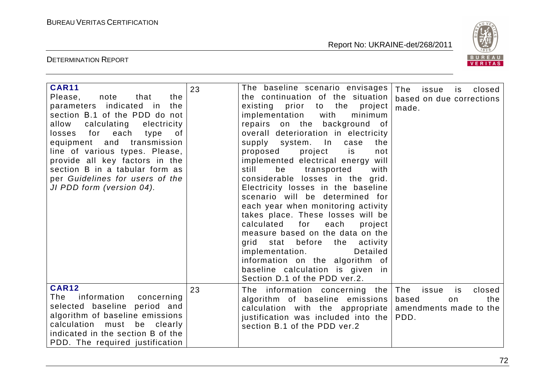

| <b>CAR11</b><br>note<br>that<br>the<br>Please,<br>parameters indicated in<br>the<br>section B.1 of the PDD do not<br>allow<br>calculating<br>electricity<br>losses for each<br>of<br>type<br>equipment and transmission<br>line of various types. Please,<br>provide all key factors in the<br>section B in a tabular form as<br>per Guidelines for users of the<br>JI PDD form (version 04). | 23 | The baseline scenario envisages<br>the continuation of the situation<br>existing prior to the project<br>implementation<br>with<br>minimum<br>repairs on the background of<br>overall deterioration in electricity<br>supply system. In<br>case<br>the<br>is<br>project<br>proposed<br>not<br>implemented electrical energy will<br>still<br>be<br>transported<br>with<br>considerable losses in the grid.<br>Electricity losses in the baseline<br>scenario will be determined for<br>each year when monitoring activity<br>takes place. These losses will be<br>for<br>calculated<br>each<br>project<br>measure based on the data on the<br>grid stat before the activity<br>implementation.<br>Detailed<br>information on the algorithm of<br>baseline calculation is given in<br>Section D.1 of the PDD ver.2. | The<br>issue<br>closed<br>is.<br>based on due corrections<br>made.                   |
|-----------------------------------------------------------------------------------------------------------------------------------------------------------------------------------------------------------------------------------------------------------------------------------------------------------------------------------------------------------------------------------------------|----|--------------------------------------------------------------------------------------------------------------------------------------------------------------------------------------------------------------------------------------------------------------------------------------------------------------------------------------------------------------------------------------------------------------------------------------------------------------------------------------------------------------------------------------------------------------------------------------------------------------------------------------------------------------------------------------------------------------------------------------------------------------------------------------------------------------------|--------------------------------------------------------------------------------------|
| <b>CAR12</b><br>information<br>concerning<br>The<br>selected baseline period and<br>algorithm of baseline emissions<br>must be clearly<br>calculation<br>indicated in the section B of the<br>PDD. The required justification                                                                                                                                                                 | 23 | The information concerning the<br>algorithm of baseline emissions<br>calculation with the appropriate  <br>justification was included into the<br>section B.1 of the PDD ver.2                                                                                                                                                                                                                                                                                                                                                                                                                                                                                                                                                                                                                                     | The<br>closed<br>issue<br>is<br>based<br>the<br>on<br>amendments made to the<br>PDD. |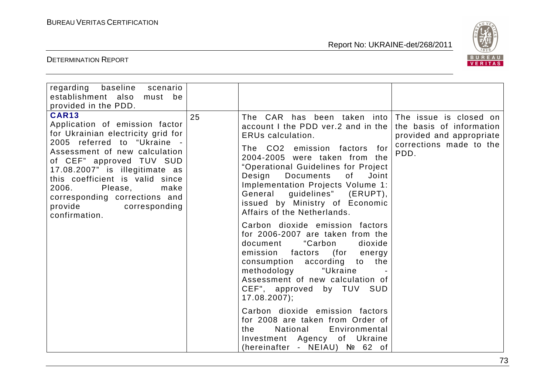

| regarding baseline scenario<br>establishment also<br>must be<br>provided in the PDD.                                                                                                                                                                                                                                                                            |    |                                                                                                                                                                                                                                                                                                                                                                                                                                                                                                                                                                                                                                                                                                                                                                                                                                                                             |                                                                                         |
|-----------------------------------------------------------------------------------------------------------------------------------------------------------------------------------------------------------------------------------------------------------------------------------------------------------------------------------------------------------------|----|-----------------------------------------------------------------------------------------------------------------------------------------------------------------------------------------------------------------------------------------------------------------------------------------------------------------------------------------------------------------------------------------------------------------------------------------------------------------------------------------------------------------------------------------------------------------------------------------------------------------------------------------------------------------------------------------------------------------------------------------------------------------------------------------------------------------------------------------------------------------------------|-----------------------------------------------------------------------------------------|
| <b>CAR13</b><br>Application of emission factor<br>for Ukrainian electricity grid for<br>2005 referred to "Ukraine -<br>Assessment of new calculation<br>of CEF" approved TUV SUD<br>17.08.2007" is illegitimate as<br>this coefficient is valid since<br>2006.<br>Please,<br>make<br>corresponding corrections and<br>provide<br>corresponding<br>confirmation. | 25 | The CAR has been taken into The issue is closed on<br>account I the PDD ver.2 and in the<br>ERUs calculation.<br>The CO2 emission factors for<br>2004-2005 were taken from the<br>"Operational Guidelines for Project<br>Design<br><b>Documents</b><br>0f<br>Joint<br>Implementation Projects Volume 1:<br>General guidelines" (ERUPT),<br>issued by Ministry of Economic<br>Affairs of the Netherlands.<br>Carbon dioxide emission factors<br>for 2006-2007 are taken from the<br>"Carbon<br>document<br>dioxide<br>emission factors (for energy<br>consumption according to the<br>methodology<br>"Ukraine<br>Assessment of new calculation of<br>CEF", approved by TUV SUD<br>$17.08.2007$ ;<br>Carbon dioxide emission factors<br>for 2008 are taken from Order of<br>National<br>Environmental<br>the<br>Investment Agency of Ukraine<br>(hereinafter - NEIAU) № 62 of | the basis of information<br>provided and appropriate<br>corrections made to the<br>PDD. |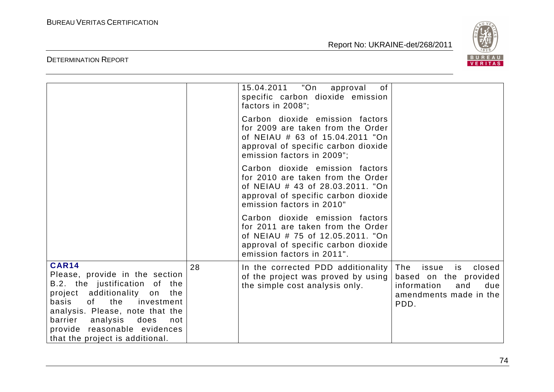

|                                                                                                                                                                                                                                                                                              |    | 15.04.2011  "On<br>of<br>approval<br>specific carbon dioxide emission<br>factors in 2008";                                                                                    |                                                                                                                      |
|----------------------------------------------------------------------------------------------------------------------------------------------------------------------------------------------------------------------------------------------------------------------------------------------|----|-------------------------------------------------------------------------------------------------------------------------------------------------------------------------------|----------------------------------------------------------------------------------------------------------------------|
|                                                                                                                                                                                                                                                                                              |    | Carbon dioxide emission factors<br>for 2009 are taken from the Order<br>of NEIAU # 63 of 15.04.2011 "On<br>approval of specific carbon dioxide<br>emission factors in 2009";  |                                                                                                                      |
|                                                                                                                                                                                                                                                                                              |    | Carbon dioxide emission factors<br>for 2010 are taken from the Order<br>of NEIAU # 43 of 28.03.2011. "On<br>approval of specific carbon dioxide<br>emission factors in 2010"  |                                                                                                                      |
|                                                                                                                                                                                                                                                                                              |    | Carbon dioxide emission factors<br>for 2011 are taken from the Order<br>of NEIAU # 75 of 12.05.2011. "On<br>approval of specific carbon dioxide<br>emission factors in 2011". |                                                                                                                      |
| <b>CAR14</b><br>Please, provide in the section<br>B.2. the justification of the<br>project additionality<br>on<br>the<br>of the investment<br>basis<br>analysis. Please, note that the<br>barrier analysis<br>does<br>not<br>provide reasonable evidences<br>that the project is additional. | 28 | In the corrected PDD additionality<br>of the project was proved by using<br>the simple cost analysis only.                                                                    | The<br>issue<br>is<br>closed<br>based on the provided<br>information<br>and<br>due<br>amendments made in the<br>PDD. |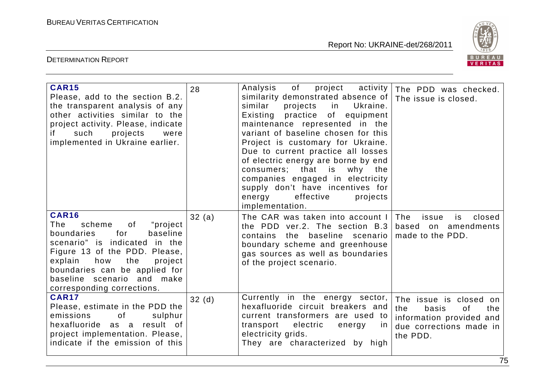

| <b>CAR15</b><br>Please, add to the section B.2.<br>the transparent analysis of any<br>other activities similar to the<br>project activity. Please, indicate<br>if<br>such<br>projects<br>were<br>implemented in Ukraine earlier.                                                     | 28    | Analysis<br>of<br>project<br>activity<br>similarity demonstrated absence of<br>similar<br>projects<br>in the second the second term in the second term in the second term in the second term in the second term in t<br>Ukraine.<br>Existing practice of equipment<br>maintenance represented in the<br>variant of baseline chosen for this<br>Project is customary for Ukraine.<br>Due to current practice all losses<br>of electric energy are borne by end<br>that is why the<br>consumers;<br>companies engaged in electricity<br>supply don't have incentives for<br>energy effective<br>projects<br>implementation. | The PDD was checked.<br>The issue is closed.                                                                           |
|--------------------------------------------------------------------------------------------------------------------------------------------------------------------------------------------------------------------------------------------------------------------------------------|-------|---------------------------------------------------------------------------------------------------------------------------------------------------------------------------------------------------------------------------------------------------------------------------------------------------------------------------------------------------------------------------------------------------------------------------------------------------------------------------------------------------------------------------------------------------------------------------------------------------------------------------|------------------------------------------------------------------------------------------------------------------------|
| <b>CAR16</b><br>scheme<br>of<br>"project"<br>The<br>for<br>boundaries<br>baseline<br>scenario" is indicated in the<br>Figure 13 of the PDD. Please,<br>explain<br>how<br>the<br>project<br>boundaries can be applied for<br>baseline scenario and make<br>corresponding corrections. | 32(a) | The CAR was taken into account I The<br>the PDD ver.2. The section $B.3$<br>contains the baseline scenario<br>boundary scheme and greenhouse<br>gas sources as well as boundaries<br>of the project scenario.                                                                                                                                                                                                                                                                                                                                                                                                             | closed<br>issue<br>is.<br>based on amendments<br>made to the PDD.                                                      |
| <b>CAR17</b><br>Please, estimate in the PDD the<br>emissions<br>of<br>sulphur<br>hexafluoride as a result of<br>project implementation. Please,<br>indicate if the emission of this                                                                                                  | 32(d) | Currently in the energy sector,<br>hexafluoride circuit breakers and<br>current transformers are used to<br>transport electric<br>energy<br>In.<br>electricity grids.<br>They are characterized by high                                                                                                                                                                                                                                                                                                                                                                                                                   | The issue is closed on<br>the<br>basis<br>of<br>the<br>information provided and<br>due corrections made in<br>the PDD. |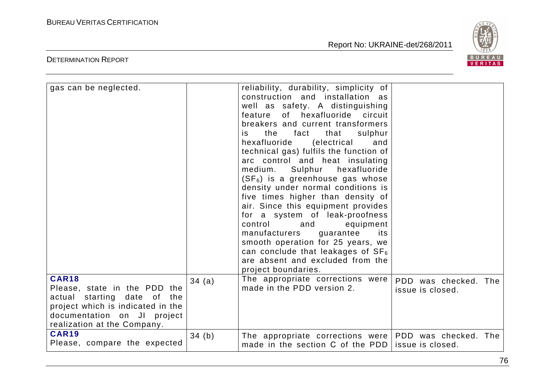

| gas can be neglected.                                                                                                                                                          |       | reliability, durability, simplicity of<br>construction and installation as<br>well as safety. A distinguishing<br>of hexafluoride circuit<br>feature<br>breakers and current transformers<br>the<br>fact<br>that<br>sulphur<br>is.<br>hexafluoride<br>(electrical<br>and<br>technical gas) fulfils the function of<br>arc control and heat insulating<br>Sulphur<br>hexafluoride<br>medium.<br>$(SF_6)$ is a greenhouse gas whose<br>density under normal conditions is<br>five times higher than density of<br>air. Since this equipment provides<br>for a system of leak-proofness<br>control<br>and<br>equipment<br>manufacturers<br>guarantee<br>its<br>smooth operation for 25 years, we<br>can conclude that leakages of $SF_6$<br>are absent and excluded from the<br>project boundaries. |                                          |
|--------------------------------------------------------------------------------------------------------------------------------------------------------------------------------|-------|--------------------------------------------------------------------------------------------------------------------------------------------------------------------------------------------------------------------------------------------------------------------------------------------------------------------------------------------------------------------------------------------------------------------------------------------------------------------------------------------------------------------------------------------------------------------------------------------------------------------------------------------------------------------------------------------------------------------------------------------------------------------------------------------------|------------------------------------------|
| <b>CAR18</b><br>Please, state in the PDD the<br>actual starting date of the<br>project which is indicated in the<br>documentation on JI project<br>realization at the Company. | 34(a) | The appropriate corrections were<br>made in the PDD version 2.                                                                                                                                                                                                                                                                                                                                                                                                                                                                                                                                                                                                                                                                                                                                   | PDD was checked. The<br>issue is closed. |
| <b>CAR19</b><br>Please, compare the expected                                                                                                                                   | 34(b) | The appropriate corrections were<br>made in the section C of the PDD                                                                                                                                                                                                                                                                                                                                                                                                                                                                                                                                                                                                                                                                                                                             | PDD was checked. The<br>issue is closed. |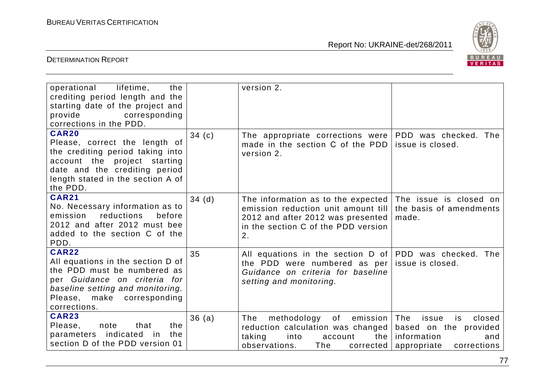

| operational<br>lifetime,<br>the<br>crediting period length and the<br>starting date of the project and<br>provide<br>corresponding<br>corrections in the PDD.                                       |          | version 2.                                                                                                                                                  |                                                                                                           |
|-----------------------------------------------------------------------------------------------------------------------------------------------------------------------------------------------------|----------|-------------------------------------------------------------------------------------------------------------------------------------------------------------|-----------------------------------------------------------------------------------------------------------|
| <b>CAR20</b><br>Please, correct the length of<br>the crediting period taking into<br>account the project starting<br>date and the crediting period<br>length stated in the section A of<br>the PDD. | 34 $(c)$ | The appropriate corrections were PDD was checked. The<br>made in the section C of the PDD<br>version 2.                                                     | issue is closed.                                                                                          |
| <b>CAR21</b><br>No. Necessary information as to<br>reductions<br>emission<br>before<br>2012 and after 2012 must bee<br>added to the section C of the<br>PDD.                                        | 34(d)    | The information as to the expected<br>emission reduction unit amount till<br>2012 and after 2012 was presented<br>in the section C of the PDD version<br>2. | The issue is closed on<br>the basis of amendments<br>made.                                                |
| <b>CAR22</b><br>All equations in the section D of<br>the PDD must be numbered as<br>per Guidance on criteria for<br>baseline setting and monitoring.<br>Please, make corresponding<br>corrections.  | 35       | All equations in the section $D$ of PDD was checked. The<br>the PDD were numbered as per<br>Guidance on criteria for baseline<br>setting and monitoring.    | issue is closed.                                                                                          |
| <b>CAR23</b><br>Please,<br>the<br>note<br>that<br>parameters indicated<br>the<br>in in<br>section D of the PDD version 01                                                                           | 36(a)    | methodology<br>of<br>emission  <br>The<br>reduction calculation was changed<br>taking<br>into<br>the<br>account<br>observations.<br>The<br>corrected        | The<br>issue<br>closed<br>is<br>based on the provided<br>information<br>and<br>appropriate<br>corrections |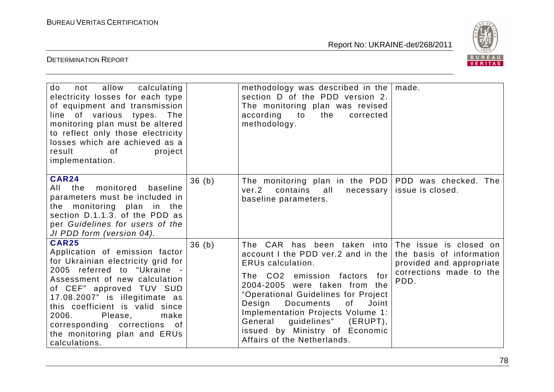

| not allow calculating<br>do<br>electricity losses for each type<br>of equipment and transmission<br>line of various types. The<br>monitoring plan must be altered<br>to reflect only those electricity<br>losses which are achieved as a<br>result<br>of<br>project<br>implementation.                                                                             |       | methodology was described in the $ $ made.<br>section D of the PDD version 2.<br>The monitoring plan was revised<br>according<br>to<br>the<br>corrected<br>methodology.                                                                                                                                                                                                                                                  |                                                                                         |
|--------------------------------------------------------------------------------------------------------------------------------------------------------------------------------------------------------------------------------------------------------------------------------------------------------------------------------------------------------------------|-------|--------------------------------------------------------------------------------------------------------------------------------------------------------------------------------------------------------------------------------------------------------------------------------------------------------------------------------------------------------------------------------------------------------------------------|-----------------------------------------------------------------------------------------|
| <b>CAR24</b><br>monitored<br>All the<br>baseline<br>parameters must be included in<br>the monitoring plan in the<br>section D.1.1.3. of the PDD as<br>per Guidelines for users of the<br>JI PDD form (version 04).                                                                                                                                                 | 36(h) | The monitoring plan in the PDD<br>ver.2<br>contains<br>all<br>necessary<br>baseline parameters.                                                                                                                                                                                                                                                                                                                          | PDD was checked. The<br>issue is closed.                                                |
| <b>CAR25</b><br>Application of emission factor<br>for Ukrainian electricity grid for<br>2005 referred to "Ukraine -<br>Assessment of new calculation<br>of CEF" approved TUV SUD<br>17.08.2007" is illegitimate as<br>this coefficient is valid since<br>2006.<br>Please,<br>make<br>corresponding corrections of<br>the monitoring plan and ERUs<br>calculations. | 36(h) | The CAR has been taken into The issue is closed on<br>account I the PDD ver.2 and in the<br><b>ERUs calculation.</b><br>The CO2 emission factors<br>for<br>2004-2005 were taken from the<br>"Operational Guidelines for Project<br>Design<br><b>Documents</b><br>of<br>Joint<br>Implementation Projects Volume 1:<br>guidelines"<br>General<br>(ERUPT),<br>issued by Ministry of Economic<br>Affairs of the Netherlands. | the basis of information<br>provided and appropriate<br>corrections made to the<br>PDD. |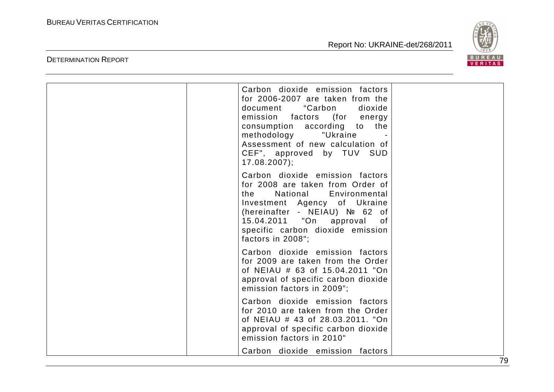DETERMINATION REPORT

Report No: UKRAINE-det/268/2011



| Carbon dioxide emission factors<br>for 2006-2007 are taken from the<br>"Carbon<br>document<br>dioxide<br>emission factors (for energy<br>consumption according to the<br>methodology<br>"Ukraine<br>Assessment of new calculation of<br>CEF", approved by TUV SUD<br>$17.08.2007$ ; |
|-------------------------------------------------------------------------------------------------------------------------------------------------------------------------------------------------------------------------------------------------------------------------------------|
| Carbon dioxide emission factors<br>for 2008 are taken from Order of<br>National<br>Environmental<br>the<br>Investment Agency of Ukraine<br>(hereinafter - NEIAU) № 62 of<br>15.04.2011 "On approval<br>of<br>specific carbon dioxide emission<br>factors in 2008";                  |
| Carbon dioxide emission factors<br>for 2009 are taken from the Order<br>of NEIAU # 63 of 15.04.2011 "On<br>approval of specific carbon dioxide<br>emission factors in 2009";                                                                                                        |
| Carbon dioxide emission factors<br>for 2010 are taken from the Order<br>of NEIAU # 43 of 28.03.2011. "On<br>approval of specific carbon dioxide<br>emission factors in 2010"                                                                                                        |
| Carbon dioxide emission factors                                                                                                                                                                                                                                                     |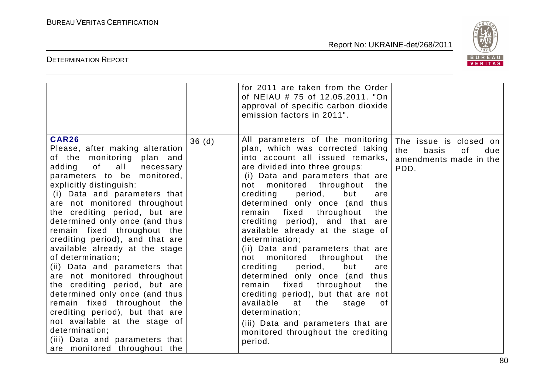

|                                                                                                                                                                                                                                                                                                                                                                                                                                                                                                                                                                                                                                                                                                                                                                 |       | for 2011 are taken from the Order<br>of NEIAU # 75 of 12.05.2011. "On<br>approval of specific carbon dioxide<br>emission factors in 2011".                                                                                                                                                                                                                                                                                                                                                                                                                                                                                                                                                                                                                                                                            |                                                                                       |
|-----------------------------------------------------------------------------------------------------------------------------------------------------------------------------------------------------------------------------------------------------------------------------------------------------------------------------------------------------------------------------------------------------------------------------------------------------------------------------------------------------------------------------------------------------------------------------------------------------------------------------------------------------------------------------------------------------------------------------------------------------------------|-------|-----------------------------------------------------------------------------------------------------------------------------------------------------------------------------------------------------------------------------------------------------------------------------------------------------------------------------------------------------------------------------------------------------------------------------------------------------------------------------------------------------------------------------------------------------------------------------------------------------------------------------------------------------------------------------------------------------------------------------------------------------------------------------------------------------------------------|---------------------------------------------------------------------------------------|
| <b>CAR26</b><br>Please, after making alteration<br>of the monitoring plan and<br>adding<br>of all<br>necessary<br>parameters to be monitored,<br>explicitly distinguish:<br>(i) Data and parameters that<br>are not monitored throughout<br>the crediting period, but are<br>determined only once (and thus<br>remain fixed throughout the<br>crediting period), and that are<br>available already at the stage<br>of determination;<br>(ii) Data and parameters that<br>are not monitored throughout<br>the crediting period, but are<br>determined only once (and thus<br>remain fixed throughout the<br>crediting period), but that are<br>not available at the stage of<br>determination;<br>(iii) Data and parameters that<br>are monitored throughout the | 36(d) | All parameters of the monitoring<br>plan, which was corrected taking<br>into account all issued remarks,<br>are divided into three groups:<br>(i) Data and parameters that are<br>monitored throughout<br>not<br>the<br>crediting<br>period,<br>but<br>are<br>determined only once (and thus<br>fixed<br>throughout<br>remain<br>the<br>crediting period), and that<br>are<br>available already at the stage of<br>determination;<br>(ii) Data and parameters that are<br>monitored throughout<br>the<br>not<br>crediting<br>period,<br>but<br>are<br>determined only once (and<br>thus<br>fixed<br>throughout<br>remain<br>the<br>crediting period), but that are not<br>available at<br>the<br>0f<br>stage<br>determination;<br>(iii) Data and parameters that are<br>monitored throughout the crediting<br>period. | The issue is closed on<br>the<br>basis<br>0f<br>due<br>amendments made in the<br>PDD. |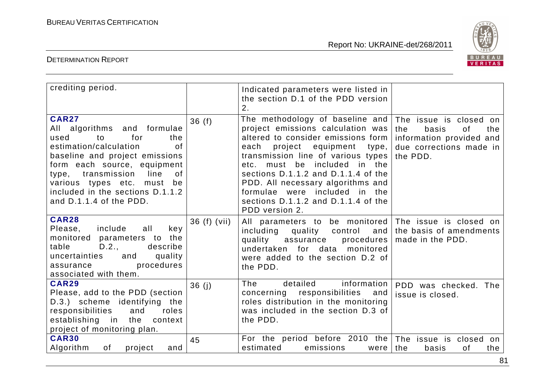

| crediting period.                                                                                                                                                                                                                                                                                         |              | Indicated parameters were listed in<br>the section D.1 of the PDD version<br>2.                                                                                                                                                                                                                                                                                                        |                                                                                                                            |
|-----------------------------------------------------------------------------------------------------------------------------------------------------------------------------------------------------------------------------------------------------------------------------------------------------------|--------------|----------------------------------------------------------------------------------------------------------------------------------------------------------------------------------------------------------------------------------------------------------------------------------------------------------------------------------------------------------------------------------------|----------------------------------------------------------------------------------------------------------------------------|
| <b>CAR27</b><br>All algorithms and formulae<br>for<br>used<br>to<br>the<br>estimation/calculation<br>0f<br>baseline and project emissions<br>form each source, equipment<br>line<br>type, transmission<br>of<br>various types etc. must be<br>included in the sections D.1.1.2<br>and D.1.1.4 of the PDD. | 36(f)        | The methodology of baseline and<br>project emissions calculation was<br>altered to consider emissions form<br>each project equipment type,<br>transmission line of various types<br>etc. must be included in the<br>sections D.1.1.2 and D.1.1.4 of the<br>PDD. All necessary algorithms and<br>formulae were included in the<br>sections D.1.1.2 and D.1.1.4 of the<br>PDD version 2. | The issue is closed<br>on.<br>the<br>the<br>basis<br>0f<br>information provided and<br>due corrections made in<br>the PDD. |
| <b>CAR28</b><br>Please,<br>include<br>all<br>key<br>monitored parameters to the<br>table<br>D.2.,<br>describe<br>uncertainties<br>quality<br>and<br>procedures<br>assurance<br>associated with them.                                                                                                      | 36 (f) (vii) | All parameters to be monitored<br>including<br>quality control<br>and<br>quality assurance<br>procedures<br>undertaken for data monitored<br>were added to the section D.2 of<br>the PDD.                                                                                                                                                                                              | The issue is closed on<br>the basis of amendments<br>made in the PDD.                                                      |
| <b>CAR29</b><br>Please, add to the PDD (section<br>D.3.) scheme identifying the<br>responsibilities<br>and<br>roles<br>establishing in the<br>context<br>project of monitoring plan.                                                                                                                      | 36(j)        | information<br>The<br>detailed<br>concerning responsibilities<br>and<br>roles distribution in the monitoring<br>was included in the section D.3 of<br>the PDD.                                                                                                                                                                                                                         | PDD was checked. The<br>issue is closed.                                                                                   |
| <b>CAR30</b><br>Algorithm<br>of<br>project<br>and                                                                                                                                                                                                                                                         | 45           | For the period before 2010 the<br>estimated<br>emissions<br>were                                                                                                                                                                                                                                                                                                                       | The issue is closed<br>on<br>the<br>the<br>basis<br>of                                                                     |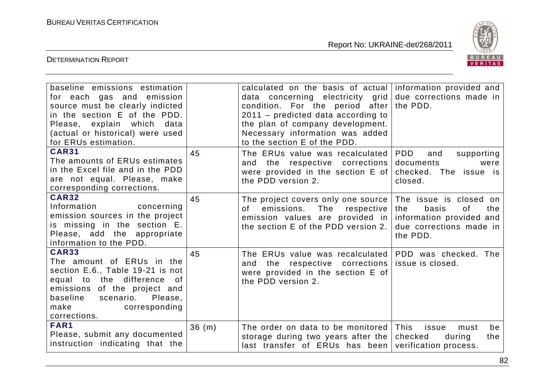

| baseline emissions estimation<br>for each gas and emission<br>source must be clearly indicted<br>in the section E of the PDD.<br>Please, explain which<br>data<br>(actual or historical) were used<br>for ERUs estimation. |       | calculated on the basis of actual information provided and<br>data concerning electricity grid<br>condition. For the period after<br>$2011$ – predicted data according to<br>the plan of company development.<br>Necessary information was added<br>to the section E of the PDD. | due corrections made in<br>the PDD.                                                                                    |
|----------------------------------------------------------------------------------------------------------------------------------------------------------------------------------------------------------------------------|-------|----------------------------------------------------------------------------------------------------------------------------------------------------------------------------------------------------------------------------------------------------------------------------------|------------------------------------------------------------------------------------------------------------------------|
| <b>CAR31</b><br>The amounts of ERUs estimates<br>in the Excel file and in the PDD<br>are not equal. Please, make<br>corresponding corrections.                                                                             | 45    | The ERUs value was recalculated<br>the respective corrections<br>and<br>were provided in the section E of<br>the PDD version 2.                                                                                                                                                  | PDD<br>supporting<br>and<br>documents<br>were<br>checked. The issue is<br>closed.                                      |
| <b>CAR32</b><br>Information<br>concerning<br>emission sources in the project<br>is missing in the section E.<br>Please, add the appropriate<br>information to the PDD.                                                     | 45    | The project covers only one source<br>of emissions.<br>The respective<br>emission values are provided in<br>the section E of the PDD version 2.                                                                                                                                  | The issue is closed on<br>basis<br>of<br>the<br>the<br>information provided and<br>due corrections made in<br>the PDD. |
| <b>CAR33</b><br>The amount of ERUs in the<br>section E.6., Table 19-21 is not<br>equal to the difference of<br>emissions of the project and<br>baseline scenario. Please,<br>make<br>corresponding<br>corrections.         | 45    | The ERUs value was recalculated<br>and the respective corrections<br>were provided in the section E of<br>the PDD version 2.                                                                                                                                                     | PDD was checked. The<br>issue is closed.                                                                               |
| FAR1<br>Please, submit any documented<br>instruction indicating that the                                                                                                                                                   | 36(m) | The order on data to be monitored<br>storage during two years after the<br>last transfer of ERUs has been                                                                                                                                                                        | This<br>issue<br>be<br>must<br>checked<br>during<br>the<br>verification process.                                       |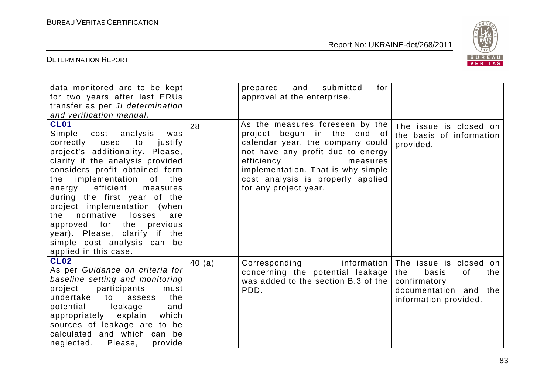

| data monitored are to be kept<br>for two years after last ERUs<br>transfer as per JI determination<br>and verification manual.                                                                                                                                                                                                                                                                                                                                                              |        | for<br>and<br>submitted<br>prepared<br>approval at the enterprise.                                                                                                                                                                                                    |                                                                                                                          |
|---------------------------------------------------------------------------------------------------------------------------------------------------------------------------------------------------------------------------------------------------------------------------------------------------------------------------------------------------------------------------------------------------------------------------------------------------------------------------------------------|--------|-----------------------------------------------------------------------------------------------------------------------------------------------------------------------------------------------------------------------------------------------------------------------|--------------------------------------------------------------------------------------------------------------------------|
| <b>CL01</b><br>Simple cost analysis<br>was<br>correctly used<br>to<br>justify<br>project's additionality. Please,<br>clarify if the analysis provided<br>considers profit obtained form<br>implementation<br>of<br>the<br>the<br>efficient<br>energy<br>measures<br>during the first year of the<br>project implementation (when<br>normative<br>losses<br>the<br>are<br>approved for the previous<br>year). Please, clarify if the<br>simple cost analysis can be<br>applied in this case. | 28     | As the measures foreseen by the<br>project begun in the end of<br>calendar year, the company could<br>not have any profit due to energy<br>efficiency<br>measures<br>implementation. That is why simple<br>cost analysis is properly applied<br>for any project year. | The issue is closed on<br>the basis of information<br>provided.                                                          |
| <b>CL02</b><br>As per Guidance on criteria for<br>baseline setting and monitoring<br>participants<br>project<br>must<br>undertake<br>the<br>assess<br>to<br>potential leakage<br>and<br>appropriately explain<br>which<br>sources of leakage are to be<br>calculated and which can be<br>neglected.<br>Please,<br>provide                                                                                                                                                                   | 40 (a) | information<br>Corresponding<br>concerning the potential leakage<br>was added to the section B.3 of the<br>PDD.                                                                                                                                                       | The issue is closed on<br>the<br>basis<br>0f<br>the<br>confirmatory<br>documentation and<br>the<br>information provided. |